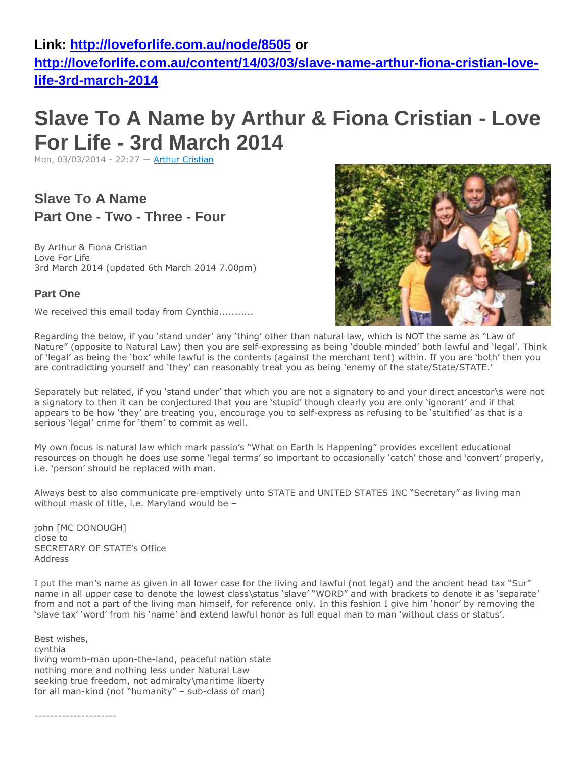### **Link:<http://loveforlife.com.au/node/8505> or**

**[http://loveforlife.com.au/content/14/03/03/slave-name-arthur-fiona-cristian-love](http://loveforlife.com.au/content/14/03/03/slave-name-arthur-fiona-cristian-love-life-3rd-march-2014)[life-3rd-march-2014](http://loveforlife.com.au/content/14/03/03/slave-name-arthur-fiona-cristian-love-life-3rd-march-2014)**

# **Slave To A Name by Arthur & Fiona Cristian - Love For Life - 3rd March 2014**

Mon, 03/03/2014 - 22:27 — [Arthur Cristian](http://loveforlife.com.au/user/3)

**Slave To A Name Part One - Two - Three - Four**

By Arthur & Fiona Cristian Love For Life 3rd March 2014 (updated 6th March 2014 7.00pm)

### **Part One**

We received this email today from Cynthia...........

Regarding the below, if you 'stand under' any 'thing' other than natural law, which is NOT the same as "Law of Nature" (opposite to Natural Law) then you are self-expressing as being 'double minded' both lawful and 'legal'. Think of 'legal' as being the 'box' while lawful is the contents (against the merchant tent) within. If you are 'both' then you are contradicting yourself and 'they' can reasonably treat you as being 'enemy of the state/State/STATE.'

Separately but related, if you 'stand under' that which you are not a signatory to and your direct ancestor\s were not a signatory to then it can be conjectured that you are 'stupid' though clearly you are only 'ignorant' and if that appears to be how 'they' are treating you, encourage you to self-express as refusing to be 'stultified' as that is a serious 'legal' crime for 'them' to commit as well.

My own focus is natural law which mark passio's "What on Earth is Happening" provides excellent educational resources on though he does use some 'legal terms' so important to occasionally 'catch' those and 'convert' properly, i.e. 'person' should be replaced with man.

Always best to also communicate pre-emptively unto STATE and UNITED STATES INC "Secretary" as living man without mask of title, i.e. Maryland would be –

john [MC DONOUGH] close to SECRETARY OF STATE's Office Address

I put the man's name as given in all lower case for the living and lawful (not legal) and the ancient head tax "Sur" name in all upper case to denote the lowest class\status 'slave' "WORD" and with brackets to denote it as 'separate' from and not a part of the living man himself, for reference only. In this fashion I give him 'honor' by removing the 'slave tax' 'word' from his 'name' and extend lawful honor as full equal man to man 'without class or status'.

Best wishes, cynthia living womb-man upon-the-land, peaceful nation state nothing more and nothing less under Natural Law seeking true freedom, not admiralty\maritime liberty for all man-kind (not "humanity" – sub-class of man)

---------------------

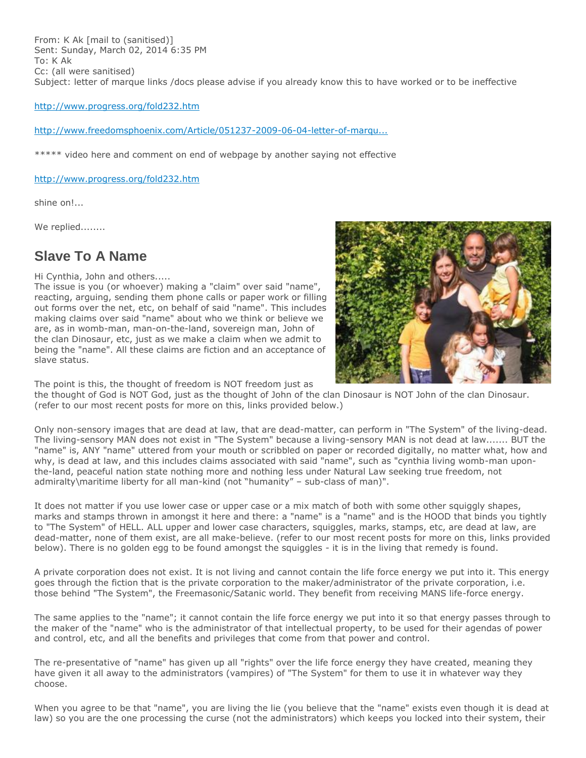From: K Ak [mail to (sanitised)] Sent: Sunday, March 02, 2014 6:35 PM To: K Ak Cc: (all were sanitised) Subject: letter of marque links /docs please advise if you already know this to have worked or to be ineffective

<http://www.progress.org/fold232.htm>

### [http://www.freedomsphoenix.com/Article/051237-2009-06-04-letter-of-marqu...](http://www.freedomsphoenix.com/Article/051237-2009-06-04-letter-of-marque-explained.htm)

\*\*\*\*\* video here and comment on end of webpage by another saying not effective

### <http://www.progress.org/fold232.htm>

shine on!...

We replied........

### **Slave To A Name**

Hi Cynthia, John and others.....

The issue is you (or whoever) making a "claim" over said "name", reacting, arguing, sending them phone calls or paper work or filling out forms over the net, etc, on behalf of said "name". This includes making claims over said "name" about who we think or believe we are, as in womb-man, man-on-the-land, sovereign man, John of the clan Dinosaur, etc, just as we make a claim when we admit to being the "name". All these claims are fiction and an acceptance of slave status.



The point is this, the thought of freedom is NOT freedom just as

the thought of God is NOT God, just as the thought of John of the clan Dinosaur is NOT John of the clan Dinosaur. (refer to our most recent posts for more on this, links provided below.)

Only non-sensory images that are dead at law, that are dead-matter, can perform in "The System" of the living-dead. The living-sensory MAN does not exist in "The System" because a living-sensory MAN is not dead at law....... BUT the "name" is, ANY "name" uttered from your mouth or scribbled on paper or recorded digitally, no matter what, how and why, is dead at law, and this includes claims associated with said "name", such as "cynthia living womb-man uponthe-land, peaceful nation state nothing more and nothing less under Natural Law seeking true freedom, not admiralty\maritime liberty for all man-kind (not "humanity" – sub-class of man)".

It does not matter if you use lower case or upper case or a mix match of both with some other squiggly shapes, marks and stamps thrown in amongst it here and there: a "name" is a "name" and is the HOOD that binds you tightly to "The System" of HELL. ALL upper and lower case characters, squiggles, marks, stamps, etc, are dead at law, are dead-matter, none of them exist, are all make-believe. (refer to our most recent posts for more on this, links provided below). There is no golden egg to be found amongst the squiggles - it is in the living that remedy is found.

A private corporation does not exist. It is not living and cannot contain the life force energy we put into it. This energy goes through the fiction that is the private corporation to the maker/administrator of the private corporation, i.e. those behind "The System", the Freemasonic/Satanic world. They benefit from receiving MANS life-force energy.

The same applies to the "name"; it cannot contain the life force energy we put into it so that energy passes through to the maker of the "name" who is the administrator of that intellectual property, to be used for their agendas of power and control, etc, and all the benefits and privileges that come from that power and control.

The re-presentative of "name" has given up all "rights" over the life force energy they have created, meaning they have given it all away to the administrators (vampires) of "The System" for them to use it in whatever way they choose.

When you agree to be that "name", you are living the lie (you believe that the "name" exists even though it is dead at law) so you are the one processing the curse (not the administrators) which keeps you locked into their system, their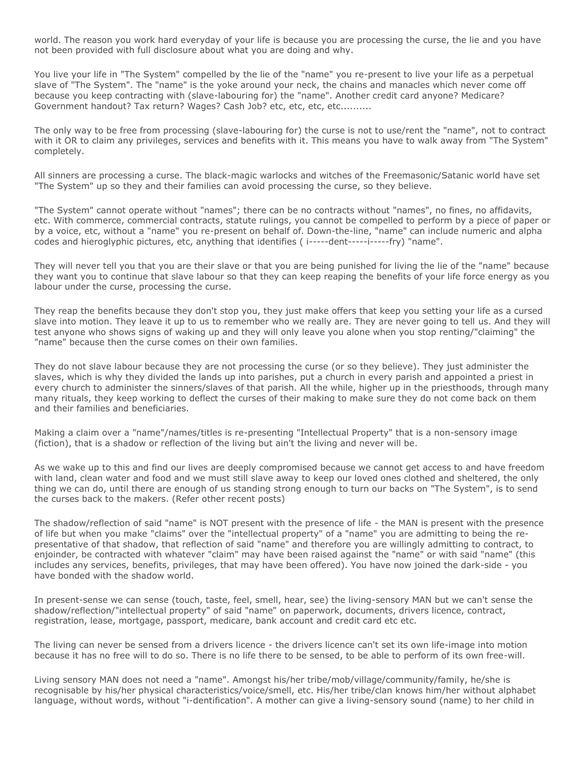world. The reason you work hard everyday of your life is because you are processing the curse, the lie and you have not been provided with full disclosure about what you are doing and why.

You live your life in "The System" compelled by the lie of the "name" you re-present to live your life as a perpetual slave of "The System". The "name" is the yoke around your neck, the chains and manacles which never come off because you keep contracting with (slave-labouring for) the "name". Another credit card anyone? Medicare? Government handout? Tax return? Wages? Cash Job? etc, etc, etc, etc..........

The only way to be free from processing (slave-labouring for) the curse is not to use/rent the "name", not to contract with it OR to claim any privileges, services and benefits with it. This means you have to walk away from "The System" completely.

All sinners are processing a curse. The black-magic warlocks and witches of the Freemasonic/Satanic world have set "The System" up so they and their families can avoid processing the curse, so they believe.

"The System" cannot operate without "names"; there can be no contracts without "names", no fines, no affidavits, etc. With commerce, commercial contracts, statute rulings, you cannot be compelled to perform by a piece of paper or by a voice, etc, without a "name" you re-present on behalf of. Down-the-line, "name" can include numeric and alpha codes and hieroglyphic pictures, etc, anything that identifies ( i-----dent-----i-----fry) "name".

They will never tell you that you are their slave or that you are being punished for living the lie of the "name" because they want you to continue that slave labour so that they can keep reaping the benefits of your life force energy as you labour under the curse, processing the curse.

They reap the benefits because they don't stop you, they just make offers that keep you setting your life as a cursed slave into motion. They leave it up to us to remember who we really are. They are never going to tell us. And they will test anyone who shows signs of waking up and they will only leave you alone when you stop renting/"claiming" the "name" because then the curse comes on their own families.

They do not slave labour because they are not processing the curse (or so they believe). They just administer the slaves, which is why they divided the lands up into parishes, put a church in every parish and appointed a priest in every church to administer the sinners/slaves of that parish. All the while, higher up in the priesthoods, through many many rituals, they keep working to deflect the curses of their making to make sure they do not come back on them and their families and beneficiaries.

Making a claim over a "name"/names/titles is re-presenting "Intellectual Property" that is a non-sensory image (fiction), that is a shadow or reflection of the living but ain't the living and never will be.

As we wake up to this and find our lives are deeply compromised because we cannot get access to and have freedom with land, clean water and food and we must still slave away to keep our loved ones clothed and sheltered, the only thing we can do, until there are enough of us standing strong enough to turn our backs on "The System", is to send the curses back to the makers. (Refer other recent posts)

The shadow/reflection of said "name" is NOT present with the presence of life - the MAN is present with the presence of life but when you make "claims" over the "intellectual property" of a "name" you are admitting to being the representative of that shadow, that reflection of said "name" and therefore you are willingly admitting to contract, to enjoinder, be contracted with whatever "claim" may have been raised against the "name" or with said "name" (this includes any services, benefits, privileges, that may have been offered). You have now joined the dark-side - you have bonded with the shadow world.

In present-sense we can sense (touch, taste, feel, smell, hear, see) the living-sensory MAN but we can't sense the shadow/reflection/"intellectual property" of said "name" on paperwork, documents, drivers licence, contract, registration, lease, mortgage, passport, medicare, bank account and credit card etc etc.

The living can never be sensed from a drivers licence - the drivers licence can't set its own life-image into motion because it has no free will to do so. There is no life there to be sensed, to be able to perform of its own free-will.

Living sensory MAN does not need a "name". Amongst his/her tribe/mob/village/community/family, he/she is recognisable by his/her physical characteristics/voice/smell, etc. His/her tribe/clan knows him/her without alphabet language, without words, without "i-dentification". A mother can give a living-sensory sound (name) to her child in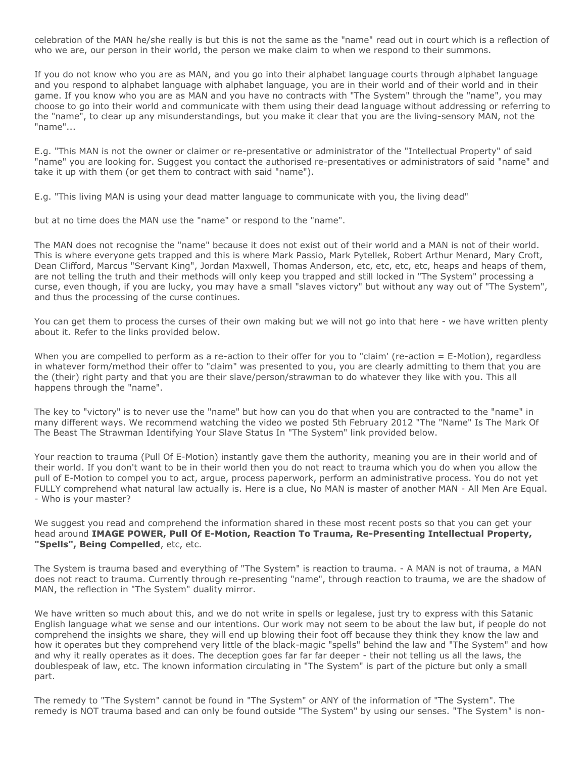celebration of the MAN he/she really is but this is not the same as the "name" read out in court which is a reflection of who we are, our person in their world, the person we make claim to when we respond to their summons.

If you do not know who you are as MAN, and you go into their alphabet language courts through alphabet language and you respond to alphabet language with alphabet language, you are in their world and of their world and in their game. If you know who you are as MAN and you have no contracts with "The System" through the "name", you may choose to go into their world and communicate with them using their dead language without addressing or referring to the "name", to clear up any misunderstandings, but you make it clear that you are the living-sensory MAN, not the "name"...

E.g. "This MAN is not the owner or claimer or re-presentative or administrator of the "Intellectual Property" of said "name" you are looking for. Suggest you contact the authorised re-presentatives or administrators of said "name" and take it up with them (or get them to contract with said "name").

E.g. "This living MAN is using your dead matter language to communicate with you, the living dead"

but at no time does the MAN use the "name" or respond to the "name".

The MAN does not recognise the "name" because it does not exist out of their world and a MAN is not of their world. This is where everyone gets trapped and this is where Mark Passio, Mark Pytellek, Robert Arthur Menard, Mary Croft, Dean Clifford, Marcus "Servant King", Jordan Maxwell, Thomas Anderson, etc, etc, etc, etc, heaps and heaps of them, are not telling the truth and their methods will only keep you trapped and still locked in "The System" processing a curse, even though, if you are lucky, you may have a small "slaves victory" but without any way out of "The System", and thus the processing of the curse continues.

You can get them to process the curses of their own making but we will not go into that here - we have written plenty about it. Refer to the links provided below.

When you are compelled to perform as a re-action to their offer for you to "claim' (re-action = E-Motion), regardless in whatever form/method their offer to "claim" was presented to you, you are clearly admitting to them that you are the (their) right party and that you are their slave/person/strawman to do whatever they like with you. This all happens through the "name".

The key to "victory" is to never use the "name" but how can you do that when you are contracted to the "name" in many different ways. We recommend watching the video we posted 5th February 2012 "The "Name" Is The Mark Of The Beast The Strawman Identifying Your Slave Status In "The System" link provided below.

Your reaction to trauma (Pull Of E-Motion) instantly gave them the authority, meaning you are in their world and of their world. If you don't want to be in their world then you do not react to trauma which you do when you allow the pull of E-Motion to compel you to act, argue, process paperwork, perform an administrative process. You do not yet FULLY comprehend what natural law actually is. Here is a clue, No MAN is master of another MAN - All Men Are Equal. - Who is your master?

We suggest you read and comprehend the information shared in these most recent posts so that you can get your head around **IMAGE POWER, Pull Of E-Motion, Reaction To Trauma, Re-Presenting Intellectual Property, "Spells", Being Compelled**, etc, etc.

The System is trauma based and everything of "The System" is reaction to trauma. - A MAN is not of trauma, a MAN does not react to trauma. Currently through re-presenting "name", through reaction to trauma, we are the shadow of MAN, the reflection in "The System" duality mirror.

We have written so much about this, and we do not write in spells or legalese, just try to express with this Satanic English language what we sense and our intentions. Our work may not seem to be about the law but, if people do not comprehend the insights we share, they will end up blowing their foot off because they think they know the law and how it operates but they comprehend very little of the black-magic "spells" behind the law and "The System" and how and why it really operates as it does. The deception goes far far far deeper - their not telling us all the laws, the doublespeak of law, etc. The known information circulating in "The System" is part of the picture but only a small part.

The remedy to "The System" cannot be found in "The System" or ANY of the information of "The System". The remedy is NOT trauma based and can only be found outside "The System" by using our senses. "The System" is non-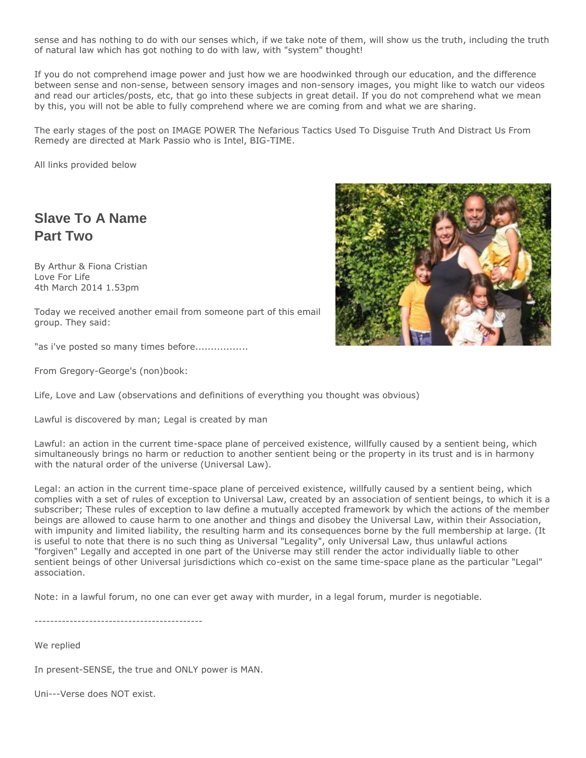sense and has nothing to do with our senses which, if we take note of them, will show us the truth, including the truth of natural law which has got nothing to do with law, with "system" thought!

If you do not comprehend image power and just how we are hoodwinked through our education, and the difference between sense and non-sense, between sensory images and non-sensory images, you might like to watch our videos and read our articles/posts, etc, that go into these subjects in great detail. If you do not comprehend what we mean by this, you will not be able to fully comprehend where we are coming from and what we are sharing.

The early stages of the post on IMAGE POWER The Nefarious Tactics Used To Disguise Truth And Distract Us From Remedy are directed at Mark Passio who is Intel, BIG-TIME.

All links provided below

### **Slave To A Name Part Two**

By Arthur & Fiona Cristian Love For Life 4th March 2014 1.53pm

Today we received another email from someone part of this email group. They said:

"as i've posted so many times before.................

From Gregory-George's (non)book:

Life, Love and Law (observations and definitions of everything you thought was obvious)

Lawful is discovered by man; Legal is created by man

Lawful: an action in the current time-space plane of perceived existence, willfully caused by a sentient being, which simultaneously brings no harm or reduction to another sentient being or the property in its trust and is in harmony with the natural order of the universe (Universal Law).

Legal: an action in the current time-space plane of perceived existence, willfully caused by a sentient being, which complies with a set of rules of exception to Universal Law, created by an association of sentient beings, to which it is a subscriber; These rules of exception to law define a mutually accepted framework by which the actions of the member beings are allowed to cause harm to one another and things and disobey the Universal Law, within their Association, with impunity and limited liability, the resulting harm and its consequences borne by the full membership at large. (It is useful to note that there is no such thing as Universal "Legality", only Universal Law, thus unlawful actions "forgiven" Legally and accepted in one part of the Universe may still render the actor individually liable to other sentient beings of other Universal jurisdictions which co-exist on the same time-space plane as the particular "Legal" association.

Note: in a lawful forum, no one can ever get away with murder, in a legal forum, murder is negotiable.

-------------------------------------------

We replied

In present-SENSE, the true and ONLY power is MAN.

Uni---Verse does NOT exist.

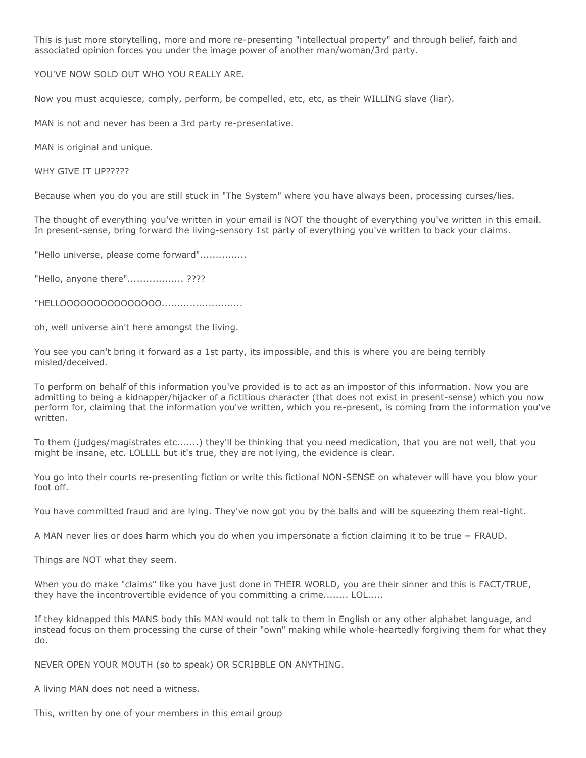This is just more storytelling, more and more re-presenting "intellectual property" and through belief, faith and associated opinion forces you under the image power of another man/woman/3rd party.

YOU'VE NOW SOLD OUT WHO YOU REALLY ARE.

Now you must acquiesce, comply, perform, be compelled, etc, etc, as their WILLING slave (liar).

MAN is not and never has been a 3rd party re-presentative.

MAN is original and unique.

WHY GIVE IT UP?????

Because when you do you are still stuck in "The System" where you have always been, processing curses/lies.

The thought of everything you've written in your email is NOT the thought of everything you've written in this email. In present-sense, bring forward the living-sensory 1st party of everything you've written to back your claims.

"Hello universe, please come forward"...............

"Hello, anyone there"................... ????

"HELLOOOOOOOOOOOOOOO..........................

oh, well universe ain't here amongst the living.

You see you can't bring it forward as a 1st party, its impossible, and this is where you are being terribly misled/deceived.

To perform on behalf of this information you've provided is to act as an impostor of this information. Now you are admitting to being a kidnapper/hijacker of a fictitious character (that does not exist in present-sense) which you now perform for, claiming that the information you've written, which you re-present, is coming from the information you've written.

To them (judges/magistrates etc.......) they'll be thinking that you need medication, that you are not well, that you might be insane, etc. LOLLLL but it's true, they are not lying, the evidence is clear.

You go into their courts re-presenting fiction or write this fictional NON-SENSE on whatever will have you blow your foot off.

You have committed fraud and are lying. They've now got you by the balls and will be squeezing them real-tight.

A MAN never lies or does harm which you do when you impersonate a fiction claiming it to be true = FRAUD.

Things are NOT what they seem.

When you do make "claims" like you have just done in THEIR WORLD, you are their sinner and this is FACT/TRUE, they have the incontrovertible evidence of you committing a crime........ LOL.....

If they kidnapped this MANS body this MAN would not talk to them in English or any other alphabet language, and instead focus on them processing the curse of their "own" making while whole-heartedly forgiving them for what they do.

NEVER OPEN YOUR MOUTH (so to speak) OR SCRIBBLE ON ANYTHING.

A living MAN does not need a witness.

This, written by one of your members in this email group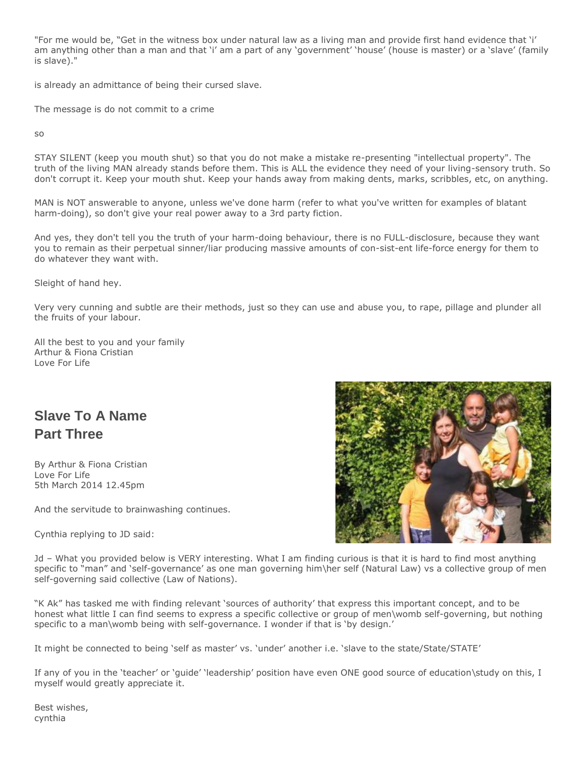"For me would be, "Get in the witness box under natural law as a living man and provide first hand evidence that 'i' am anything other than a man and that 'i' am a part of any 'government' 'house' (house is master) or a 'slave' (family is slave)."

is already an admittance of being their cursed slave.

The message is do not commit to a crime

so

STAY SILENT (keep you mouth shut) so that you do not make a mistake re-presenting "intellectual property". The truth of the living MAN already stands before them. This is ALL the evidence they need of your living-sensory truth. So don't corrupt it. Keep your mouth shut. Keep your hands away from making dents, marks, scribbles, etc, on anything.

MAN is NOT answerable to anyone, unless we've done harm (refer to what you've written for examples of blatant harm-doing), so don't give your real power away to a 3rd party fiction.

And yes, they don't tell you the truth of your harm-doing behaviour, there is no FULL-disclosure, because they want you to remain as their perpetual sinner/liar producing massive amounts of con-sist-ent life-force energy for them to do whatever they want with.

Sleight of hand hey.

Very very cunning and subtle are their methods, just so they can use and abuse you, to rape, pillage and plunder all the fruits of your labour.

All the best to you and your family Arthur & Fiona Cristian Love For Life

# **Slave To A Name Part Three**

By Arthur & Fiona Cristian Love For Life 5th March 2014 12.45pm

And the servitude to brainwashing continues.

Cynthia replying to JD said:



Jd – What you provided below is VERY interesting. What I am finding curious is that it is hard to find most anything specific to "man" and 'self-governance' as one man governing him\her self (Natural Law) vs a collective group of men self-governing said collective (Law of Nations).

"K Ak" has tasked me with finding relevant 'sources of authority' that express this important concept, and to be honest what little I can find seems to express a specific collective or group of men\womb self-governing, but nothing specific to a man\womb being with self-governance. I wonder if that is 'by design.'

It might be connected to being 'self as master' vs. 'under' another i.e. 'slave to the state/State/STATE'

If any of you in the 'teacher' or 'guide' 'leadership' position have even ONE good source of education\study on this, I myself would greatly appreciate it.

Best wishes, cynthia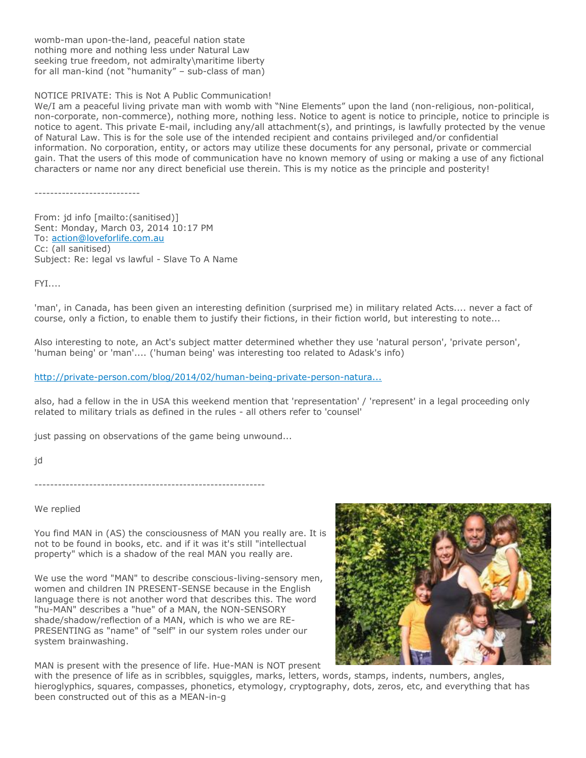womb-man upon-the-land, peaceful nation state nothing more and nothing less under Natural Law seeking true freedom, not admiralty\maritime liberty for all man-kind (not "humanity" – sub-class of man)

NOTICE PRIVATE: This is Not A Public Communication!

We/I am a peaceful living private man with womb with "Nine Elements" upon the land (non-religious, non-political, non-corporate, non-commerce), nothing more, nothing less. Notice to agent is notice to principle, notice to principle is notice to agent. This private E-mail, including any/all attachment(s), and printings, is lawfully protected by the venue of Natural Law. This is for the sole use of the intended recipient and contains privileged and/or confidential information. No corporation, entity, or actors may utilize these documents for any personal, private or commercial gain. That the users of this mode of communication have no known memory of using or making a use of any fictional characters or name nor any direct beneficial use therein. This is my notice as the principle and posterity!

---------------------------

From: jd info [mailto:(sanitised)] Sent: Monday, March 03, 2014 10:17 PM To: [action@loveforlife.com.au](mailto:action@loveforlife.com.au) Cc: (all sanitised) Subject: Re: legal vs lawful - Slave To A Name

FYI....

'man', in Canada, has been given an interesting definition (surprised me) in military related Acts.... never a fact of course, only a fiction, to enable them to justify their fictions, in their fiction world, but interesting to note...

Also interesting to note, an Act's subject matter determined whether they use 'natural person', 'private person', 'human being' or 'man'.... ('human being' was interesting too related to Adask's info)

### [http://private-person.com/blog/2014/02/human-being-private-person-natura...](http://private-person.com/blog/2014/02/human-being-private-person-natural-person-man-in-statutes/)

also, had a fellow in the in USA this weekend mention that 'representation' / 'represent' in a legal proceeding only related to military trials as defined in the rules - all others refer to 'counsel'

just passing on observations of the game being unwound...

jd

-----------------------------------------------------------

We replied

You find MAN in (AS) the consciousness of MAN you really are. It is not to be found in books, etc. and if it was it's still "intellectual property" which is a shadow of the real MAN you really are.

We use the word "MAN" to describe conscious-living-sensory men, women and children IN PRESENT-SENSE because in the English language there is not another word that describes this. The word "hu-MAN" describes a "hue" of a MAN, the NON-SENSORY shade/shadow/reflection of a MAN, which is who we are RE-PRESENTING as "name" of "self" in our system roles under our system brainwashing.



MAN is present with the presence of life. Hue-MAN is NOT present

with the presence of life as in scribbles, squiggles, marks, letters, words, stamps, indents, numbers, angles, hieroglyphics, squares, compasses, phonetics, etymology, cryptography, dots, zeros, etc, and everything that has been constructed out of this as a MEAN-in-g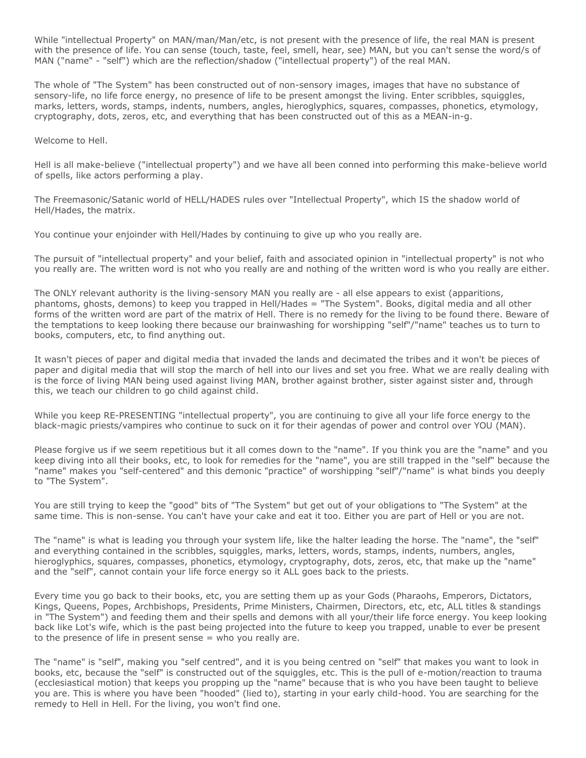While "intellectual Property" on MAN/man/Man/etc, is not present with the presence of life, the real MAN is present with the presence of life. You can sense (touch, taste, feel, smell, hear, see) MAN, but you can't sense the word/s of MAN ("name" - "self") which are the reflection/shadow ("intellectual property") of the real MAN.

The whole of "The System" has been constructed out of non-sensory images, images that have no substance of sensory-life, no life force energy, no presence of life to be present amongst the living. Enter scribbles, squiggles, marks, letters, words, stamps, indents, numbers, angles, hieroglyphics, squares, compasses, phonetics, etymology, cryptography, dots, zeros, etc, and everything that has been constructed out of this as a MEAN-in-g.

Welcome to Hell.

Hell is all make-believe ("intellectual property") and we have all been conned into performing this make-believe world of spells, like actors performing a play.

The Freemasonic/Satanic world of HELL/HADES rules over "Intellectual Property", which IS the shadow world of Hell/Hades, the matrix.

You continue your enjoinder with Hell/Hades by continuing to give up who you really are.

The pursuit of "intellectual property" and your belief, faith and associated opinion in "intellectual property" is not who you really are. The written word is not who you really are and nothing of the written word is who you really are either.

The ONLY relevant authority is the living-sensory MAN you really are - all else appears to exist (apparitions, phantoms, ghosts, demons) to keep you trapped in Hell/Hades = "The System". Books, digital media and all other forms of the written word are part of the matrix of Hell. There is no remedy for the living to be found there. Beware of the temptations to keep looking there because our brainwashing for worshipping "self"/"name" teaches us to turn to books, computers, etc, to find anything out.

It wasn't pieces of paper and digital media that invaded the lands and decimated the tribes and it won't be pieces of paper and digital media that will stop the march of hell into our lives and set you free. What we are really dealing with is the force of living MAN being used against living MAN, brother against brother, sister against sister and, through this, we teach our children to go child against child.

While you keep RE-PRESENTING "intellectual property", you are continuing to give all your life force energy to the black-magic priests/vampires who continue to suck on it for their agendas of power and control over YOU (MAN).

Please forgive us if we seem repetitious but it all comes down to the "name". If you think you are the "name" and you keep diving into all their books, etc, to look for remedies for the "name", you are still trapped in the "self" because the "name" makes you "self-centered" and this demonic "practice" of worshipping "self"/"name" is what binds you deeply to "The System".

You are still trying to keep the "good" bits of "The System" but get out of your obligations to "The System" at the same time. This is non-sense. You can't have your cake and eat it too. Either you are part of Hell or you are not.

The "name" is what is leading you through your system life, like the halter leading the horse. The "name", the "self" and everything contained in the scribbles, squiggles, marks, letters, words, stamps, indents, numbers, angles, hieroglyphics, squares, compasses, phonetics, etymology, cryptography, dots, zeros, etc, that make up the "name" and the "self", cannot contain your life force energy so it ALL goes back to the priests.

Every time you go back to their books, etc, you are setting them up as your Gods (Pharaohs, Emperors, Dictators, Kings, Queens, Popes, Archbishops, Presidents, Prime Ministers, Chairmen, Directors, etc, etc, ALL titles & standings in "The System") and feeding them and their spells and demons with all your/their life force energy. You keep looking back like Lot's wife, which is the past being projected into the future to keep you trapped, unable to ever be present to the presence of life in present sense = who you really are.

The "name" is "self", making you "self centred", and it is you being centred on "self" that makes you want to look in books, etc, because the "self" is constructed out of the squiggles, etc. This is the pull of e-motion/reaction to trauma (ecclesiastical motion) that keeps you propping up the "name" because that is who you have been taught to believe you are. This is where you have been "hooded" (lied to), starting in your early child-hood. You are searching for the remedy to Hell in Hell. For the living, you won't find one.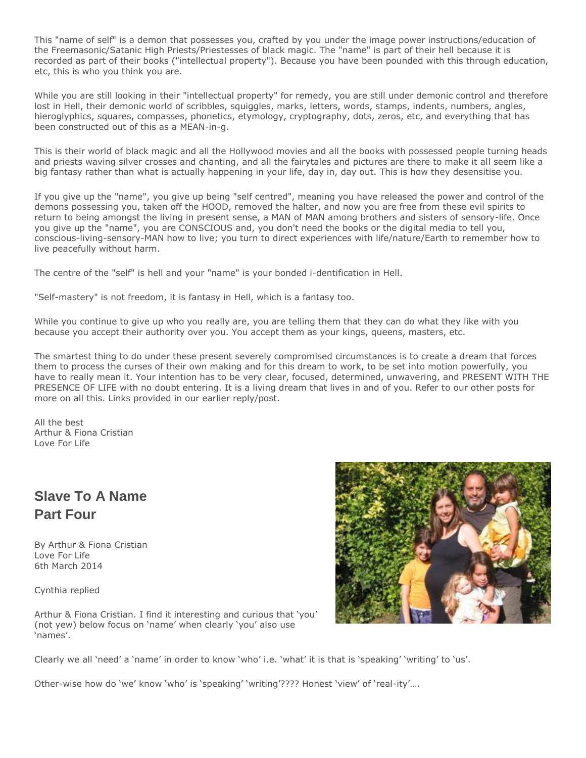This "name of self" is a demon that possesses you, crafted by you under the image power instructions/education of the Freemasonic/Satanic High Priests/Priestesses of black magic. The "name" is part of their hell because it is recorded as part of their books ("intellectual property"). Because you have been pounded with this through education, etc, this is who you think you are.

While you are still looking in their "intellectual property" for remedy, you are still under demonic control and therefore lost in Hell, their demonic world of scribbles, squiggles, marks, letters, words, stamps, indents, numbers, angles, hieroglyphics, squares, compasses, phonetics, etymology, cryptography, dots, zeros, etc, and everything that has been constructed out of this as a MEAN-in-g.

This is their world of black magic and all the Hollywood movies and all the books with possessed people turning heads and priests waving silver crosses and chanting, and all the fairytales and pictures are there to make it all seem like a big fantasy rather than what is actually happening in your life, day in, day out. This is how they desensitise you.

If you give up the "name", you give up being "self centred", meaning you have released the power and control of the demons possessing you, taken off the HOOD, removed the halter, and now you are free from these evil spirits to return to being amongst the living in present sense, a MAN of MAN among brothers and sisters of sensory-life. Once you give up the "name", you are CONSCIOUS and, you don't need the books or the digital media to tell you, conscious-living-sensory-MAN how to live; you turn to direct experiences with life/nature/Earth to remember how to live peacefully without harm.

The centre of the "self" is hell and your "name" is your bonded i-dentification in Hell.

"Self-mastery" is not freedom, it is fantasy in Hell, which is a fantasy too.

While you continue to give up who you really are, you are telling them that they can do what they like with you because you accept their authority over you. You accept them as your kings, queens, masters, etc.

The smartest thing to do under these present severely compromised circumstances is to create a dream that forces them to process the curses of their own making and for this dream to work, to be set into motion powerfully, you have to really mean it. Your intention has to be very clear, focused, determined, unwavering, and PRESENT WITH THE PRESENCE OF LIFE with no doubt entering. It is a living dream that lives in and of you. Refer to our other posts for more on all this. Links provided in our earlier reply/post.

All the best Arthur & Fiona Cristian Love For Life

# **Slave To A Name Part Four**

By Arthur & Fiona Cristian Love For Life 6th March 2014

Cynthia replied

Arthur & Fiona Cristian. I find it interesting and curious that 'you' (not yew) below focus on 'name' when clearly 'you' also use 'names'.



Clearly we all 'need' a 'name' in order to know 'who' i.e. 'what' it is that is 'speaking' 'writing' to 'us'.

Other-wise how do 'we' know 'who' is 'speaking' 'writing'???? Honest 'view' of 'real-ity'….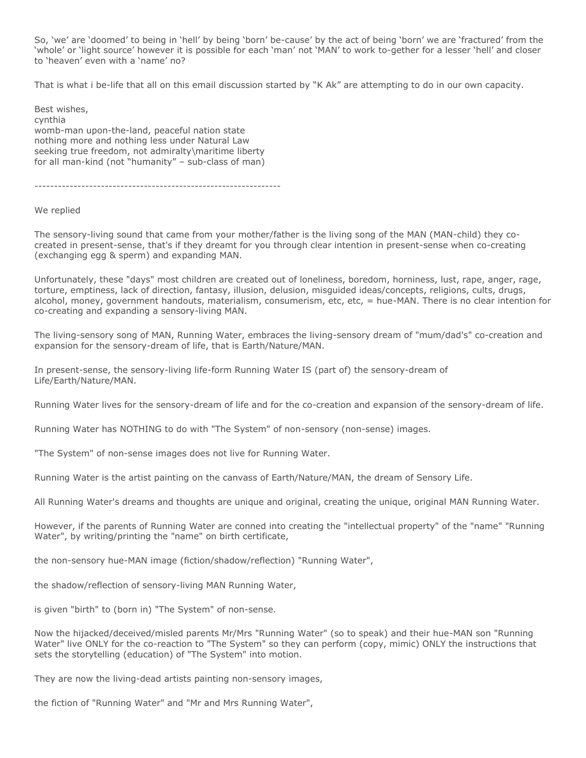So, 'we' are 'doomed' to being in 'hell' by being 'born' be-cause' by the act of being 'born' we are 'fractured' from the 'whole' or 'light source' however it is possible for each 'man' not 'MAN' to work to-gether for a lesser 'hell' and closer to 'heaven' even with a 'name' no?

That is what i be-life that all on this email discussion started by "K Ak" are attempting to do in our own capacity.

Best wishes, cynthia womb-man upon-the-land, peaceful nation state nothing more and nothing less under Natural Law seeking true freedom, not admiralty\maritime liberty for all man-kind (not "humanity" – sub-class of man)

---------------------------------------------------------------

We replied

The sensory-living sound that came from your mother/father is the living song of the MAN (MAN-child) they cocreated in present-sense, that's if they dreamt for you through clear intention in present-sense when co-creating (exchanging egg & sperm) and expanding MAN.

Unfortunately, these "days" most children are created out of loneliness, boredom, horniness, lust, rape, anger, rage, torture, emptiness, lack of direction, fantasy, illusion, delusion, misguided ideas/concepts, religions, cults, drugs, alcohol, money, government handouts, materialism, consumerism, etc, etc, = hue-MAN. There is no clear intention for co-creating and expanding a sensory-living MAN.

The living-sensory song of MAN, Running Water, embraces the living-sensory dream of "mum/dad's" co-creation and expansion for the sensory-dream of life, that is Earth/Nature/MAN.

In present-sense, the sensory-living life-form Running Water IS (part of) the sensory-dream of Life/Earth/Nature/MAN.

Running Water lives for the sensory-dream of life and for the co-creation and expansion of the sensory-dream of life.

Running Water has NOTHING to do with "The System" of non-sensory (non-sense) images.

"The System" of non-sense images does not live for Running Water.

Running Water is the artist painting on the canvass of Earth/Nature/MAN, the dream of Sensory Life.

All Running Water's dreams and thoughts are unique and original, creating the unique, original MAN Running Water.

However, if the parents of Running Water are conned into creating the "intellectual property" of the "name" "Running Water", by writing/printing the "name" on birth certificate,

the non-sensory hue-MAN image (fiction/shadow/reflection) "Running Water",

the shadow/reflection of sensory-living MAN Running Water,

is given "birth" to (born in) "The System" of non-sense.

Now the hijacked/deceived/misled parents Mr/Mrs "Running Water" (so to speak) and their hue-MAN son "Running Water" live ONLY for the co-reaction to "The System" so they can perform (copy, mimic) ONLY the instructions that sets the storytelling (education) of "The System" into motion.

They are now the living-dead artists painting non-sensory images,

the fiction of "Running Water" and "Mr and Mrs Running Water",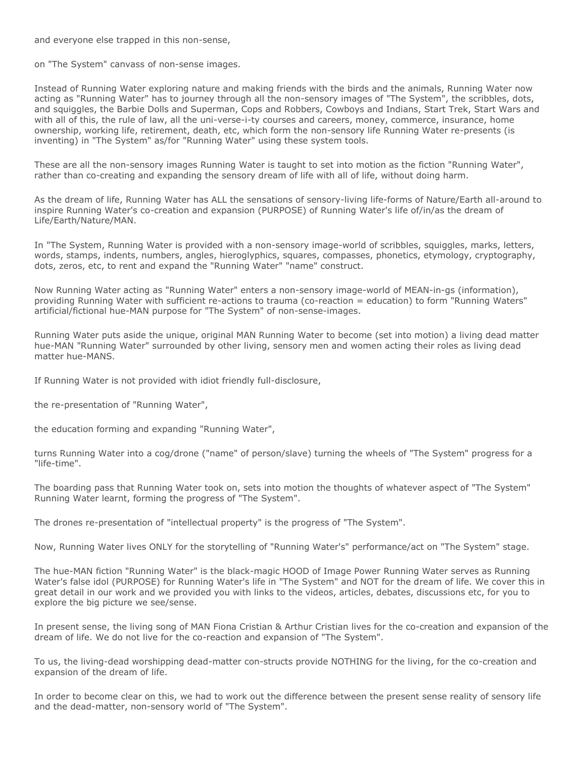and everyone else trapped in this non-sense,

on "The System" canvass of non-sense images.

Instead of Running Water exploring nature and making friends with the birds and the animals, Running Water now acting as "Running Water" has to journey through all the non-sensory images of "The System", the scribbles, dots, and squiggles, the Barbie Dolls and Superman, Cops and Robbers, Cowboys and Indians, Start Trek, Start Wars and with all of this, the rule of law, all the uni-verse-i-ty courses and careers, money, commerce, insurance, home ownership, working life, retirement, death, etc, which form the non-sensory life Running Water re-presents (is inventing) in "The System" as/for "Running Water" using these system tools.

These are all the non-sensory images Running Water is taught to set into motion as the fiction "Running Water", rather than co-creating and expanding the sensory dream of life with all of life, without doing harm.

As the dream of life, Running Water has ALL the sensations of sensory-living life-forms of Nature/Earth all-around to inspire Running Water's co-creation and expansion (PURPOSE) of Running Water's life of/in/as the dream of Life/Earth/Nature/MAN.

In "The System, Running Water is provided with a non-sensory image-world of scribbles, squiggles, marks, letters, words, stamps, indents, numbers, angles, hieroglyphics, squares, compasses, phonetics, etymology, cryptography, dots, zeros, etc, to rent and expand the "Running Water" "name" construct.

Now Running Water acting as "Running Water" enters a non-sensory image-world of MEAN-in-gs (information), providing Running Water with sufficient re-actions to trauma (co-reaction = education) to form "Running Waters" artificial/fictional hue-MAN purpose for "The System" of non-sense-images.

Running Water puts aside the unique, original MAN Running Water to become (set into motion) a living dead matter hue-MAN "Running Water" surrounded by other living, sensory men and women acting their roles as living dead matter hue-MANS.

If Running Water is not provided with idiot friendly full-disclosure,

the re-presentation of "Running Water",

the education forming and expanding "Running Water",

turns Running Water into a cog/drone ("name" of person/slave) turning the wheels of "The System" progress for a "life-time".

The boarding pass that Running Water took on, sets into motion the thoughts of whatever aspect of "The System" Running Water learnt, forming the progress of "The System".

The drones re-presentation of "intellectual property" is the progress of "The System".

Now, Running Water lives ONLY for the storytelling of "Running Water's" performance/act on "The System" stage.

The hue-MAN fiction "Running Water" is the black-magic HOOD of Image Power Running Water serves as Running Water's false idol (PURPOSE) for Running Water's life in "The System" and NOT for the dream of life. We cover this in great detail in our work and we provided you with links to the videos, articles, debates, discussions etc, for you to explore the big picture we see/sense.

In present sense, the living song of MAN Fiona Cristian & Arthur Cristian lives for the co-creation and expansion of the dream of life. We do not live for the co-reaction and expansion of "The System".

To us, the living-dead worshipping dead-matter con-structs provide NOTHING for the living, for the co-creation and expansion of the dream of life.

In order to become clear on this, we had to work out the difference between the present sense reality of sensory life and the dead-matter, non-sensory world of "The System".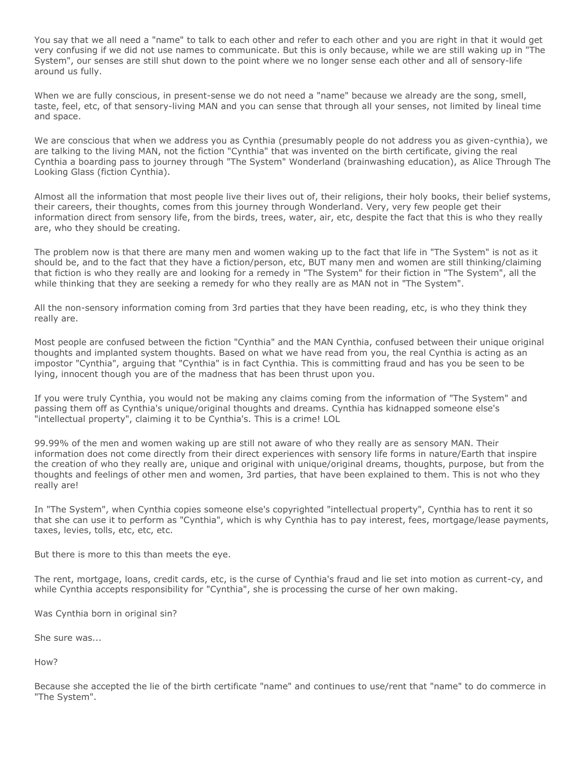You say that we all need a "name" to talk to each other and refer to each other and you are right in that it would get very confusing if we did not use names to communicate. But this is only because, while we are still waking up in "The System", our senses are still shut down to the point where we no longer sense each other and all of sensory-life around us fully.

When we are fully conscious, in present-sense we do not need a "name" because we already are the song, smell, taste, feel, etc, of that sensory-living MAN and you can sense that through all your senses, not limited by lineal time and space.

We are conscious that when we address you as Cynthia (presumably people do not address you as given-cynthia), we are talking to the living MAN, not the fiction "Cynthia" that was invented on the birth certificate, giving the real Cynthia a boarding pass to journey through "The System" Wonderland (brainwashing education), as Alice Through The Looking Glass (fiction Cynthia).

Almost all the information that most people live their lives out of, their religions, their holy books, their belief systems, their careers, their thoughts, comes from this journey through Wonderland. Very, very few people get their information direct from sensory life, from the birds, trees, water, air, etc, despite the fact that this is who they really are, who they should be creating.

The problem now is that there are many men and women waking up to the fact that life in "The System" is not as it should be, and to the fact that they have a fiction/person, etc, BUT many men and women are still thinking/claiming that fiction is who they really are and looking for a remedy in "The System" for their fiction in "The System", all the while thinking that they are seeking a remedy for who they really are as MAN not in "The System".

All the non-sensory information coming from 3rd parties that they have been reading, etc, is who they think they really are.

Most people are confused between the fiction "Cynthia" and the MAN Cynthia, confused between their unique original thoughts and implanted system thoughts. Based on what we have read from you, the real Cynthia is acting as an impostor "Cynthia", arguing that "Cynthia" is in fact Cynthia. This is committing fraud and has you be seen to be lying, innocent though you are of the madness that has been thrust upon you.

If you were truly Cynthia, you would not be making any claims coming from the information of "The System" and passing them off as Cynthia's unique/original thoughts and dreams. Cynthia has kidnapped someone else's "intellectual property", claiming it to be Cynthia's. This is a crime! LOL

99.99% of the men and women waking up are still not aware of who they really are as sensory MAN. Their information does not come directly from their direct experiences with sensory life forms in nature/Earth that inspire the creation of who they really are, unique and original with unique/original dreams, thoughts, purpose, but from the thoughts and feelings of other men and women, 3rd parties, that have been explained to them. This is not who they really are!

In "The System", when Cynthia copies someone else's copyrighted "intellectual property", Cynthia has to rent it so that she can use it to perform as "Cynthia", which is why Cynthia has to pay interest, fees, mortgage/lease payments, taxes, levies, tolls, etc, etc, etc.

But there is more to this than meets the eye.

The rent, mortgage, loans, credit cards, etc, is the curse of Cynthia's fraud and lie set into motion as current-cy, and while Cynthia accepts responsibility for "Cynthia", she is processing the curse of her own making.

Was Cynthia born in original sin?

She sure was...

How?

Because she accepted the lie of the birth certificate "name" and continues to use/rent that "name" to do commerce in "The System".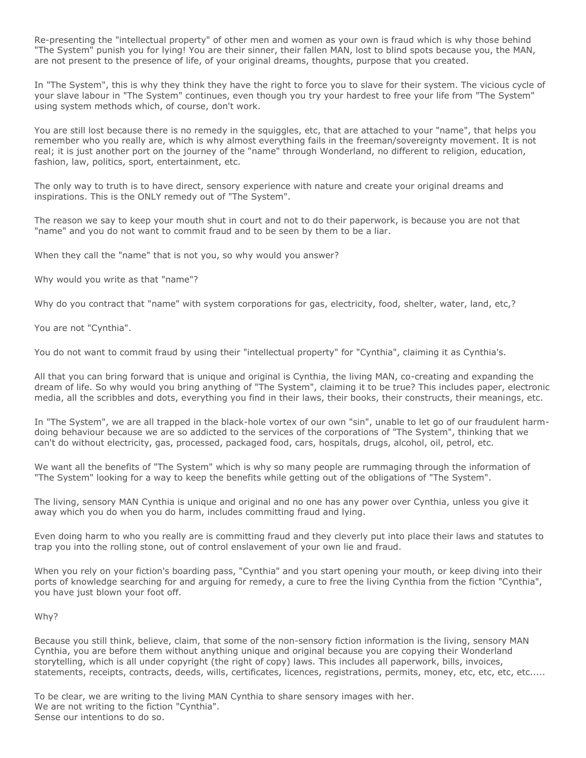Re-presenting the "intellectual property" of other men and women as your own is fraud which is why those behind "The System" punish you for lying! You are their sinner, their fallen MAN, lost to blind spots because you, the MAN, are not present to the presence of life, of your original dreams, thoughts, purpose that you created.

In "The System", this is why they think they have the right to force you to slave for their system. The vicious cycle of your slave labour in "The System" continues, even though you try your hardest to free your life from "The System" using system methods which, of course, don't work.

You are still lost because there is no remedy in the squiggles, etc, that are attached to your "name", that helps you remember who you really are, which is why almost everything fails in the freeman/sovereignty movement. It is not real; it is just another port on the journey of the "name" through Wonderland, no different to religion, education, fashion, law, politics, sport, entertainment, etc.

The only way to truth is to have direct, sensory experience with nature and create your original dreams and inspirations. This is the ONLY remedy out of "The System".

The reason we say to keep your mouth shut in court and not to do their paperwork, is because you are not that "name" and you do not want to commit fraud and to be seen by them to be a liar.

When they call the "name" that is not you, so why would you answer?

Why would you write as that "name"?

Why do you contract that "name" with system corporations for gas, electricity, food, shelter, water, land, etc,?

You are not "Cynthia".

You do not want to commit fraud by using their "intellectual property" for "Cynthia", claiming it as Cynthia's.

All that you can bring forward that is unique and original is Cynthia, the living MAN, co-creating and expanding the dream of life. So why would you bring anything of "The System", claiming it to be true? This includes paper, electronic media, all the scribbles and dots, everything you find in their laws, their books, their constructs, their meanings, etc.

In "The System", we are all trapped in the black-hole vortex of our own "sin", unable to let go of our fraudulent harmdoing behaviour because we are so addicted to the services of the corporations of "The System", thinking that we can't do without electricity, gas, processed, packaged food, cars, hospitals, drugs, alcohol, oil, petrol, etc.

We want all the benefits of "The System" which is why so many people are rummaging through the information of "The System" looking for a way to keep the benefits while getting out of the obligations of "The System".

The living, sensory MAN Cynthia is unique and original and no one has any power over Cynthia, unless you give it away which you do when you do harm, includes committing fraud and lying.

Even doing harm to who you really are is committing fraud and they cleverly put into place their laws and statutes to trap you into the rolling stone, out of control enslavement of your own lie and fraud.

When you rely on your fiction's boarding pass, "Cynthia" and you start opening your mouth, or keep diving into their ports of knowledge searching for and arguing for remedy, a cure to free the living Cynthia from the fiction "Cynthia", you have just blown your foot off.

### Why?

Because you still think, believe, claim, that some of the non-sensory fiction information is the living, sensory MAN Cynthia, you are before them without anything unique and original because you are copying their Wonderland storytelling, which is all under copyright (the right of copy) laws. This includes all paperwork, bills, invoices, statements, receipts, contracts, deeds, wills, certificates, licences, registrations, permits, money, etc, etc, etc, etc.....

To be clear, we are writing to the living MAN Cynthia to share sensory images with her. We are not writing to the fiction "Cynthia". Sense our intentions to do so.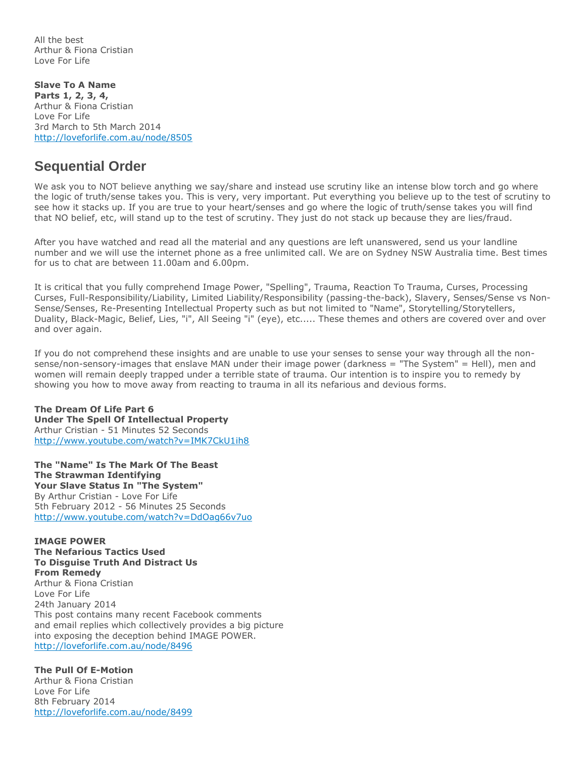All the best Arthur & Fiona Cristian Love For Life

**Slave To A Name Parts 1, 2, 3, 4,** Arthur & Fiona Cristian Love For Life 3rd March to 5th March 2014 <http://loveforlife.com.au/node/8505>

### **Sequential Order**

We ask you to NOT believe anything we say/share and instead use scrutiny like an intense blow torch and go where the logic of truth/sense takes you. This is very, very important. Put everything you believe up to the test of scrutiny to see how it stacks up. If you are true to your heart/senses and go where the logic of truth/sense takes you will find that NO belief, etc, will stand up to the test of scrutiny. They just do not stack up because they are lies/fraud.

After you have watched and read all the material and any questions are left unanswered, send us your landline number and we will use the internet phone as a free unlimited call. We are on Sydney NSW Australia time. Best times for us to chat are between 11.00am and 6.00pm.

It is critical that you fully comprehend Image Power, "Spelling", Trauma, Reaction To Trauma, Curses, Processing Curses, Full-Responsibility/Liability, Limited Liability/Responsibility (passing-the-back), Slavery, Senses/Sense vs Non-Sense/Senses, Re-Presenting Intellectual Property such as but not limited to "Name", Storytelling/Storytellers, Duality, Black-Magic, Belief, Lies, "i", All Seeing "i" (eye), etc..... These themes and others are covered over and over and over again.

If you do not comprehend these insights and are unable to use your senses to sense your way through all the nonsense/non-sensory-images that enslave MAN under their image power (darkness = "The System" = Hell), men and women will remain deeply trapped under a terrible state of trauma. Our intention is to inspire you to remedy by showing you how to move away from reacting to trauma in all its nefarious and devious forms.

**The Dream Of Life Part 6 Under The Spell Of Intellectual Property** Arthur Cristian - 51 Minutes 52 Seconds <http://www.youtube.com/watch?v=IMK7CkU1ih8>

**The "Name" Is The Mark Of The Beast The Strawman Identifying Your Slave Status In "The System"** By Arthur Cristian - Love For Life 5th February 2012 - 56 Minutes 25 Seconds <http://www.youtube.com/watch?v=DdOag66v7uo>

**IMAGE POWER The Nefarious Tactics Used To Disguise Truth And Distract Us From Remedy** Arthur & Fiona Cristian Love For Life 24th January 2014 This post contains many recent Facebook comments and email replies which collectively provides a big picture into exposing the deception behind IMAGE POWER. <http://loveforlife.com.au/node/8496>

### **The Pull Of E-Motion**

Arthur & Fiona Cristian Love For Life 8th February 2014 <http://loveforlife.com.au/node/8499>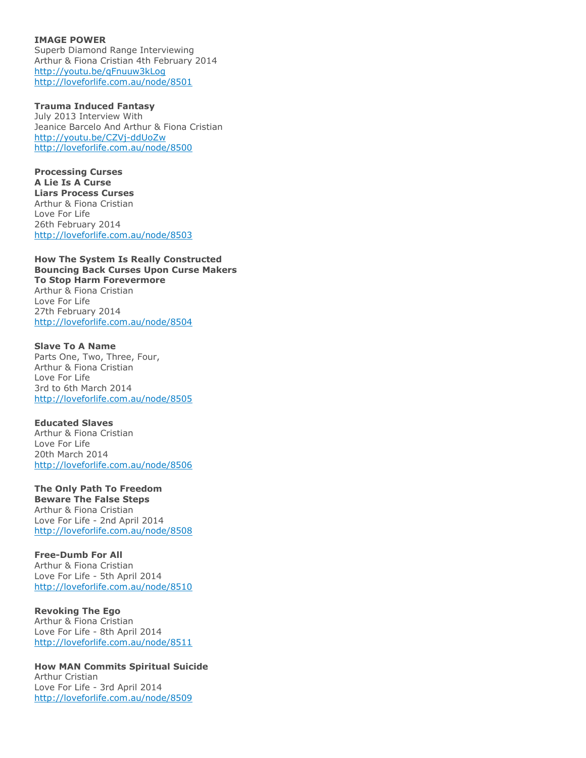**IMAGE POWER** Superb Diamond Range Interviewing Arthur & Fiona Cristian 4th February 2014 <http://youtu.be/qFnuuw3kLog> <http://loveforlife.com.au/node/8501>

**Trauma Induced Fantasy** July 2013 Interview With Jeanice Barcelo And Arthur & Fiona Cristian <http://youtu.be/CZVj-ddUoZw> <http://loveforlife.com.au/node/8500>

**Processing Curses A Lie Is A Curse Liars Process Curses** Arthur & Fiona Cristian Love For Life 26th February 2014 <http://loveforlife.com.au/node/8503>

**How The System Is Really Constructed Bouncing Back Curses Upon Curse Makers To Stop Harm Forevermore** Arthur & Fiona Cristian Love For Life 27th February 2014 <http://loveforlife.com.au/node/8504>

**Slave To A Name** Parts One, Two, Three, Four, Arthur & Fiona Cristian Love For Life 3rd to 6th March 2014 <http://loveforlife.com.au/node/8505>

**Educated Slaves** Arthur & Fiona Cristian Love For Life 20th March 2014 <http://loveforlife.com.au/node/8506>

**The Only Path To Freedom Beware The False Steps** Arthur & Fiona Cristian

Love For Life - 2nd April 2014 <http://loveforlife.com.au/node/8508>

**Free-Dumb For All** Arthur & Fiona Cristian Love For Life - 5th April 2014 <http://loveforlife.com.au/node/8510>

**Revoking The Ego** Arthur & Fiona Cristian Love For Life - 8th April 2014 <http://loveforlife.com.au/node/8511>

**How MAN Commits Spiritual Suicide** Arthur Cristian Love For Life - 3rd April 2014 <http://loveforlife.com.au/node/8509>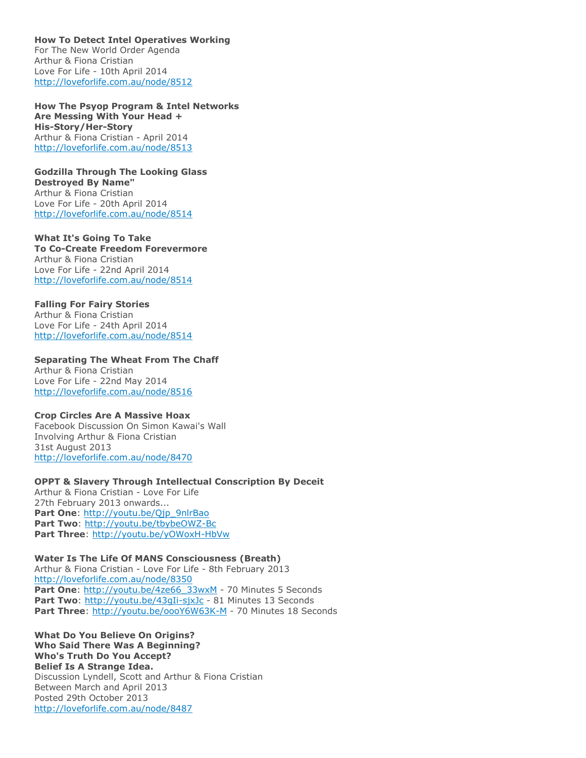**How To Detect Intel Operatives Working** For The New World Order Agenda Arthur & Fiona Cristian Love For Life - 10th April 2014 <http://loveforlife.com.au/node/8512>

**How The Psyop Program & Intel Networks Are Messing With Your Head + His-Story/Her-Story** Arthur & Fiona Cristian - April 2014 <http://loveforlife.com.au/node/8513>

**Godzilla Through The Looking Glass Destroyed By Name"** Arthur & Fiona Cristian Love For Life - 20th April 2014 <http://loveforlife.com.au/node/8514>

**What It's Going To Take To Co-Create Freedom Forevermore** Arthur & Fiona Cristian Love For Life - 22nd April 2014 <http://loveforlife.com.au/node/8514>

**Falling For Fairy Stories** Arthur & Fiona Cristian Love For Life - 24th April 2014 <http://loveforlife.com.au/node/8514>

**Separating The Wheat From The Chaff** Arthur & Fiona Cristian Love For Life - 22nd May 2014

<http://loveforlife.com.au/node/8516>

**Crop Circles Are A Massive Hoax**

Facebook Discussion On Simon Kawai's Wall Involving Arthur & Fiona Cristian 31st August 2013 <http://loveforlife.com.au/node/8470>

**OPPT & Slavery Through Intellectual Conscription By Deceit** Arthur & Fiona Cristian - Love For Life 27th February 2013 onwards... **Part One: http://voutu.be/Ojp\_9nlrBao Part Two**: <http://youtu.be/tbybeOWZ-Bc> Part Three: <http://youtu.be/yOWoxH-HbVw>

**Water Is The Life Of MANS Consciousness (Breath)** Arthur & Fiona Cristian - Love For Life - 8th February 2013 <http://loveforlife.com.au/node/8350> Part One: [http://youtu.be/4ze66\\_33wxM](http://youtu.be/4ze66_33wxM) - 70 Minutes 5 Seconds Part Two: <http://youtu.be/43gIi-sjxJc> - 81 Minutes 13 Seconds Part Three: <http://youtu.be/oooY6W63K-M> - 70 Minutes 18 Seconds

**What Do You Believe On Origins? Who Said There Was A Beginning? Who's Truth Do You Accept? Belief Is A Strange Idea.** Discussion Lyndell, Scott and Arthur & Fiona Cristian Between March and April 2013 Posted 29th October 2013 <http://loveforlife.com.au/node/8487>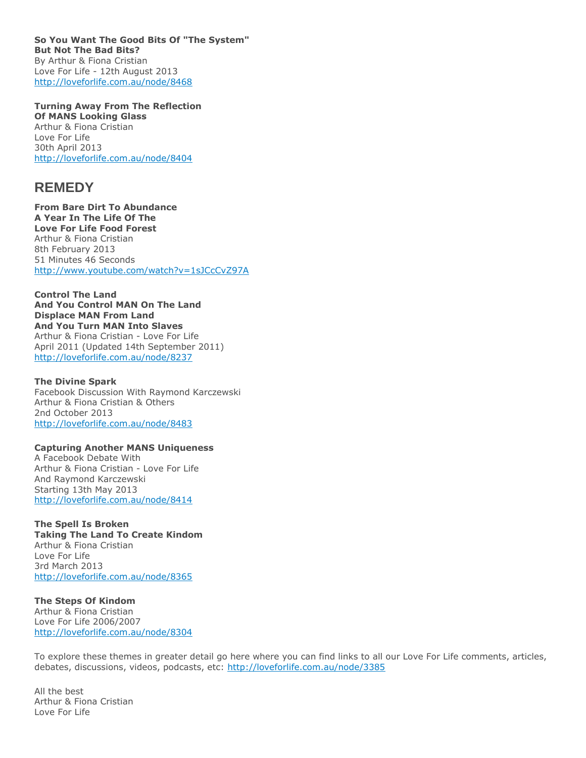**So You Want The Good Bits Of "The System" But Not The Bad Bits?** By Arthur & Fiona Cristian Love For Life - 12th August 2013 <http://loveforlife.com.au/node/8468>

**Turning Away From The Reflection Of MANS Looking Glass** Arthur & Fiona Cristian Love For Life 30th April 2013 <http://loveforlife.com.au/node/8404>

### **REMEDY**

**From Bare Dirt To Abundance A Year In The Life Of The Love For Life Food Forest** Arthur & Fiona Cristian 8th February 2013 51 Minutes 46 Seconds <http://www.youtube.com/watch?v=1sJCcCvZ97A>

**Control The Land And You Control MAN On The Land Displace MAN From Land And You Turn MAN Into Slaves** Arthur & Fiona Cristian - Love For Life April 2011 (Updated 14th September 2011) <http://loveforlife.com.au/node/8237>

**The Divine Spark** Facebook Discussion With Raymond Karczewski Arthur & Fiona Cristian & Others 2nd October 2013 <http://loveforlife.com.au/node/8483>

#### **Capturing Another MANS Uniqueness** A Facebook Debate With

Arthur & Fiona Cristian - Love For Life And Raymond Karczewski Starting 13th May 2013 <http://loveforlife.com.au/node/8414>

**The Spell Is Broken Taking The Land To Create Kindom** Arthur & Fiona Cristian Love For Life 3rd March 2013 <http://loveforlife.com.au/node/8365>

**The Steps Of Kindom** Arthur & Fiona Cristian Love For Life 2006/2007 <http://loveforlife.com.au/node/8304>

To explore these themes in greater detail go here where you can find links to all our Love For Life comments, articles, debates, discussions, videos, podcasts, etc: <http://loveforlife.com.au/node/3385>

All the best Arthur & Fiona Cristian Love For Life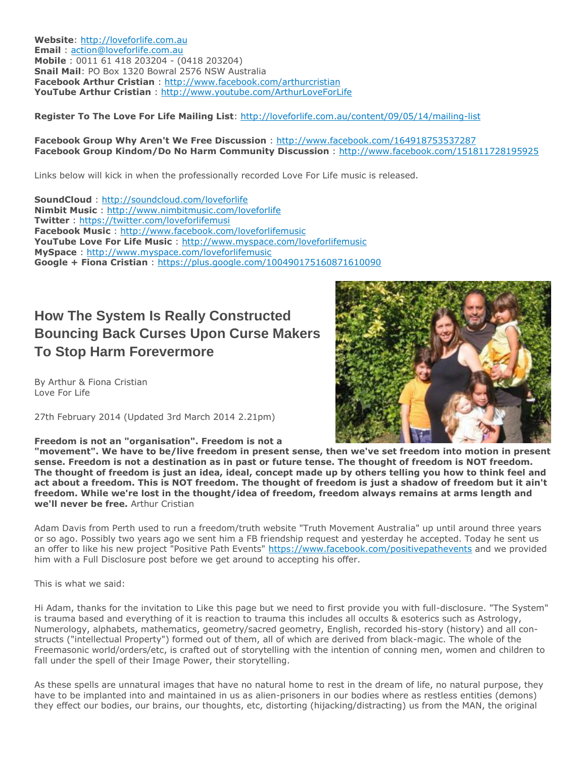**Website**: [http://loveforlife.com.au](http://loveforlife.com.au/) **Email** : [action@loveforlife.com.au](mailto:action@loveforlife.com.au) **Mobile** : 0011 61 418 203204 - (0418 203204) **Snail Mail**: PO Box 1320 Bowral 2576 NSW Australia **Facebook Arthur Cristian** : <http://www.facebook.com/arthurcristian> **YouTube Arthur Cristian** : <http://www.youtube.com/ArthurLoveForLife>

**Register To The Love For Life Mailing List**: <http://loveforlife.com.au/content/09/05/14/mailing-list>

### **Facebook Group Why Aren't We Free Discussion** : <http://www.facebook.com/164918753537287> **Facebook Group Kindom/Do No Harm Community Discussion** : <http://www.facebook.com/151811728195925>

Links below will kick in when the professionally recorded Love For Life music is released.

**SoundCloud** : <http://soundcloud.com/loveforlife> **Nimbit Music** : <http://www.nimbitmusic.com/loveforlife> **Twitter** : <https://twitter.com/loveforlifemusi> **Facebook Music** : <http://www.facebook.com/loveforlifemusic> **YouTube Love For Life Music** : <http://www.myspace.com/loveforlifemusic> **MySpace** : <http://www.myspace.com/loveforlifemusic> **Google + Fiona Cristian** : <https://plus.google.com/100490175160871610090>

# **How The System Is Really Constructed Bouncing Back Curses Upon Curse Makers To Stop Harm Forevermore**

By Arthur & Fiona Cristian Love For Life

27th February 2014 (Updated 3rd March 2014 2.21pm)

**Freedom is not an "organisation". Freedom is not a** 

**"movement". We have to be/live freedom in present sense, then we've set freedom into motion in present sense. Freedom is not a destination as in past or future tense. The thought of freedom is NOT freedom. The thought of freedom is just an idea, ideal, concept made up by others telling you how to think feel and act about a freedom. This is NOT freedom. The thought of freedom is just a shadow of freedom but it ain't freedom. While we're lost in the thought/idea of freedom, freedom always remains at arms length and we'll never be free.** Arthur Cristian

Adam Davis from Perth used to run a freedom/truth website "Truth Movement Australia" up until around three years or so ago. Possibly two years ago we sent him a FB friendship request and yesterday he accepted. Today he sent us an offer to like his new project "Positive Path Events" <https://www.facebook.com/positivepathevents> and we provided him with a Full Disclosure post before we get around to accepting his offer.

This is what we said:

Hi Adam, thanks for the invitation to Like this page but we need to first provide you with full-disclosure. "The System" is trauma based and everything of it is reaction to trauma this includes all occults & esoterics such as Astrology, Numerology, alphabets, mathematics, geometry/sacred geometry, English, recorded his-story (history) and all constructs ("intellectual Property") formed out of them, all of which are derived from black-magic. The whole of the Freemasonic world/orders/etc, is crafted out of storytelling with the intention of conning men, women and children to fall under the spell of their Image Power, their storytelling.

As these spells are unnatural images that have no natural home to rest in the dream of life, no natural purpose, they have to be implanted into and maintained in us as alien-prisoners in our bodies where as restless entities (demons) they effect our bodies, our brains, our thoughts, etc, distorting (hijacking/distracting) us from the MAN, the original

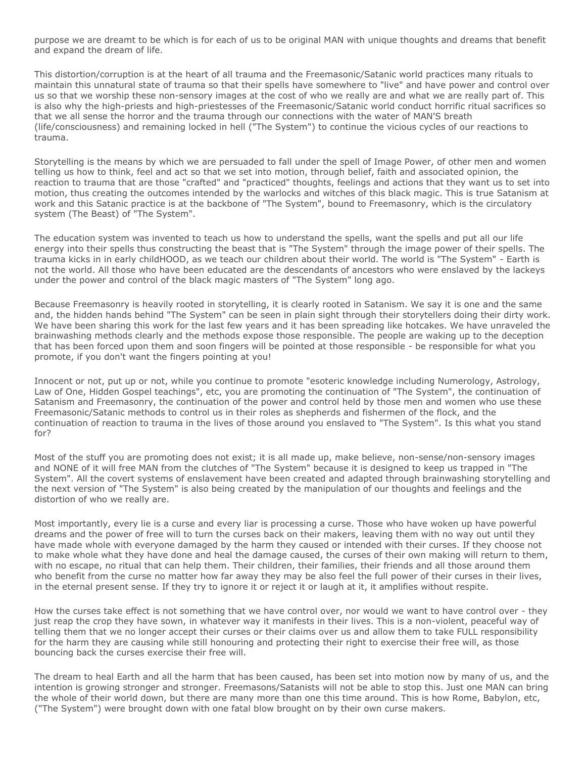purpose we are dreamt to be which is for each of us to be original MAN with unique thoughts and dreams that benefit and expand the dream of life.

This distortion/corruption is at the heart of all trauma and the Freemasonic/Satanic world practices many rituals to maintain this unnatural state of trauma so that their spells have somewhere to "live" and have power and control over us so that we worship these non-sensory images at the cost of who we really are and what we are really part of. This is also why the high-priests and high-priestesses of the Freemasonic/Satanic world conduct horrific ritual sacrifices so that we all sense the horror and the trauma through our connections with the water of MAN'S breath (life/consciousness) and remaining locked in hell ("The System") to continue the vicious cycles of our reactions to trauma.

Storytelling is the means by which we are persuaded to fall under the spell of Image Power, of other men and women telling us how to think, feel and act so that we set into motion, through belief, faith and associated opinion, the reaction to trauma that are those "crafted" and "practiced" thoughts, feelings and actions that they want us to set into motion, thus creating the outcomes intended by the warlocks and witches of this black magic. This is true Satanism at work and this Satanic practice is at the backbone of "The System", bound to Freemasonry, which is the circulatory system (The Beast) of "The System".

The education system was invented to teach us how to understand the spells, want the spells and put all our life energy into their spells thus constructing the beast that is "The System" through the image power of their spells. The trauma kicks in in early childHOOD, as we teach our children about their world. The world is "The System" - Earth is not the world. All those who have been educated are the descendants of ancestors who were enslaved by the lackeys under the power and control of the black magic masters of "The System" long ago.

Because Freemasonry is heavily rooted in storytelling, it is clearly rooted in Satanism. We say it is one and the same and, the hidden hands behind "The System" can be seen in plain sight through their storytellers doing their dirty work. We have been sharing this work for the last few years and it has been spreading like hotcakes. We have unraveled the brainwashing methods clearly and the methods expose those responsible. The people are waking up to the deception that has been forced upon them and soon fingers will be pointed at those responsible - be responsible for what you promote, if you don't want the fingers pointing at you!

Innocent or not, put up or not, while you continue to promote "esoteric knowledge including Numerology, Astrology, Law of One, Hidden Gospel teachings", etc, you are promoting the continuation of "The System", the continuation of Satanism and Freemasonry, the continuation of the power and control held by those men and women who use these Freemasonic/Satanic methods to control us in their roles as shepherds and fishermen of the flock, and the continuation of reaction to trauma in the lives of those around you enslaved to "The System". Is this what you stand for?

Most of the stuff you are promoting does not exist; it is all made up, make believe, non-sense/non-sensory images and NONE of it will free MAN from the clutches of "The System" because it is designed to keep us trapped in "The System". All the covert systems of enslavement have been created and adapted through brainwashing storytelling and the next version of "The System" is also being created by the manipulation of our thoughts and feelings and the distortion of who we really are.

Most importantly, every lie is a curse and every liar is processing a curse. Those who have woken up have powerful dreams and the power of free will to turn the curses back on their makers, leaving them with no way out until they have made whole with everyone damaged by the harm they caused or intended with their curses. If they choose not to make whole what they have done and heal the damage caused, the curses of their own making will return to them, with no escape, no ritual that can help them. Their children, their families, their friends and all those around them who benefit from the curse no matter how far away they may be also feel the full power of their curses in their lives, in the eternal present sense. If they try to ignore it or reject it or laugh at it, it amplifies without respite.

How the curses take effect is not something that we have control over, nor would we want to have control over - they just reap the crop they have sown, in whatever way it manifests in their lives. This is a non-violent, peaceful way of telling them that we no longer accept their curses or their claims over us and allow them to take FULL responsibility for the harm they are causing while still honouring and protecting their right to exercise their free will, as those bouncing back the curses exercise their free will.

The dream to heal Earth and all the harm that has been caused, has been set into motion now by many of us, and the intention is growing stronger and stronger. Freemasons/Satanists will not be able to stop this. Just one MAN can bring the whole of their world down, but there are many more than one this time around. This is how Rome, Babylon, etc, ("The System") were brought down with one fatal blow brought on by their own curse makers.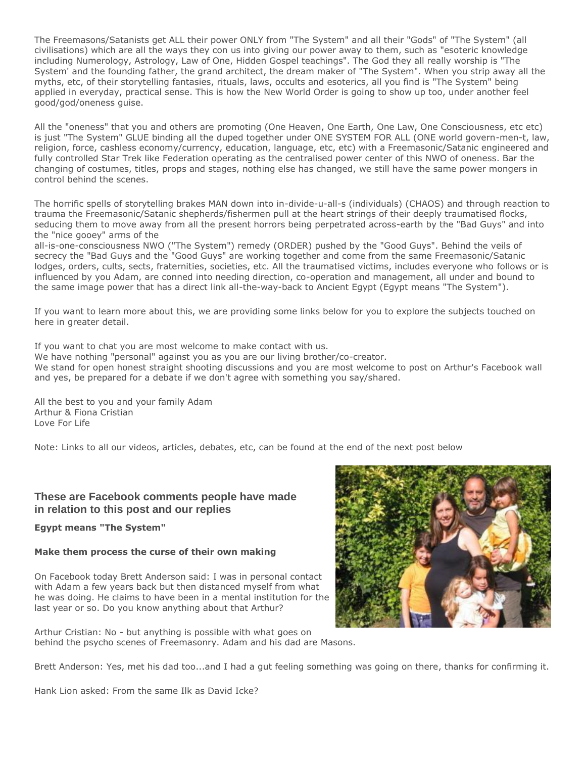The Freemasons/Satanists get ALL their power ONLY from "The System" and all their "Gods" of "The System" (all civilisations) which are all the ways they con us into giving our power away to them, such as "esoteric knowledge including Numerology, Astrology, Law of One, Hidden Gospel teachings". The God they all really worship is "The System' and the founding father, the grand architect, the dream maker of "The System". When you strip away all the myths, etc, of their storytelling fantasies, rituals, laws, occults and esoterics, all you find is "The System" being applied in everyday, practical sense. This is how the New World Order is going to show up too, under another feel good/god/oneness guise.

All the "oneness" that you and others are promoting (One Heaven, One Earth, One Law, One Consciousness, etc etc) is just "The System" GLUE binding all the duped together under ONE SYSTEM FOR ALL (ONE world govern-men-t, law, religion, force, cashless economy/currency, education, language, etc, etc) with a Freemasonic/Satanic engineered and fully controlled Star Trek like Federation operating as the centralised power center of this NWO of oneness. Bar the changing of costumes, titles, props and stages, nothing else has changed, we still have the same power mongers in control behind the scenes.

The horrific spells of storytelling brakes MAN down into in-divide-u-all-s (individuals) (CHAOS) and through reaction to trauma the Freemasonic/Satanic shepherds/fishermen pull at the heart strings of their deeply traumatised flocks, seducing them to move away from all the present horrors being perpetrated across-earth by the "Bad Guys" and into the "nice gooey" arms of the

all-is-one-consciousness NWO ("The System") remedy (ORDER) pushed by the "Good Guys". Behind the veils of secrecy the "Bad Guys and the "Good Guys" are working together and come from the same Freemasonic/Satanic lodges, orders, cults, sects, fraternities, societies, etc. All the traumatised victims, includes everyone who follows or is influenced by you Adam, are conned into needing direction, co-operation and management, all under and bound to the same image power that has a direct link all-the-way-back to Ancient Egypt (Egypt means "The System").

If you want to learn more about this, we are providing some links below for you to explore the subjects touched on here in greater detail.

If you want to chat you are most welcome to make contact with us.

We have nothing "personal" against you as you are our living brother/co-creator. We stand for open honest straight shooting discussions and you are most welcome to post on Arthur's Facebook wall and yes, be prepared for a debate if we don't agree with something you say/shared.

All the best to you and your family Adam Arthur & Fiona Cristian Love For Life

Note: Links to all our videos, articles, debates, etc, can be found at the end of the next post below

### **These are Facebook comments people have made in relation to this post and our replies**

**Egypt means "The System"**

### **Make them process the curse of their own making**

On Facebook today Brett Anderson said: I was in personal contact with Adam a few years back but then distanced myself from what he was doing. He claims to have been in a mental institution for the last year or so. Do you know anything about that Arthur?



Arthur Cristian: No - but anything is possible with what goes on behind the psycho scenes of Freemasonry. Adam and his dad are Masons.

Brett Anderson: Yes, met his dad too...and I had a gut feeling something was going on there, thanks for confirming it.

Hank Lion asked: From the same Ilk as David Icke?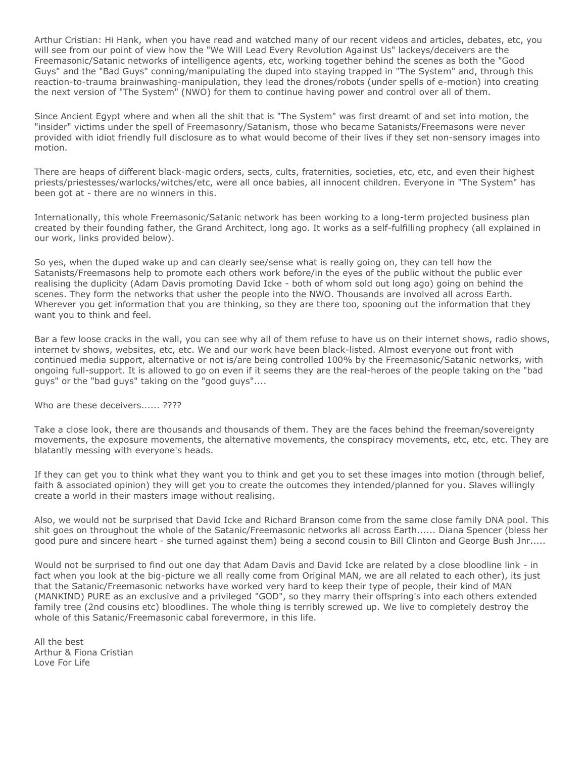Arthur Cristian: Hi Hank, when you have read and watched many of our recent videos and articles, debates, etc, you will see from our point of view how the "We Will Lead Every Revolution Against Us" lackeys/deceivers are the Freemasonic/Satanic networks of intelligence agents, etc, working together behind the scenes as both the "Good Guys" and the "Bad Guys" conning/manipulating the duped into staying trapped in "The System" and, through this reaction-to-trauma brainwashing-manipulation, they lead the drones/robots (under spells of e-motion) into creating the next version of "The System" (NWO) for them to continue having power and control over all of them.

Since Ancient Egypt where and when all the shit that is "The System" was first dreamt of and set into motion, the "insider" victims under the spell of Freemasonry/Satanism, those who became Satanists/Freemasons were never provided with idiot friendly full disclosure as to what would become of their lives if they set non-sensory images into motion.

There are heaps of different black-magic orders, sects, cults, fraternities, societies, etc, etc, and even their highest priests/priestesses/warlocks/witches/etc, were all once babies, all innocent children. Everyone in "The System" has been got at - there are no winners in this.

Internationally, this whole Freemasonic/Satanic network has been working to a long-term projected business plan created by their founding father, the Grand Architect, long ago. It works as a self-fulfilling prophecy (all explained in our work, links provided below).

So yes, when the duped wake up and can clearly see/sense what is really going on, they can tell how the Satanists/Freemasons help to promote each others work before/in the eyes of the public without the public ever realising the duplicity (Adam Davis promoting David Icke - both of whom sold out long ago) going on behind the scenes. They form the networks that usher the people into the NWO. Thousands are involved all across Earth. Wherever you get information that you are thinking, so they are there too, spooning out the information that they want you to think and feel.

Bar a few loose cracks in the wall, you can see why all of them refuse to have us on their internet shows, radio shows, internet tv shows, websites, etc, etc. We and our work have been black-listed. Almost everyone out front with continued media support, alternative or not is/are being controlled 100% by the Freemasonic/Satanic networks, with ongoing full-support. It is allowed to go on even if it seems they are the real-heroes of the people taking on the "bad guys" or the "bad guys" taking on the "good guys"....

Who are these deceivers...... ????

Take a close look, there are thousands and thousands of them. They are the faces behind the freeman/sovereignty movements, the exposure movements, the alternative movements, the conspiracy movements, etc, etc, etc. They are blatantly messing with everyone's heads.

If they can get you to think what they want you to think and get you to set these images into motion (through belief, faith & associated opinion) they will get you to create the outcomes they intended/planned for you. Slaves willingly create a world in their masters image without realising.

Also, we would not be surprised that David Icke and Richard Branson come from the same close family DNA pool. This shit goes on throughout the whole of the Satanic/Freemasonic networks all across Earth...... Diana Spencer (bless her good pure and sincere heart - she turned against them) being a second cousin to Bill Clinton and George Bush Jnr.....

Would not be surprised to find out one day that Adam Davis and David Icke are related by a close bloodline link - in fact when you look at the big-picture we all really come from Original MAN, we are all related to each other), its just that the Satanic/Freemasonic networks have worked very hard to keep their type of people, their kind of MAN (MANKIND) PURE as an exclusive and a privileged "GOD", so they marry their offspring's into each others extended family tree (2nd cousins etc) bloodlines. The whole thing is terribly screwed up. We live to completely destroy the whole of this Satanic/Freemasonic cabal forevermore, in this life.

All the best Arthur & Fiona Cristian Love For Life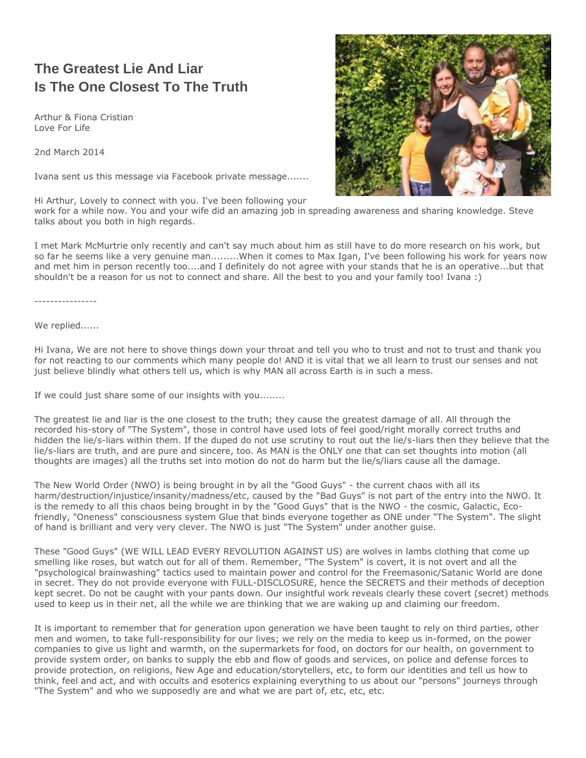# **The Greatest Lie And Liar Is The One Closest To The Truth**

Arthur & Fiona Cristian Love For Life

2nd March 2014

Ivana sent us this message via Facebook private message.......

Hi Arthur, Lovely to connect with you. I've been following your

work for a while now. You and your wife did an amazing job in spreading awareness and sharing knowledge. Steve talks about you both in high regards.

I met Mark McMurtrie only recently and can't say much about him as still have to do more research on his work, but so far he seems like a very genuine man.........When it comes to Max Igan, I've been following his work for years now and met him in person recently too....and I definitely do not agree with your stands that he is an operative...but that shouldn't be a reason for us not to connect and share. All the best to you and your family too! Ivana :)

----------------

We replied......

Hi Ivana, We are not here to shove things down your throat and tell you who to trust and not to trust and thank you for not reacting to our comments which many people do! AND it is vital that we all learn to trust our senses and not just believe blindly what others tell us, which is why MAN all across Earth is in such a mess.

If we could just share some of our insights with you........

The greatest lie and liar is the one closest to the truth; they cause the greatest damage of all. All through the recorded his-story of "The System", those in control have used lots of feel good/right morally correct truths and hidden the lie/s-liars within them. If the duped do not use scrutiny to rout out the lie/s-liars then they believe that the lie/s-liars are truth, and are pure and sincere, too. As MAN is the ONLY one that can set thoughts into motion (all thoughts are images) all the truths set into motion do not do harm but the lie/s/liars cause all the damage.

The New World Order (NWO) is being brought in by all the "Good Guys" - the current chaos with all its harm/destruction/injustice/insanity/madness/etc, caused by the "Bad Guys" is not part of the entry into the NWO. It is the remedy to all this chaos being brought in by the "Good Guys" that is the NWO - the cosmic, Galactic, Ecofriendly, "Oneness" consciousness system Glue that binds everyone together as ONE under "The System". The slight of hand is brilliant and very very clever. The NWO is just "The System" under another guise.

These "Good Guys" (WE WILL LEAD EVERY REVOLUTION AGAINST US) are wolves in lambs clothing that come up smelling like roses, but watch out for all of them. Remember, "The System" is covert, it is not overt and all the "psychological brainwashing" tactics used to maintain power and control for the Freemasonic/Satanic World are done in secret. They do not provide everyone with FULL-DISCLOSURE, hence the SECRETS and their methods of deception kept secret. Do not be caught with your pants down. Our insightful work reveals clearly these covert (secret) methods used to keep us in their net, all the while we are thinking that we are waking up and claiming our freedom.

It is important to remember that for generation upon generation we have been taught to rely on third parties, other men and women, to take full-responsibility for our lives; we rely on the media to keep us in-formed, on the power companies to give us light and warmth, on the supermarkets for food, on doctors for our health, on government to provide system order, on banks to supply the ebb and flow of goods and services, on police and defense forces to provide protection, on religions, New Age and education/storytellers, etc, to form our identities and tell us how to think, feel and act, and with occults and esoterics explaining everything to us about our "persons" journeys through "The System" and who we supposedly are and what we are part of, etc, etc, etc.

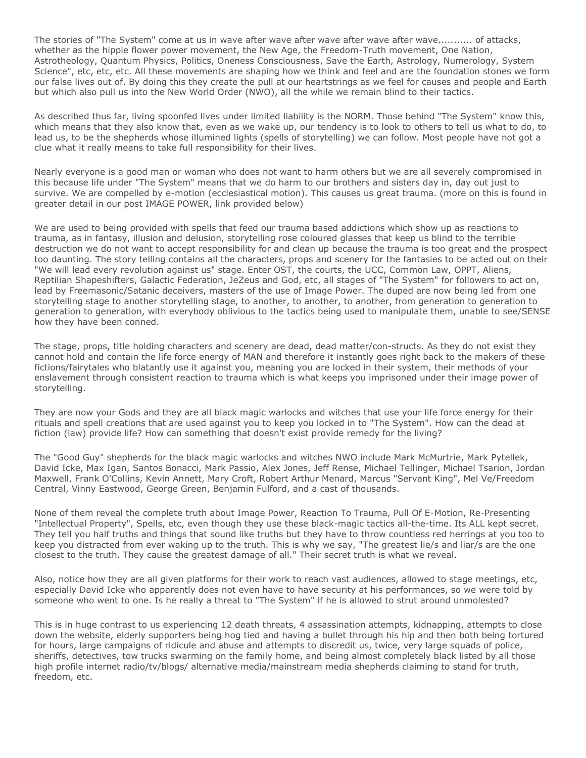The stories of "The System" come at us in wave after wave after wave after wave after wave........... of attacks, whether as the hippie flower power movement, the New Age, the Freedom-Truth movement, One Nation, Astrotheology, Quantum Physics, Politics, Oneness Consciousness, Save the Earth, Astrology, Numerology, System Science", etc, etc, etc. All these movements are shaping how we think and feel and are the foundation stones we form our false lives out of. By doing this they create the pull at our heartstrings as we feel for causes and people and Earth but which also pull us into the New World Order (NWO), all the while we remain blind to their tactics.

As described thus far, living spoonfed lives under limited liability is the NORM. Those behind "The System" know this, which means that they also know that, even as we wake up, our tendency is to look to others to tell us what to do, to lead us, to be the shepherds whose illumined lights (spells of storytelling) we can follow. Most people have not got a clue what it really means to take full responsibility for their lives.

Nearly everyone is a good man or woman who does not want to harm others but we are all severely compromised in this because life under "The System" means that we do harm to our brothers and sisters day in, day out just to survive. We are compelled by e-motion (ecclesiastical motion). This causes us great trauma. (more on this is found in greater detail in our post IMAGE POWER, link provided below)

We are used to being provided with spells that feed our trauma based addictions which show up as reactions to trauma, as in fantasy, illusion and delusion, storytelling rose coloured glasses that keep us blind to the terrible destruction we do not want to accept responsibility for and clean up because the trauma is too great and the prospect too daunting. The story telling contains all the characters, props and scenery for the fantasies to be acted out on their "We will lead every revolution against us" stage. Enter OST, the courts, the UCC, Common Law, OPPT, Aliens, Reptilian Shapeshifters, Galactic Federation, JeZeus and God, etc, all stages of "The System" for followers to act on, lead by Freemasonic/Satanic deceivers, masters of the use of Image Power. The duped are now being led from one storytelling stage to another storytelling stage, to another, to another, to another, from generation to generation to generation to generation, with everybody oblivious to the tactics being used to manipulate them, unable to see/SENSE how they have been conned.

The stage, props, title holding characters and scenery are dead, dead matter/con-structs. As they do not exist they cannot hold and contain the life force energy of MAN and therefore it instantly goes right back to the makers of these fictions/fairytales who blatantly use it against you, meaning you are locked in their system, their methods of your enslavement through consistent reaction to trauma which is what keeps you imprisoned under their image power of storytelling.

They are now your Gods and they are all black magic warlocks and witches that use your life force energy for their rituals and spell creations that are used against you to keep you locked in to "The System". How can the dead at fiction (law) provide life? How can something that doesn't exist provide remedy for the living?

The "Good Guy" shepherds for the black magic warlocks and witches NWO include Mark McMurtrie, Mark Pytellek, David Icke, Max Igan, Santos Bonacci, Mark Passio, Alex Jones, Jeff Rense, Michael Tellinger, Michael Tsarion, Jordan Maxwell, Frank O'Collins, Kevin Annett, Mary Croft, Robert Arthur Menard, Marcus "Servant King", Mel Ve/Freedom Central, Vinny Eastwood, George Green, Benjamin Fulford, and a cast of thousands.

None of them reveal the complete truth about Image Power, Reaction To Trauma, Pull Of E-Motion, Re-Presenting "Intellectual Property", Spells, etc, even though they use these black-magic tactics all-the-time. Its ALL kept secret. They tell you half truths and things that sound like truths but they have to throw countless red herrings at you too to keep you distracted from ever waking up to the truth. This is why we say, "The greatest lie/s and liar/s are the one closest to the truth. They cause the greatest damage of all." Their secret truth is what we reveal.

Also, notice how they are all given platforms for their work to reach vast audiences, allowed to stage meetings, etc, especially David Icke who apparently does not even have to have security at his performances, so we were told by someone who went to one. Is he really a threat to "The System" if he is allowed to strut around unmolested?

This is in huge contrast to us experiencing 12 death threats, 4 assassination attempts, kidnapping, attempts to close down the website, elderly supporters being hog tied and having a bullet through his hip and then both being tortured for hours, large campaigns of ridicule and abuse and attempts to discredit us, twice, very large squads of police, sheriffs, detectives, tow trucks swarming on the family home, and being almost completely black listed by all those high profile internet radio/tv/blogs/ alternative media/mainstream media shepherds claiming to stand for truth, freedom, etc.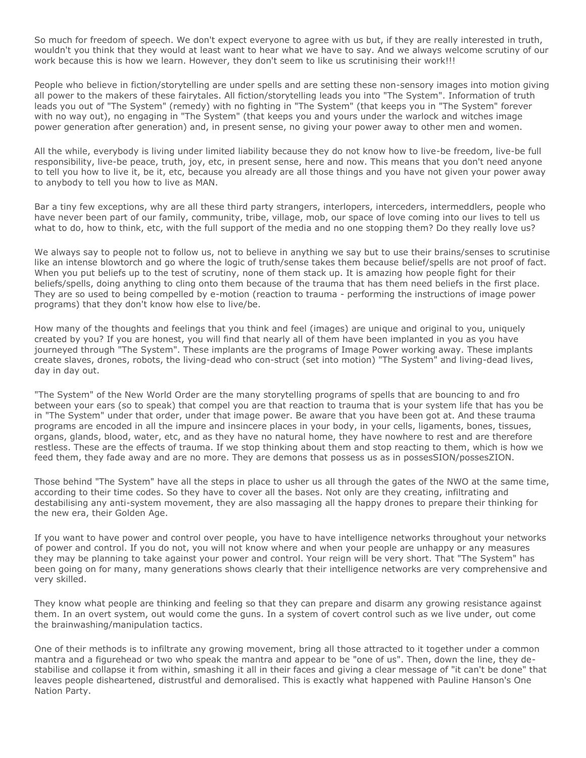So much for freedom of speech. We don't expect everyone to agree with us but, if they are really interested in truth, wouldn't you think that they would at least want to hear what we have to say. And we always welcome scrutiny of our work because this is how we learn. However, they don't seem to like us scrutinising their work!!!

People who believe in fiction/storytelling are under spells and are setting these non-sensory images into motion giving all power to the makers of these fairytales. All fiction/storytelling leads you into "The System". Information of truth leads you out of "The System" (remedy) with no fighting in "The System" (that keeps you in "The System" forever with no way out), no engaging in "The System" (that keeps you and yours under the warlock and witches image power generation after generation) and, in present sense, no giving your power away to other men and women.

All the while, everybody is living under limited liability because they do not know how to live-be freedom, live-be full responsibility, live-be peace, truth, joy, etc, in present sense, here and now. This means that you don't need anyone to tell you how to live it, be it, etc, because you already are all those things and you have not given your power away to anybody to tell you how to live as MAN.

Bar a tiny few exceptions, why are all these third party strangers, interlopers, interceders, intermeddlers, people who have never been part of our family, community, tribe, village, mob, our space of love coming into our lives to tell us what to do, how to think, etc, with the full support of the media and no one stopping them? Do they really love us?

We always say to people not to follow us, not to believe in anything we say but to use their brains/senses to scrutinise like an intense blowtorch and go where the logic of truth/sense takes them because belief/spells are not proof of fact. When you put beliefs up to the test of scrutiny, none of them stack up. It is amazing how people fight for their beliefs/spells, doing anything to cling onto them because of the trauma that has them need beliefs in the first place. They are so used to being compelled by e-motion (reaction to trauma - performing the instructions of image power programs) that they don't know how else to live/be.

How many of the thoughts and feelings that you think and feel (images) are unique and original to you, uniquely created by you? If you are honest, you will find that nearly all of them have been implanted in you as you have journeyed through "The System". These implants are the programs of Image Power working away. These implants create slaves, drones, robots, the living-dead who con-struct (set into motion) "The System" and living-dead lives, day in day out.

"The System" of the New World Order are the many storytelling programs of spells that are bouncing to and fro between your ears (so to speak) that compel you are that reaction to trauma that is your system life that has you be in "The System" under that order, under that image power. Be aware that you have been got at. And these trauma programs are encoded in all the impure and insincere places in your body, in your cells, ligaments, bones, tissues, organs, glands, blood, water, etc, and as they have no natural home, they have nowhere to rest and are therefore restless. These are the effects of trauma. If we stop thinking about them and stop reacting to them, which is how we feed them, they fade away and are no more. They are demons that possess us as in possesSION/possesZION.

Those behind "The System" have all the steps in place to usher us all through the gates of the NWO at the same time, according to their time codes. So they have to cover all the bases. Not only are they creating, infiltrating and destabilising any anti-system movement, they are also massaging all the happy drones to prepare their thinking for the new era, their Golden Age.

If you want to have power and control over people, you have to have intelligence networks throughout your networks of power and control. If you do not, you will not know where and when your people are unhappy or any measures they may be planning to take against your power and control. Your reign will be very short. That "The System" has been going on for many, many generations shows clearly that their intelligence networks are very comprehensive and very skilled.

They know what people are thinking and feeling so that they can prepare and disarm any growing resistance against them. In an overt system, out would come the guns. In a system of covert control such as we live under, out come the brainwashing/manipulation tactics.

One of their methods is to infiltrate any growing movement, bring all those attracted to it together under a common mantra and a figurehead or two who speak the mantra and appear to be "one of us". Then, down the line, they destabilise and collapse it from within, smashing it all in their faces and giving a clear message of "it can't be done" that leaves people disheartened, distrustful and demoralised. This is exactly what happened with Pauline Hanson's One Nation Party.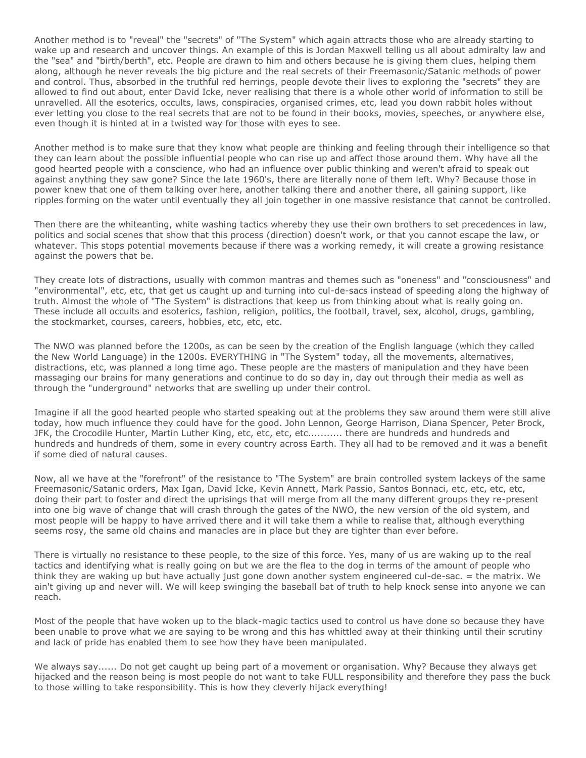Another method is to "reveal" the "secrets" of "The System" which again attracts those who are already starting to wake up and research and uncover things. An example of this is Jordan Maxwell telling us all about admiralty law and the "sea" and "birth/berth", etc. People are drawn to him and others because he is giving them clues, helping them along, although he never reveals the big picture and the real secrets of their Freemasonic/Satanic methods of power and control. Thus, absorbed in the truthful red herrings, people devote their lives to exploring the "secrets" they are allowed to find out about, enter David Icke, never realising that there is a whole other world of information to still be unravelled. All the esoterics, occults, laws, conspiracies, organised crimes, etc, lead you down rabbit holes without ever letting you close to the real secrets that are not to be found in their books, movies, speeches, or anywhere else, even though it is hinted at in a twisted way for those with eyes to see.

Another method is to make sure that they know what people are thinking and feeling through their intelligence so that they can learn about the possible influential people who can rise up and affect those around them. Why have all the good hearted people with a conscience, who had an influence over public thinking and weren't afraid to speak out against anything they saw gone? Since the late 1960's, there are literally none of them left. Why? Because those in power knew that one of them talking over here, another talking there and another there, all gaining support, like ripples forming on the water until eventually they all join together in one massive resistance that cannot be controlled.

Then there are the whiteanting, white washing tactics whereby they use their own brothers to set precedences in law, politics and social scenes that show that this process (direction) doesn't work, or that you cannot escape the law, or whatever. This stops potential movements because if there was a working remedy, it will create a growing resistance against the powers that be.

They create lots of distractions, usually with common mantras and themes such as "oneness" and "consciousness" and "environmental", etc, etc, that get us caught up and turning into cul-de-sacs instead of speeding along the highway of truth. Almost the whole of "The System" is distractions that keep us from thinking about what is really going on. These include all occults and esoterics, fashion, religion, politics, the football, travel, sex, alcohol, drugs, gambling, the stockmarket, courses, careers, hobbies, etc, etc, etc.

The NWO was planned before the 1200s, as can be seen by the creation of the English language (which they called the New World Language) in the 1200s. EVERYTHING in "The System" today, all the movements, alternatives, distractions, etc, was planned a long time ago. These people are the masters of manipulation and they have been massaging our brains for many generations and continue to do so day in, day out through their media as well as through the "underground" networks that are swelling up under their control.

Imagine if all the good hearted people who started speaking out at the problems they saw around them were still alive today, how much influence they could have for the good. John Lennon, George Harrison, Diana Spencer, Peter Brock, JFK, the Crocodile Hunter, Martin Luther King, etc, etc, etc, etc........... there are hundreds and hundreds and hundreds and hundreds of them, some in every country across Earth. They all had to be removed and it was a benefit if some died of natural causes.

Now, all we have at the "forefront" of the resistance to "The System" are brain controlled system lackeys of the same Freemasonic/Satanic orders, Max Igan, David Icke, Kevin Annett, Mark Passio, Santos Bonnaci, etc, etc, etc, etc, doing their part to foster and direct the uprisings that will merge from all the many different groups they re-present into one big wave of change that will crash through the gates of the NWO, the new version of the old system, and most people will be happy to have arrived there and it will take them a while to realise that, although everything seems rosy, the same old chains and manacles are in place but they are tighter than ever before.

There is virtually no resistance to these people, to the size of this force. Yes, many of us are waking up to the real tactics and identifying what is really going on but we are the flea to the dog in terms of the amount of people who think they are waking up but have actually just gone down another system engineered cul-de-sac. = the matrix. We ain't giving up and never will. We will keep swinging the baseball bat of truth to help knock sense into anyone we can reach.

Most of the people that have woken up to the black-magic tactics used to control us have done so because they have been unable to prove what we are saying to be wrong and this has whittled away at their thinking until their scrutiny and lack of pride has enabled them to see how they have been manipulated.

We always say...... Do not get caught up being part of a movement or organisation. Why? Because they always get hijacked and the reason being is most people do not want to take FULL responsibility and therefore they pass the buck to those willing to take responsibility. This is how they cleverly hijack everything!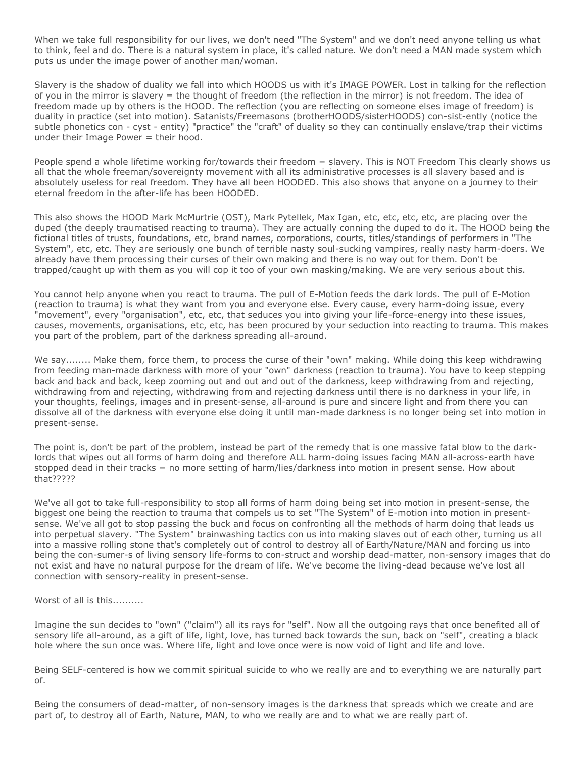When we take full responsibility for our lives, we don't need "The System" and we don't need anyone telling us what to think, feel and do. There is a natural system in place, it's called nature. We don't need a MAN made system which puts us under the image power of another man/woman.

Slavery is the shadow of duality we fall into which HOODS us with it's IMAGE POWER. Lost in talking for the reflection of you in the mirror is slavery = the thought of freedom (the reflection in the mirror) is not freedom. The idea of freedom made up by others is the HOOD. The reflection (you are reflecting on someone elses image of freedom) is duality in practice (set into motion). Satanists/Freemasons (brotherHOODS/sisterHOODS) con-sist-ently (notice the subtle phonetics con - cyst - entity) "practice" the "craft" of duality so they can continually enslave/trap their victims under their Image Power  $=$  their hood.

People spend a whole lifetime working for/towards their freedom = slavery. This is NOT Freedom This clearly shows us all that the whole freeman/sovereignty movement with all its administrative processes is all slavery based and is absolutely useless for real freedom. They have all been HOODED. This also shows that anyone on a journey to their eternal freedom in the after-life has been HOODED.

This also shows the HOOD Mark McMurtrie (OST), Mark Pytellek, Max Igan, etc, etc, etc, etc, are placing over the duped (the deeply traumatised reacting to trauma). They are actually conning the duped to do it. The HOOD being the fictional titles of trusts, foundations, etc, brand names, corporations, courts, titles/standings of performers in "The System", etc, etc. They are seriously one bunch of terrible nasty soul-sucking vampires, really nasty harm-doers. We already have them processing their curses of their own making and there is no way out for them. Don't be trapped/caught up with them as you will cop it too of your own masking/making. We are very serious about this.

You cannot help anyone when you react to trauma. The pull of E-Motion feeds the dark lords. The pull of E-Motion (reaction to trauma) is what they want from you and everyone else. Every cause, every harm-doing issue, every "movement", every "organisation", etc, etc, that seduces you into giving your life-force-energy into these issues, causes, movements, organisations, etc, etc, has been procured by your seduction into reacting to trauma. This makes you part of the problem, part of the darkness spreading all-around.

We say........ Make them, force them, to process the curse of their "own" making. While doing this keep withdrawing from feeding man-made darkness with more of your "own" darkness (reaction to trauma). You have to keep stepping back and back and back, keep zooming out and out and out of the darkness, keep withdrawing from and rejecting, withdrawing from and rejecting, withdrawing from and rejecting darkness until there is no darkness in your life, in your thoughts, feelings, images and in present-sense, all-around is pure and sincere light and from there you can dissolve all of the darkness with everyone else doing it until man-made darkness is no longer being set into motion in present-sense.

The point is, don't be part of the problem, instead be part of the remedy that is one massive fatal blow to the darklords that wipes out all forms of harm doing and therefore ALL harm-doing issues facing MAN all-across-earth have stopped dead in their tracks = no more setting of harm/lies/darkness into motion in present sense. How about that?????

We've all got to take full-responsibility to stop all forms of harm doing being set into motion in present-sense, the biggest one being the reaction to trauma that compels us to set "The System" of E-motion into motion in presentsense. We've all got to stop passing the buck and focus on confronting all the methods of harm doing that leads us into perpetual slavery. "The System" brainwashing tactics con us into making slaves out of each other, turning us all into a massive rolling stone that's completely out of control to destroy all of Earth/Nature/MAN and forcing us into being the con-sumer-s of living sensory life-forms to con-struct and worship dead-matter, non-sensory images that do not exist and have no natural purpose for the dream of life. We've become the living-dead because we've lost all connection with sensory-reality in present-sense.

Worst of all is this..........

Imagine the sun decides to "own" ("claim") all its rays for "self". Now all the outgoing rays that once benefited all of sensory life all-around, as a gift of life, light, love, has turned back towards the sun, back on "self", creating a black hole where the sun once was. Where life, light and love once were is now void of light and life and love.

Being SELF-centered is how we commit spiritual suicide to who we really are and to everything we are naturally part of.

Being the consumers of dead-matter, of non-sensory images is the darkness that spreads which we create and are part of, to destroy all of Earth, Nature, MAN, to who we really are and to what we are really part of.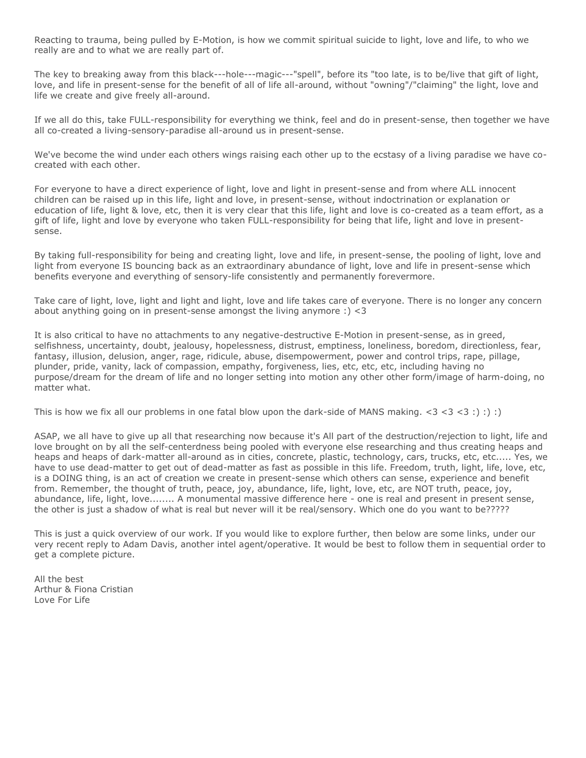Reacting to trauma, being pulled by E-Motion, is how we commit spiritual suicide to light, love and life, to who we really are and to what we are really part of.

The key to breaking away from this black---hole---magic---"spell", before its "too late, is to be/live that gift of light, love, and life in present-sense for the benefit of all of life all-around, without "owning"/"claiming" the light, love and life we create and give freely all-around.

If we all do this, take FULL-responsibility for everything we think, feel and do in present-sense, then together we have all co-created a living-sensory-paradise all-around us in present-sense.

We've become the wind under each others wings raising each other up to the ecstasy of a living paradise we have cocreated with each other.

For everyone to have a direct experience of light, love and light in present-sense and from where ALL innocent children can be raised up in this life, light and love, in present-sense, without indoctrination or explanation or education of life, light & love, etc, then it is very clear that this life, light and love is co-created as a team effort, as a gift of life, light and love by everyone who taken FULL-responsibility for being that life, light and love in presentsense.

By taking full-responsibility for being and creating light, love and life, in present-sense, the pooling of light, love and light from everyone IS bouncing back as an extraordinary abundance of light, love and life in present-sense which benefits everyone and everything of sensory-life consistently and permanently forevermore.

Take care of light, love, light and light and light, love and life takes care of everyone. There is no longer any concern about anything going on in present-sense amongst the living anymore :) <3

It is also critical to have no attachments to any negative-destructive E-Motion in present-sense, as in greed, selfishness, uncertainty, doubt, jealousy, hopelessness, distrust, emptiness, loneliness, boredom, directionless, fear, fantasy, illusion, delusion, anger, rage, ridicule, abuse, disempowerment, power and control trips, rape, pillage, plunder, pride, vanity, lack of compassion, empathy, forgiveness, lies, etc, etc, etc, including having no purpose/dream for the dream of life and no longer setting into motion any other other form/image of harm-doing, no matter what.

This is how we fix all our problems in one fatal blow upon the dark-side of MANS making.  $<$ 3  $<$ 3  $<$ 3  $<$ 3 :) :) :)

ASAP, we all have to give up all that researching now because it's All part of the destruction/rejection to light, life and love brought on by all the self-centerdness being pooled with everyone else researching and thus creating heaps and heaps and heaps of dark-matter all-around as in cities, concrete, plastic, technology, cars, trucks, etc, etc..... Yes, we have to use dead-matter to get out of dead-matter as fast as possible in this life. Freedom, truth, light, life, love, etc, is a DOING thing, is an act of creation we create in present-sense which others can sense, experience and benefit from. Remember, the thought of truth, peace, joy, abundance, life, light, love, etc, are NOT truth, peace, joy, abundance, life, light, love........ A monumental massive difference here - one is real and present in present sense, the other is just a shadow of what is real but never will it be real/sensory. Which one do you want to be?????

This is just a quick overview of our work. If you would like to explore further, then below are some links, under our very recent reply to Adam Davis, another intel agent/operative. It would be best to follow them in sequential order to get a complete picture.

All the best Arthur & Fiona Cristian Love For Life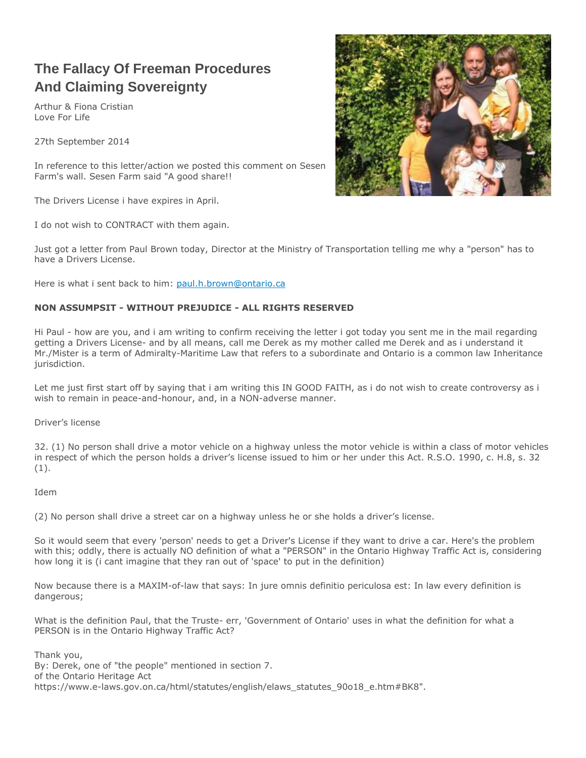# **The Fallacy Of Freeman Procedures And Claiming Sovereignty**

Arthur & Fiona Cristian Love For Life

27th September 2014

In reference to this letter/action we posted this comment on Sesen Farm's wall. Sesen Farm said "A good share!!

The Drivers License i have expires in April.

I do not wish to CONTRACT with them again.

Just got a letter from Paul Brown today, Director at the Ministry of Transportation telling me why a "person" has to have a Drivers License.

Here is what i sent back to him: [paul.h.brown@ontario.ca](mailto:paul.h.brown@ontario.ca)

### **NON ASSUMPSIT - WITHOUT PREJUDICE - ALL RIGHTS RESERVED**

Hi Paul - how are you, and i am writing to confirm receiving the letter i got today you sent me in the mail regarding getting a Drivers License- and by all means, call me Derek as my mother called me Derek and as i understand it Mr./Mister is a term of Admiralty-Maritime Law that refers to a subordinate and Ontario is a common law Inheritance jurisdiction.

Let me just first start off by saying that i am writing this IN GOOD FAITH, as i do not wish to create controversy as i wish to remain in peace-and-honour, and, in a NON-adverse manner.

Driver's license

32. (1) No person shall drive a motor vehicle on a highway unless the motor vehicle is within a class of motor vehicles in respect of which the person holds a driver's license issued to him or her under this Act. R.S.O. 1990, c. H.8, s. 32 (1).

Idem

(2) No person shall drive a street car on a highway unless he or she holds a driver's license.

So it would seem that every 'person' needs to get a Driver's License if they want to drive a car. Here's the problem with this; oddly, there is actually NO definition of what a "PERSON" in the Ontario Highway Traffic Act is, considering how long it is (i cant imagine that they ran out of 'space' to put in the definition)

Now because there is a MAXIM-of-law that says: In jure omnis definitio periculosa est: In law every definition is dangerous;

What is the definition Paul, that the Truste- err, 'Government of Ontario' uses in what the definition for what a PERSON is in the Ontario Highway Traffic Act?

Thank you, By: Derek, one of "the people" mentioned in section 7. of the Ontario Heritage Act https://www.e-laws.gov.on.ca/html/statutes/english/elaws\_statutes\_90o18\_e.htm#BK8".

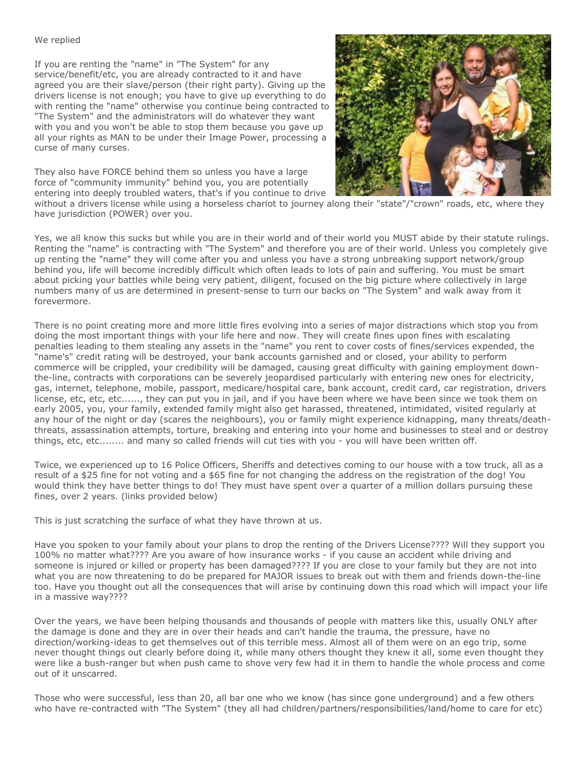### We replied

If you are renting the "name" in "The System" for any service/benefit/etc, you are already contracted to it and have agreed you are their slave/person (their right party). Giving up the drivers license is not enough; you have to give up everything to do with renting the "name" otherwise you continue being contracted to "The System" and the administrators will do whatever they want with you and you won't be able to stop them because you gave up all your rights as MAN to be under their Image Power, processing a curse of many curses.

They also have FORCE behind them so unless you have a large force of "community immunity" behind you, you are potentially entering into deeply troubled waters, that's if you continue to drive



without a drivers license while using a horseless chariot to journey along their "state"/"crown" roads, etc, where they have jurisdiction (POWER) over you.

Yes, we all know this sucks but while you are in their world and of their world you MUST abide by their statute rulings. Renting the "name" is contracting with "The System" and therefore you are of their world. Unless you completely give up renting the "name" they will come after you and unless you have a strong unbreaking support network/group behind you, life will become incredibly difficult which often leads to lots of pain and suffering. You must be smart about picking your battles while being very patient, diligent, focused on the big picture where collectively in large numbers many of us are determined in present-sense to turn our backs on "The System" and walk away from it forevermore.

There is no point creating more and more little fires evolving into a series of major distractions which stop you from doing the most important things with your life here and now. They will create fines upon fines with escalating penalties leading to them stealing any assets in the "name" you rent to cover costs of fines/services expended, the "name's" credit rating will be destroyed, your bank accounts garnished and or closed, your ability to perform commerce will be crippled, your credibility will be damaged, causing great difficulty with gaining employment downthe-line, contracts with corporations can be severely jeopardised particularly with entering new ones for electricity, gas, internet, telephone, mobile, passport, medicare/hospital care, bank account, credit card, car registration, drivers license, etc, etc, etc......, they can put you in jail, and if you have been where we have been since we took them on early 2005, you, your family, extended family might also get harassed, threatened, intimidated, visited regularly at any hour of the night or day (scares the neighbours), you or family might experience kidnapping, many threats/deaththreats, assassination attempts, torture, breaking and entering into your home and businesses to steal and or destroy things, etc, etc........ and many so called friends will cut ties with you - you will have been written off.

Twice, we experienced up to 16 Police Officers, Sheriffs and detectives coming to our house with a tow truck, all as a result of a \$25 fine for not voting and a \$65 fine for not changing the address on the registration of the dog! You would think they have better things to do! They must have spent over a quarter of a million dollars pursuing these fines, over 2 years. (links provided below)

This is just scratching the surface of what they have thrown at us.

Have you spoken to your family about your plans to drop the renting of the Drivers License???? Will they support you 100% no matter what???? Are you aware of how insurance works - if you cause an accident while driving and someone is injured or killed or property has been damaged???? If you are close to your family but they are not into what you are now threatening to do be prepared for MAJOR issues to break out with them and friends down-the-line too. Have you thought out all the consequences that will arise by continuing down this road which will impact your life in a massive way????

Over the years, we have been helping thousands and thousands of people with matters like this, usually ONLY after the damage is done and they are in over their heads and can't handle the trauma, the pressure, have no direction/working-ideas to get themselves out of this terrible mess. Almost all of them were on an ego trip, some never thought things out clearly before doing it, while many others thought they knew it all, some even thought they were like a bush-ranger but when push came to shove very few had it in them to handle the whole process and come out of it unscarred.

Those who were successful, less than 20, all bar one who we know (has since gone underground) and a few others who have re-contracted with "The System" (they all had children/partners/responsibilities/land/home to care for etc)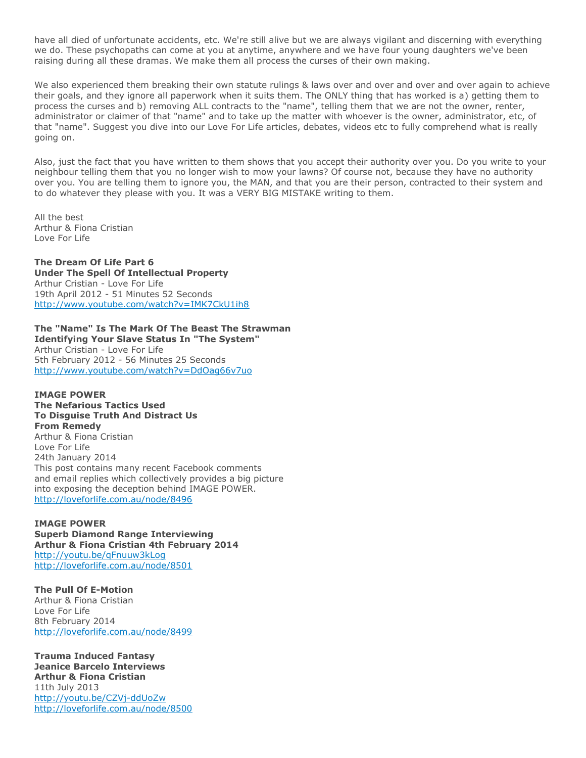have all died of unfortunate accidents, etc. We're still alive but we are always vigilant and discerning with everything we do. These psychopaths can come at you at anytime, anywhere and we have four young daughters we've been raising during all these dramas. We make them all process the curses of their own making.

We also experienced them breaking their own statute rulings & laws over and over and over and over again to achieve their goals, and they ignore all paperwork when it suits them. The ONLY thing that has worked is a) getting them to process the curses and b) removing ALL contracts to the "name", telling them that we are not the owner, renter, administrator or claimer of that "name" and to take up the matter with whoever is the owner, administrator, etc, of that "name". Suggest you dive into our Love For Life articles, debates, videos etc to fully comprehend what is really going on.

Also, just the fact that you have written to them shows that you accept their authority over you. Do you write to your neighbour telling them that you no longer wish to mow your lawns? Of course not, because they have no authority over you. You are telling them to ignore you, the MAN, and that you are their person, contracted to their system and to do whatever they please with you. It was a VERY BIG MISTAKE writing to them.

All the best Arthur & Fiona Cristian Love For Life

### **The Dream Of Life Part 6**

**Under The Spell Of Intellectual Property** Arthur Cristian - Love For Life 19th April 2012 - 51 Minutes 52 Seconds <http://www.youtube.com/watch?v=IMK7CkU1ih8>

**The "Name" Is The Mark Of The Beast The Strawman Identifying Your Slave Status In "The System"** Arthur Cristian - Love For Life 5th February 2012 - 56 Minutes 25 Seconds <http://www.youtube.com/watch?v=DdOag66v7uo>

### **IMAGE POWER**

**The Nefarious Tactics Used To Disguise Truth And Distract Us From Remedy** Arthur & Fiona Cristian Love For Life 24th January 2014 This post contains many recent Facebook comments and email replies which collectively provides a big picture into exposing the deception behind IMAGE POWER. <http://loveforlife.com.au/node/8496>

#### **IMAGE POWER Superb Diamond Range Interviewing**

**Arthur & Fiona Cristian 4th February 2014** <http://youtu.be/qFnuuw3kLog> <http://loveforlife.com.au/node/8501>

**The Pull Of E-Motion** Arthur & Fiona Cristian Love For Life 8th February 2014

<http://loveforlife.com.au/node/8499>

**Trauma Induced Fantasy Jeanice Barcelo Interviews Arthur & Fiona Cristian** 11th July 2013 <http://youtu.be/CZVj-ddUoZw> <http://loveforlife.com.au/node/8500>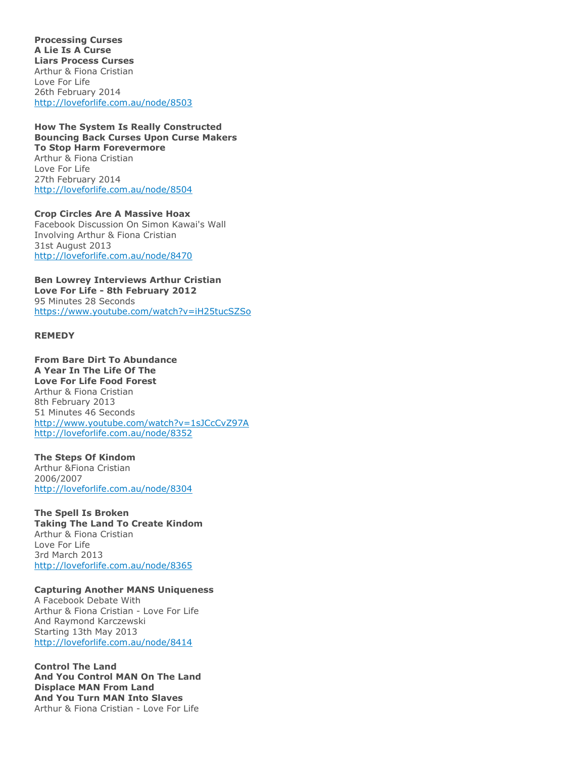**Processing Curses A Lie Is A Curse Liars Process Curses** Arthur & Fiona Cristian Love For Life 26th February 2014 <http://loveforlife.com.au/node/8503>

**How The System Is Really Constructed Bouncing Back Curses Upon Curse Makers To Stop Harm Forevermore** Arthur & Fiona Cristian Love For Life 27th February 2014 <http://loveforlife.com.au/node/8504>

**Crop Circles Are A Massive Hoax** Facebook Discussion On Simon Kawai's Wall Involving Arthur & Fiona Cristian 31st August 2013 <http://loveforlife.com.au/node/8470>

**Ben Lowrey Interviews Arthur Cristian Love For Life - 8th February 2012** 95 Minutes 28 Seconds <https://www.youtube.com/watch?v=iH25tucSZSo>

#### **REMEDY**

**From Bare Dirt To Abundance A Year In The Life Of The Love For Life Food Forest** Arthur & Fiona Cristian 8th February 2013 51 Minutes 46 Seconds <http://www.youtube.com/watch?v=1sJCcCvZ97A> <http://loveforlife.com.au/node/8352>

**The Steps Of Kindom** Arthur &Fiona Cristian 2006/2007 <http://loveforlife.com.au/node/8304>

**The Spell Is Broken Taking The Land To Create Kindom** Arthur & Fiona Cristian Love For Life 3rd March 2013 <http://loveforlife.com.au/node/8365>

### **Capturing Another MANS Uniqueness**

A Facebook Debate With Arthur & Fiona Cristian - Love For Life And Raymond Karczewski Starting 13th May 2013 <http://loveforlife.com.au/node/8414>

**Control The Land And You Control MAN On The Land Displace MAN From Land And You Turn MAN Into Slaves** Arthur & Fiona Cristian - Love For Life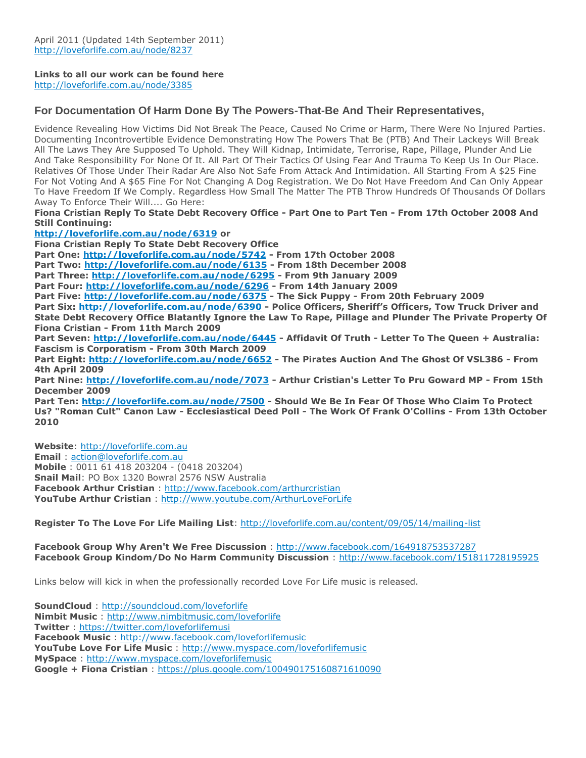### **Links to all our work can be found here**

<http://loveforlife.com.au/node/3385>

### **For Documentation Of Harm Done By The Powers-That-Be And Their Representatives,**

Evidence Revealing How Victims Did Not Break The Peace, Caused No Crime or Harm, There Were No Injured Parties. Documenting Incontrovertible Evidence Demonstrating How The Powers That Be (PTB) And Their Lackeys Will Break All The Laws They Are Supposed To Uphold. They Will Kidnap, Intimidate, Terrorise, Rape, Pillage, Plunder And Lie And Take Responsibility For None Of It. All Part Of Their Tactics Of Using Fear And Trauma To Keep Us In Our Place. Relatives Of Those Under Their Radar Are Also Not Safe From Attack And Intimidation. All Starting From A \$25 Fine For Not Voting And A \$65 Fine For Not Changing A Dog Registration. We Do Not Have Freedom And Can Only Appear To Have Freedom If We Comply. Regardless How Small The Matter The PTB Throw Hundreds Of Thousands Of Dollars Away To Enforce Their Will.... Go Here:

**Fiona Cristian Reply To State Debt Recovery Office - Part One to Part Ten - From 17th October 2008 And Still Continuing:**

**<http://loveforlife.com.au/node/6319> or**

**Fiona Cristian Reply To State Debt Recovery Office**

**Part One: <http://loveforlife.com.au/node/5742> - From 17th October 2008**

**Part Two: <http://loveforlife.com.au/node/6135> - From 18th December 2008**

**Part Three: <http://loveforlife.com.au/node/6295> - From 9th January 2009**

**Part Four: <http://loveforlife.com.au/node/6296> - From 14th January 2009**

**Part Five: <http://loveforlife.com.au/node/6375> - The Sick Puppy - From 20th February 2009**

**Part Six: <http://loveforlife.com.au/node/6390> - Police Officers, Sheriff's Officers, Tow Truck Driver and State Debt Recovery Office Blatantly Ignore the Law To Rape, Pillage and Plunder The Private Property Of Fiona Cristian - From 11th March 2009**

**Part Seven: <http://loveforlife.com.au/node/6445> - Affidavit Of Truth - Letter To The Queen + Australia: Fascism is Corporatism - From 30th March 2009**

**Part Eight: <http://loveforlife.com.au/node/6652> - The Pirates Auction And The Ghost Of VSL386 - From 4th April 2009**

**Part Nine: <http://loveforlife.com.au/node/7073> - Arthur Cristian's Letter To Pru Goward MP - From 15th December 2009**

**Part Ten: <http://loveforlife.com.au/node/7500> - Should We Be In Fear Of Those Who Claim To Protect Us? "Roman Cult" Canon Law - Ecclesiastical Deed Poll - The Work Of Frank O'Collins - From 13th October 2010**

**Website**: [http://loveforlife.com.au](http://loveforlife.com.au/) **Email** : [action@loveforlife.com.au](mailto:action@loveforlife.com.au) **Mobile** : 0011 61 418 203204 - (0418 203204) **Snail Mail**: PO Box 1320 Bowral 2576 NSW Australia **Facebook Arthur Cristian** : <http://www.facebook.com/arthurcristian> **YouTube Arthur Cristian** : <http://www.youtube.com/ArthurLoveForLife>

**Register To The Love For Life Mailing List**: <http://loveforlife.com.au/content/09/05/14/mailing-list>

**Facebook Group Why Aren't We Free Discussion** : <http://www.facebook.com/164918753537287> **Facebook Group Kindom/Do No Harm Community Discussion** : <http://www.facebook.com/151811728195925>

Links below will kick in when the professionally recorded Love For Life music is released.

| <b>SoundCloud</b> : http://soundcloud.com/loveforlife                       |
|-----------------------------------------------------------------------------|
| <b>Nimbit Music:</b> http://www.nimbitmusic.com/loveforlife                 |
| <b>Twitter</b> : https://twitter.com/loveforlifemusi                        |
| <b>Facebook Music:</b> http://www.facebook.com/loveforlifemusic             |
| <b>YouTube Love For Life Music:</b> http://www.myspace.com/loveforlifemusic |
| <b>MySpace:</b> http://www.myspace.com/loveforlifemusic                     |
| Google + Fiona Cristian: https://plus.google.com/100490175160871610090      |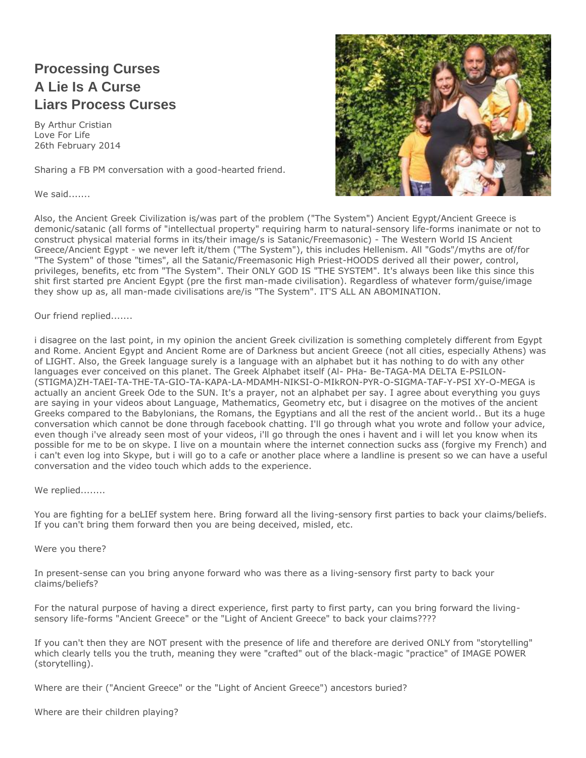# **Processing Curses A Lie Is A Curse Liars Process Curses**

By Arthur Cristian Love For Life 26th February 2014

Sharing a FB PM conversation with a good-hearted friend.

We said.......



Also, the Ancient Greek Civilization is/was part of the problem ("The System") Ancient Egypt/Ancient Greece is demonic/satanic (all forms of "intellectual property" requiring harm to natural-sensory life-forms inanimate or not to construct physical material forms in its/their image/s is Satanic/Freemasonic) - The Western World IS Ancient Greece/Ancient Egypt - we never left it/them ("The System"), this includes Hellenism. All "Gods"/myths are of/for "The System" of those "times", all the Satanic/Freemasonic High Priest-HOODS derived all their power, control, privileges, benefits, etc from "The System". Their ONLY GOD IS "THE SYSTEM". It's always been like this since this shit first started pre Ancient Egypt (pre the first man-made civilisation). Regardless of whatever form/guise/image they show up as, all man-made civilisations are/is "The System". IT'S ALL AN ABOMINATION.

### Our friend replied.......

i disagree on the last point, in my opinion the ancient Greek civilization is something completely different from Egypt and Rome. Ancient Egypt and Ancient Rome are of Darkness but ancient Greece (not all cities, especially Athens) was of LIGHT. Also, the Greek language surely is a language with an alphabet but it has nothing to do with any other languages ever conceived on this planet. The Greek Alphabet itself (Al- PHa- Be-TAGA-MA DELTA E-PSILON- (STIGMA)ZH-TAEI-TA-THE-TA-GIO-TA-KAPA-LA-MDAMH-NIKSI-O-MIkRON-PYR-O-SIGMA-TAF-Y-PSI XY-O-MEGA is actually an ancient Greek Ode to the SUN. It's a prayer, not an alphabet per say. I agree about everything you guys are saying in your videos about Language, Mathematics, Geometry etc, but i disagree on the motives of the ancient Greeks compared to the Babylonians, the Romans, the Egyptians and all the rest of the ancient world.. But its a huge conversation which cannot be done through facebook chatting. I'll go through what you wrote and follow your advice, even though i've already seen most of your videos, i'll go through the ones i havent and i will let you know when its possible for me to be on skype. I live on a mountain where the internet connection sucks ass (forgive my French) and i can't even log into Skype, but i will go to a cafe or another place where a landline is present so we can have a useful conversation and the video touch which adds to the experience.

We replied........

You are fighting for a beLIEf system here. Bring forward all the living-sensory first parties to back your claims/beliefs. If you can't bring them forward then you are being deceived, misled, etc.

#### Were you there?

In present-sense can you bring anyone forward who was there as a living-sensory first party to back your claims/beliefs?

For the natural purpose of having a direct experience, first party to first party, can you bring forward the livingsensory life-forms "Ancient Greece" or the "Light of Ancient Greece" to back your claims????

If you can't then they are NOT present with the presence of life and therefore are derived ONLY from "storytelling" which clearly tells you the truth, meaning they were "crafted" out of the black-magic "practice" of IMAGE POWER (storytelling).

Where are their ("Ancient Greece" or the "Light of Ancient Greece") ancestors buried?

Where are their children playing?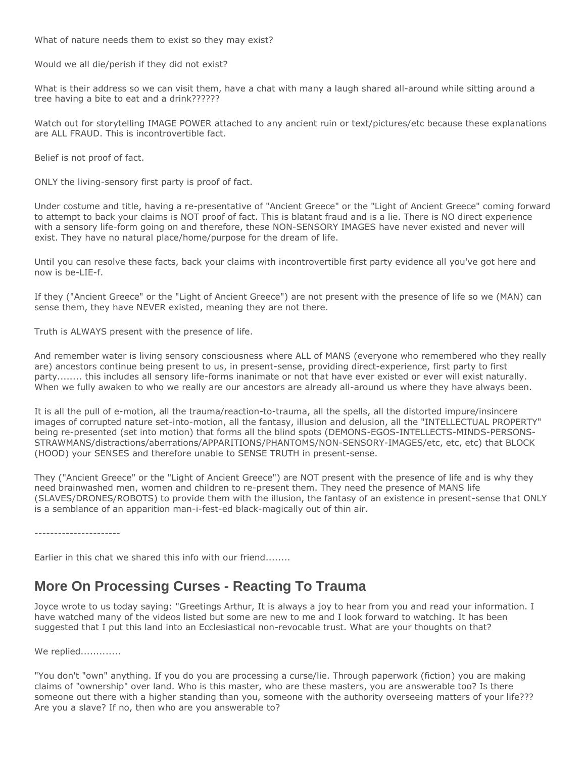What of nature needs them to exist so they may exist?

Would we all die/perish if they did not exist?

What is their address so we can visit them, have a chat with many a laugh shared all-around while sitting around a tree having a bite to eat and a drink??????

Watch out for storytelling IMAGE POWER attached to any ancient ruin or text/pictures/etc because these explanations are ALL FRAUD. This is incontrovertible fact.

Belief is not proof of fact.

ONLY the living-sensory first party is proof of fact.

Under costume and title, having a re-presentative of "Ancient Greece" or the "Light of Ancient Greece" coming forward to attempt to back your claims is NOT proof of fact. This is blatant fraud and is a lie. There is NO direct experience with a sensory life-form going on and therefore, these NON-SENSORY IMAGES have never existed and never will exist. They have no natural place/home/purpose for the dream of life.

Until you can resolve these facts, back your claims with incontrovertible first party evidence all you've got here and now is be-LIE-f.

If they ("Ancient Greece" or the "Light of Ancient Greece") are not present with the presence of life so we (MAN) can sense them, they have NEVER existed, meaning they are not there.

Truth is ALWAYS present with the presence of life.

And remember water is living sensory consciousness where ALL of MANS (everyone who remembered who they really are) ancestors continue being present to us, in present-sense, providing direct-experience, first party to first party........ this includes all sensory life-forms inanimate or not that have ever existed or ever will exist naturally. When we fully awaken to who we really are our ancestors are already all-around us where they have always been.

It is all the pull of e-motion, all the trauma/reaction-to-trauma, all the spells, all the distorted impure/insincere images of corrupted nature set-into-motion, all the fantasy, illusion and delusion, all the "INTELLECTUAL PROPERTY" being re-presented (set into motion) that forms all the blind spots (DEMONS-EGOS-INTELLECTS-MINDS-PERSONS-STRAWMANS/distractions/aberrations/APPARITIONS/PHANTOMS/NON-SENSORY-IMAGES/etc, etc, etc) that BLOCK (HOOD) your SENSES and therefore unable to SENSE TRUTH in present-sense.

They ("Ancient Greece" or the "Light of Ancient Greece") are NOT present with the presence of life and is why they need brainwashed men, women and children to re-present them. They need the presence of MANS life (SLAVES/DRONES/ROBOTS) to provide them with the illusion, the fantasy of an existence in present-sense that ONLY is a semblance of an apparition man-i-fest-ed black-magically out of thin air.

----------------------

Earlier in this chat we shared this info with our friend........

### **More On Processing Curses - Reacting To Trauma**

Joyce wrote to us today saying: "Greetings Arthur, It is always a joy to hear from you and read your information. I have watched many of the videos listed but some are new to me and I look forward to watching. It has been suggested that I put this land into an Ecclesiastical non-revocable trust. What are your thoughts on that?

We replied.............

"You don't "own" anything. If you do you are processing a curse/lie. Through paperwork (fiction) you are making claims of "ownership" over land. Who is this master, who are these masters, you are answerable too? Is there someone out there with a higher standing than you, someone with the authority overseeing matters of your life??? Are you a slave? If no, then who are you answerable to?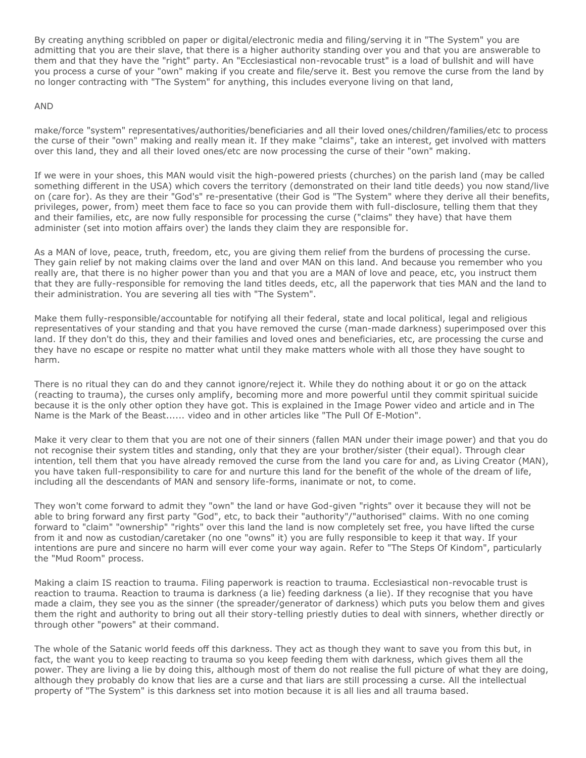By creating anything scribbled on paper or digital/electronic media and filing/serving it in "The System" you are admitting that you are their slave, that there is a higher authority standing over you and that you are answerable to them and that they have the "right" party. An "Ecclesiastical non-revocable trust" is a load of bullshit and will have you process a curse of your "own" making if you create and file/serve it. Best you remove the curse from the land by no longer contracting with "The System" for anything, this includes everyone living on that land,

### AND

make/force "system" representatives/authorities/beneficiaries and all their loved ones/children/families/etc to process the curse of their "own" making and really mean it. If they make "claims", take an interest, get involved with matters over this land, they and all their loved ones/etc are now processing the curse of their "own" making.

If we were in your shoes, this MAN would visit the high-powered priests (churches) on the parish land (may be called something different in the USA) which covers the territory (demonstrated on their land title deeds) you now stand/live on (care for). As they are their "God's" re-presentative (their God is "The System" where they derive all their benefits, privileges, power, from) meet them face to face so you can provide them with full-disclosure, telling them that they and their families, etc, are now fully responsible for processing the curse ("claims" they have) that have them administer (set into motion affairs over) the lands they claim they are responsible for.

As a MAN of love, peace, truth, freedom, etc, you are giving them relief from the burdens of processing the curse. They gain relief by not making claims over the land and over MAN on this land. And because you remember who you really are, that there is no higher power than you and that you are a MAN of love and peace, etc, you instruct them that they are fully-responsible for removing the land titles deeds, etc, all the paperwork that ties MAN and the land to their administration. You are severing all ties with "The System".

Make them fully-responsible/accountable for notifying all their federal, state and local political, legal and religious representatives of your standing and that you have removed the curse (man-made darkness) superimposed over this land. If they don't do this, they and their families and loved ones and beneficiaries, etc, are processing the curse and they have no escape or respite no matter what until they make matters whole with all those they have sought to harm.

There is no ritual they can do and they cannot ignore/reject it. While they do nothing about it or go on the attack (reacting to trauma), the curses only amplify, becoming more and more powerful until they commit spiritual suicide because it is the only other option they have got. This is explained in the Image Power video and article and in The Name is the Mark of the Beast...... video and in other articles like "The Pull Of E-Motion".

Make it very clear to them that you are not one of their sinners (fallen MAN under their image power) and that you do not recognise their system titles and standing, only that they are your brother/sister (their equal). Through clear intention, tell them that you have already removed the curse from the land you care for and, as Living Creator (MAN), you have taken full-responsibility to care for and nurture this land for the benefit of the whole of the dream of life, including all the descendants of MAN and sensory life-forms, inanimate or not, to come.

They won't come forward to admit they "own" the land or have God-given "rights" over it because they will not be able to bring forward any first party "God", etc, to back their "authority"/"authorised" claims. With no one coming forward to "claim" "ownership" "rights" over this land the land is now completely set free, you have lifted the curse from it and now as custodian/caretaker (no one "owns" it) you are fully responsible to keep it that way. If your intentions are pure and sincere no harm will ever come your way again. Refer to "The Steps Of Kindom", particularly the "Mud Room" process.

Making a claim IS reaction to trauma. Filing paperwork is reaction to trauma. Ecclesiastical non-revocable trust is reaction to trauma. Reaction to trauma is darkness (a lie) feeding darkness (a lie). If they recognise that you have made a claim, they see you as the sinner (the spreader/generator of darkness) which puts you below them and gives them the right and authority to bring out all their story-telling priestly duties to deal with sinners, whether directly or through other "powers" at their command.

The whole of the Satanic world feeds off this darkness. They act as though they want to save you from this but, in fact, the want you to keep reacting to trauma so you keep feeding them with darkness, which gives them all the power. They are living a lie by doing this, although most of them do not realise the full picture of what they are doing, although they probably do know that lies are a curse and that liars are still processing a curse. All the intellectual property of "The System" is this darkness set into motion because it is all lies and all trauma based.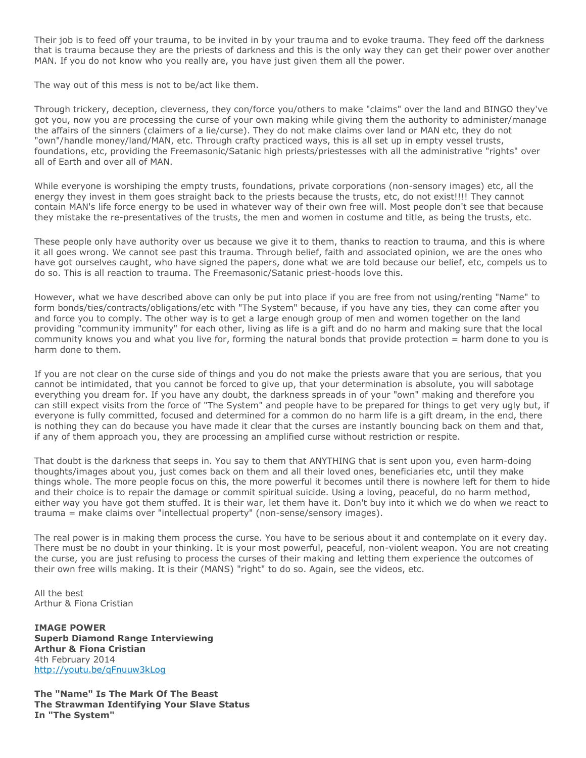Their job is to feed off your trauma, to be invited in by your trauma and to evoke trauma. They feed off the darkness that is trauma because they are the priests of darkness and this is the only way they can get their power over another MAN. If you do not know who you really are, you have just given them all the power.

The way out of this mess is not to be/act like them.

Through trickery, deception, cleverness, they con/force you/others to make "claims" over the land and BINGO they've got you, now you are processing the curse of your own making while giving them the authority to administer/manage the affairs of the sinners (claimers of a lie/curse). They do not make claims over land or MAN etc, they do not "own"/handle money/land/MAN, etc. Through crafty practiced ways, this is all set up in empty vessel trusts, foundations, etc, providing the Freemasonic/Satanic high priests/priestesses with all the administrative "rights" over all of Earth and over all of MAN.

While everyone is worshiping the empty trusts, foundations, private corporations (non-sensory images) etc, all the energy they invest in them goes straight back to the priests because the trusts, etc, do not exist!!!! They cannot contain MAN's life force energy to be used in whatever way of their own free will. Most people don't see that because they mistake the re-presentatives of the trusts, the men and women in costume and title, as being the trusts, etc.

These people only have authority over us because we give it to them, thanks to reaction to trauma, and this is where it all goes wrong. We cannot see past this trauma. Through belief, faith and associated opinion, we are the ones who have got ourselves caught, who have signed the papers, done what we are told because our belief, etc, compels us to do so. This is all reaction to trauma. The Freemasonic/Satanic priest-hoods love this.

However, what we have described above can only be put into place if you are free from not using/renting "Name" to form bonds/ties/contracts/obligations/etc with "The System" because, if you have any ties, they can come after you and force you to comply. The other way is to get a large enough group of men and women together on the land providing "community immunity" for each other, living as life is a gift and do no harm and making sure that the local community knows you and what you live for, forming the natural bonds that provide protection = harm done to you is harm done to them.

If you are not clear on the curse side of things and you do not make the priests aware that you are serious, that you cannot be intimidated, that you cannot be forced to give up, that your determination is absolute, you will sabotage everything you dream for. If you have any doubt, the darkness spreads in of your "own" making and therefore you can still expect visits from the force of "The System" and people have to be prepared for things to get very ugly but, if everyone is fully committed, focused and determined for a common do no harm life is a gift dream, in the end, there is nothing they can do because you have made it clear that the curses are instantly bouncing back on them and that, if any of them approach you, they are processing an amplified curse without restriction or respite.

That doubt is the darkness that seeps in. You say to them that ANYTHING that is sent upon you, even harm-doing thoughts/images about you, just comes back on them and all their loved ones, beneficiaries etc, until they make things whole. The more people focus on this, the more powerful it becomes until there is nowhere left for them to hide and their choice is to repair the damage or commit spiritual suicide. Using a loving, peaceful, do no harm method, either way you have got them stuffed. It is their war, let them have it. Don't buy into it which we do when we react to trauma = make claims over "intellectual property" (non-sense/sensory images).

The real power is in making them process the curse. You have to be serious about it and contemplate on it every day. There must be no doubt in your thinking. It is your most powerful, peaceful, non-violent weapon. You are not creating the curse, you are just refusing to process the curses of their making and letting them experience the outcomes of their own free wills making. It is their (MANS) "right" to do so. Again, see the videos, etc.

All the best Arthur & Fiona Cristian

**IMAGE POWER Superb Diamond Range Interviewing Arthur & Fiona Cristian** 4th February 2014 <http://youtu.be/qFnuuw3kLog>

**The "Name" Is The Mark Of The Beast The Strawman Identifying Your Slave Status In "The System"**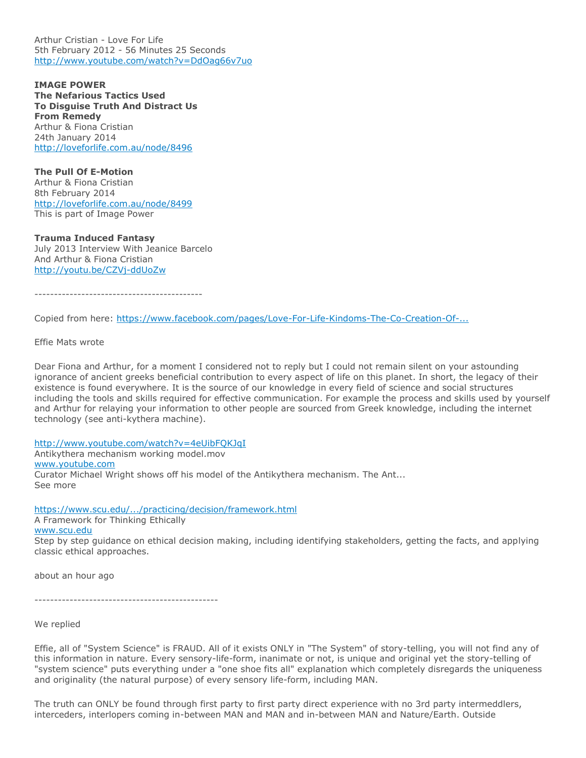Arthur Cristian - Love For Life 5th February 2012 - 56 Minutes 25 Seconds <http://www.youtube.com/watch?v=DdOag66v7uo>

**IMAGE POWER The Nefarious Tactics Used To Disguise Truth And Distract Us From Remedy** Arthur & Fiona Cristian 24th January 2014 <http://loveforlife.com.au/node/8496>

**The Pull Of E-Motion** Arthur & Fiona Cristian 8th February 2014 <http://loveforlife.com.au/node/8499> This is part of Image Power

**Trauma Induced Fantasy** July 2013 Interview With Jeanice Barcelo And Arthur & Fiona Cristian <http://youtu.be/CZVj-ddUoZw>

-------------------------------------------

Copied from here: [https://www.facebook.com/pages/Love-For-Life-Kindoms-The-Co-Creation-Of-...](https://www.facebook.com/pages/Love-For-Life-Kindoms-The-Co-Creation-Of-Do-No-Harm-Communities/151811728195925?ref=hl)

Effie Mats wrote

Dear Fiona and Arthur, for a moment I considered not to reply but I could not remain silent on your astounding ignorance of ancient greeks beneficial contribution to every aspect of life on this planet. In short, the legacy of their existence is found everywhere. It is the source of our knowledge in every field of science and social structures including the tools and skills required for effective communication. For example the process and skills used by yourself and Arthur for relaying your information to other people are sourced from Greek knowledge, including the internet technology (see anti-kythera machine).

<http://www.youtube.com/watch?v=4eUibFQKJqI>

Antikythera mechanism working model.mov [www.youtube.com](http://www.youtube.com/) Curator Michael Wright shows off his model of the Antikythera mechanism. The Ant... See more

<https://www.scu.edu/.../practicing/decision/framework.html>

A Framework for Thinking Ethically

[www.scu.edu](http://www.scu.edu/)

Step by step guidance on ethical decision making, including identifying stakeholders, getting the facts, and applying classic ethical approaches.

about an hour ago

-----------------------------------------------

We replied

Effie, all of "System Science" is FRAUD. All of it exists ONLY in "The System" of story-telling, you will not find any of this information in nature. Every sensory-life-form, inanimate or not, is unique and original yet the story-telling of "system science" puts everything under a "one shoe fits all" explanation which completely disregards the uniqueness and originality (the natural purpose) of every sensory life-form, including MAN.

The truth can ONLY be found through first party to first party direct experience with no 3rd party intermeddlers, interceders, interlopers coming in-between MAN and MAN and in-between MAN and Nature/Earth. Outside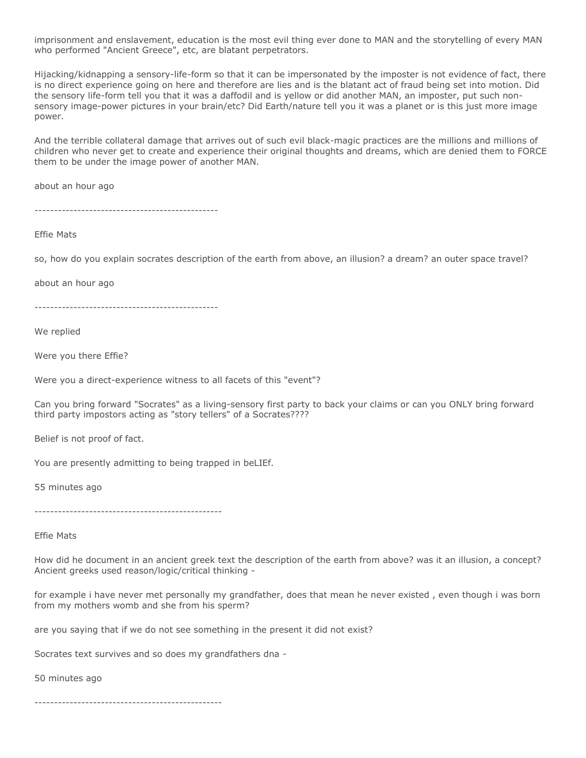imprisonment and enslavement, education is the most evil thing ever done to MAN and the storytelling of every MAN who performed "Ancient Greece", etc, are blatant perpetrators.

Hijacking/kidnapping a sensory-life-form so that it can be impersonated by the imposter is not evidence of fact, there is no direct experience going on here and therefore are lies and is the blatant act of fraud being set into motion. Did the sensory life-form tell you that it was a daffodil and is yellow or did another MAN, an imposter, put such nonsensory image-power pictures in your brain/etc? Did Earth/nature tell you it was a planet or is this just more image power.

And the terrible collateral damage that arrives out of such evil black-magic practices are the millions and millions of children who never get to create and experience their original thoughts and dreams, which are denied them to FORCE them to be under the image power of another MAN.

about an hour ago

-----------------------------------------------

Effie Mats

so, how do you explain socrates description of the earth from above, an illusion? a dream? an outer space travel?

about an hour ago

-----------------------------------------------

We replied

Were you there Effie?

Were you a direct-experience witness to all facets of this "event"?

Can you bring forward "Socrates" as a living-sensory first party to back your claims or can you ONLY bring forward third party impostors acting as "story tellers" of a Socrates????

Belief is not proof of fact.

You are presently admitting to being trapped in beLIEf.

55 minutes ago

------------------------------------------------

Effie Mats

How did he document in an ancient greek text the description of the earth from above? was it an illusion, a concept? Ancient greeks used reason/logic/critical thinking -

for example i have never met personally my grandfather, does that mean he never existed , even though i was born from my mothers womb and she from his sperm?

are you saying that if we do not see something in the present it did not exist?

Socrates text survives and so does my grandfathers dna -

50 minutes ago

------------------------------------------------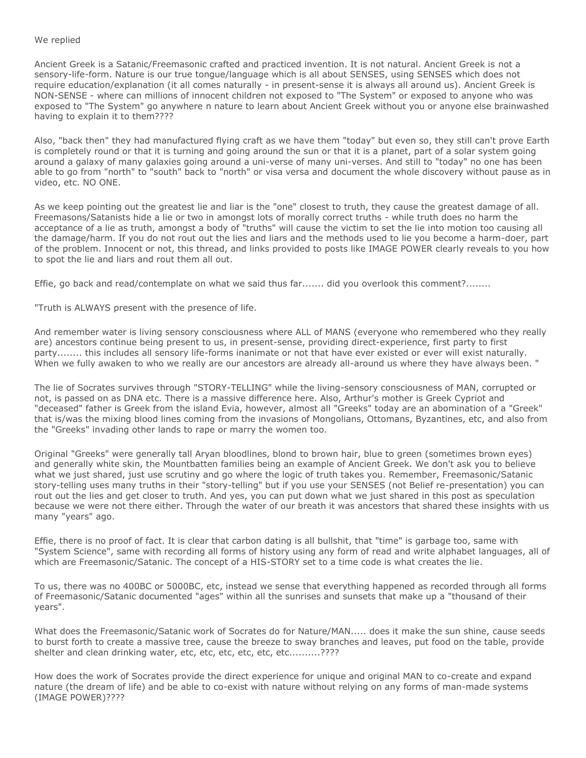### We replied

Ancient Greek is a Satanic/Freemasonic crafted and practiced invention. It is not natural. Ancient Greek is not a sensory-life-form. Nature is our true tongue/language which is all about SENSES, using SENSES which does not require education/explanation (it all comes naturally - in present-sense it is always all around us). Ancient Greek is NON-SENSE - where can millions of innocent children not exposed to "The System" or exposed to anyone who was exposed to "The System" go anywhere n nature to learn about Ancient Greek without you or anyone else brainwashed having to explain it to them????

Also, "back then" they had manufactured flying craft as we have them "today" but even so, they still can't prove Earth is completely round or that it is turning and going around the sun or that it is a planet, part of a solar system going around a galaxy of many galaxies going around a uni-verse of many uni-verses. And still to "today" no one has been able to go from "north" to "south" back to "north" or visa versa and document the whole discovery without pause as in video, etc. NO ONE.

As we keep pointing out the greatest lie and liar is the "one" closest to truth, they cause the greatest damage of all. Freemasons/Satanists hide a lie or two in amongst lots of morally correct truths - while truth does no harm the acceptance of a lie as truth, amongst a body of "truths" will cause the victim to set the lie into motion too causing all the damage/harm. If you do not rout out the lies and liars and the methods used to lie you become a harm-doer, part of the problem. Innocent or not, this thread, and links provided to posts like IMAGE POWER clearly reveals to you how to spot the lie and liars and rout them all out.

Effie, go back and read/contemplate on what we said thus far....... did you overlook this comment?........

"Truth is ALWAYS present with the presence of life.

And remember water is living sensory consciousness where ALL of MANS (everyone who remembered who they really are) ancestors continue being present to us, in present-sense, providing direct-experience, first party to first party........ this includes all sensory life-forms inanimate or not that have ever existed or ever will exist naturally. When we fully awaken to who we really are our ancestors are already all-around us where they have always been. "

The lie of Socrates survives through "STORY-TELLING" while the living-sensory consciousness of MAN, corrupted or not, is passed on as DNA etc. There is a massive difference here. Also, Arthur's mother is Greek Cypriot and "deceased" father is Greek from the island Evia, however, almost all "Greeks" today are an abomination of a "Greek" that is/was the mixing blood lines coming from the invasions of Mongolians, Ottomans, Byzantines, etc, and also from the "Greeks" invading other lands to rape or marry the women too.

Original "Greeks" were generally tall Aryan bloodlines, blond to brown hair, blue to green (sometimes brown eyes) and generally white skin, the Mountbatten families being an example of Ancient Greek. We don't ask you to believe what we just shared, just use scrutiny and go where the logic of truth takes you. Remember, Freemasonic/Satanic story-telling uses many truths in their "story-telling" but if you use your SENSES (not Belief re-presentation) you can rout out the lies and get closer to truth. And yes, you can put down what we just shared in this post as speculation because we were not there either. Through the water of our breath it was ancestors that shared these insights with us many "years" ago.

Effie, there is no proof of fact. It is clear that carbon dating is all bullshit, that "time" is garbage too, same with "System Science", same with recording all forms of history using any form of read and write alphabet languages, all of which are Freemasonic/Satanic. The concept of a HIS-STORY set to a time code is what creates the lie.

To us, there was no 400BC or 5000BC, etc, instead we sense that everything happened as recorded through all forms of Freemasonic/Satanic documented "ages" within all the sunrises and sunsets that make up a "thousand of their years".

What does the Freemasonic/Satanic work of Socrates do for Nature/MAN..... does it make the sun shine, cause seeds to burst forth to create a massive tree, cause the breeze to sway branches and leaves, put food on the table, provide shelter and clean drinking water, etc, etc, etc, etc, etc, etc..........????

How does the work of Socrates provide the direct experience for unique and original MAN to co-create and expand nature (the dream of life) and be able to co-exist with nature without relying on any forms of man-made systems (IMAGE POWER)????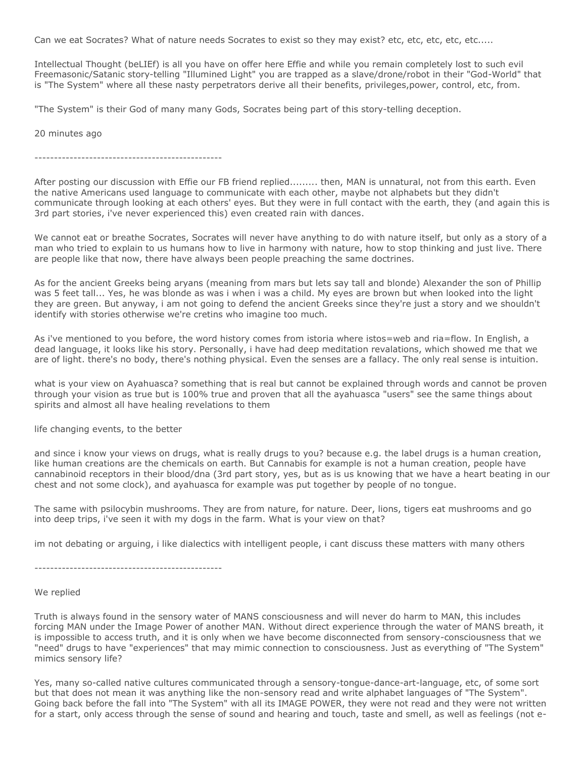Can we eat Socrates? What of nature needs Socrates to exist so they may exist? etc, etc, etc, etc, etc.....

Intellectual Thought (beLIEf) is all you have on offer here Effie and while you remain completely lost to such evil Freemasonic/Satanic story-telling "Illumined Light" you are trapped as a slave/drone/robot in their "God-World" that is "The System" where all these nasty perpetrators derive all their benefits, privileges,power, control, etc, from.

"The System" is their God of many many Gods, Socrates being part of this story-telling deception.

20 minutes ago

------------------------------------------------

After posting our discussion with Effie our FB friend replied......... then, MAN is unnatural, not from this earth. Even the native Americans used language to communicate with each other, maybe not alphabets but they didn't communicate through looking at each others' eyes. But they were in full contact with the earth, they (and again this is 3rd part stories, i've never experienced this) even created rain with dances.

We cannot eat or breathe Socrates, Socrates will never have anything to do with nature itself, but only as a story of a man who tried to explain to us humans how to live in harmony with nature, how to stop thinking and just live. There are people like that now, there have always been people preaching the same doctrines.

As for the ancient Greeks being aryans (meaning from mars but lets say tall and blonde) Alexander the son of Phillip was 5 feet tall... Yes, he was blonde as was i when i was a child. My eyes are brown but when looked into the light they are green. But anyway, i am not going to defend the ancient Greeks since they're just a story and we shouldn't identify with stories otherwise we're cretins who imagine too much.

As i've mentioned to you before, the word history comes from istoria where istos=web and ria=flow. In English, a dead language, it looks like his story. Personally, i have had deep meditation revalations, which showed me that we are of light. there's no body, there's nothing physical. Even the senses are a fallacy. The only real sense is intuition.

what is your view on Ayahuasca? something that is real but cannot be explained through words and cannot be proven through your vision as true but is 100% true and proven that all the ayahuasca "users" see the same things about spirits and almost all have healing revelations to them

life changing events, to the better

and since i know your views on drugs, what is really drugs to you? because e.g. the label drugs is a human creation, like human creations are the chemicals on earth. But Cannabis for example is not a human creation, people have cannabinoid receptors in their blood/dna (3rd part story, yes, but as is us knowing that we have a heart beating in our chest and not some clock), and ayahuasca for example was put together by people of no tongue.

The same with psilocybin mushrooms. They are from nature, for nature. Deer, lions, tigers eat mushrooms and go into deep trips, i've seen it with my dogs in the farm. What is your view on that?

im not debating or arguing, i like dialectics with intelligent people, i cant discuss these matters with many others

------------------------------------------------

We replied

Truth is always found in the sensory water of MANS consciousness and will never do harm to MAN, this includes forcing MAN under the Image Power of another MAN. Without direct experience through the water of MANS breath, it is impossible to access truth, and it is only when we have become disconnected from sensory-consciousness that we "need" drugs to have "experiences" that may mimic connection to consciousness. Just as everything of "The System" mimics sensory life?

Yes, many so-called native cultures communicated through a sensory-tongue-dance-art-language, etc, of some sort but that does not mean it was anything like the non-sensory read and write alphabet languages of "The System". Going back before the fall into "The System" with all its IMAGE POWER, they were not read and they were not written for a start, only access through the sense of sound and hearing and touch, taste and smell, as well as feelings (not e-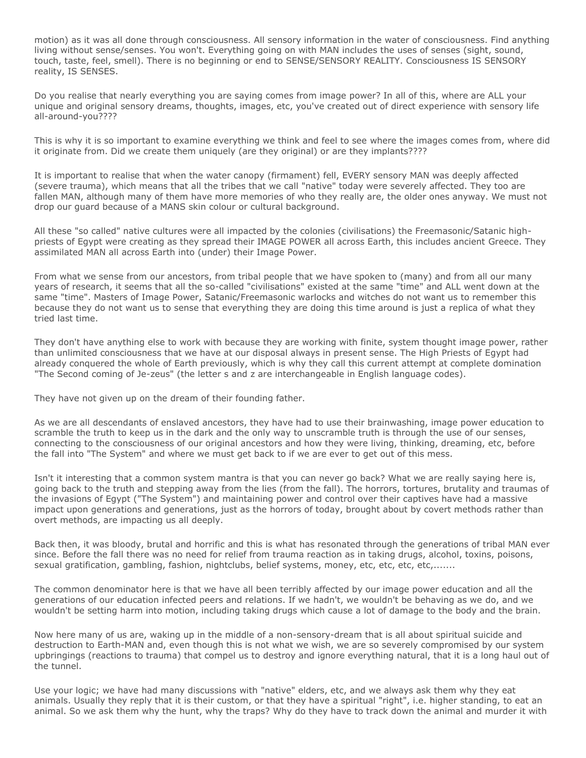motion) as it was all done through consciousness. All sensory information in the water of consciousness. Find anything living without sense/senses. You won't. Everything going on with MAN includes the uses of senses (sight, sound, touch, taste, feel, smell). There is no beginning or end to SENSE/SENSORY REALITY. Consciousness IS SENSORY reality, IS SENSES.

Do you realise that nearly everything you are saying comes from image power? In all of this, where are ALL your unique and original sensory dreams, thoughts, images, etc, you've created out of direct experience with sensory life all-around-you????

This is why it is so important to examine everything we think and feel to see where the images comes from, where did it originate from. Did we create them uniquely (are they original) or are they implants????

It is important to realise that when the water canopy (firmament) fell, EVERY sensory MAN was deeply affected (severe trauma), which means that all the tribes that we call "native" today were severely affected. They too are fallen MAN, although many of them have more memories of who they really are, the older ones anyway. We must not drop our guard because of a MANS skin colour or cultural background.

All these "so called" native cultures were all impacted by the colonies (civilisations) the Freemasonic/Satanic highpriests of Egypt were creating as they spread their IMAGE POWER all across Earth, this includes ancient Greece. They assimilated MAN all across Earth into (under) their Image Power.

From what we sense from our ancestors, from tribal people that we have spoken to (many) and from all our many years of research, it seems that all the so-called "civilisations" existed at the same "time" and ALL went down at the same "time". Masters of Image Power, Satanic/Freemasonic warlocks and witches do not want us to remember this because they do not want us to sense that everything they are doing this time around is just a replica of what they tried last time.

They don't have anything else to work with because they are working with finite, system thought image power, rather than unlimited consciousness that we have at our disposal always in present sense. The High Priests of Egypt had already conquered the whole of Earth previously, which is why they call this current attempt at complete domination "The Second coming of Je-zeus" (the letter s and z are interchangeable in English language codes).

They have not given up on the dream of their founding father.

As we are all descendants of enslaved ancestors, they have had to use their brainwashing, image power education to scramble the truth to keep us in the dark and the only way to unscramble truth is through the use of our senses, connecting to the consciousness of our original ancestors and how they were living, thinking, dreaming, etc, before the fall into "The System" and where we must get back to if we are ever to get out of this mess.

Isn't it interesting that a common system mantra is that you can never go back? What we are really saying here is, going back to the truth and stepping away from the lies (from the fall). The horrors, tortures, brutality and traumas of the invasions of Egypt ("The System") and maintaining power and control over their captives have had a massive impact upon generations and generations, just as the horrors of today, brought about by covert methods rather than overt methods, are impacting us all deeply.

Back then, it was bloody, brutal and horrific and this is what has resonated through the generations of tribal MAN ever since. Before the fall there was no need for relief from trauma reaction as in taking drugs, alcohol, toxins, poisons, sexual gratification, gambling, fashion, nightclubs, belief systems, money, etc, etc, etc, etc,......

The common denominator here is that we have all been terribly affected by our image power education and all the generations of our education infected peers and relations. If we hadn't, we wouldn't be behaving as we do, and we wouldn't be setting harm into motion, including taking drugs which cause a lot of damage to the body and the brain.

Now here many of us are, waking up in the middle of a non-sensory-dream that is all about spiritual suicide and destruction to Earth-MAN and, even though this is not what we wish, we are so severely compromised by our system upbringings (reactions to trauma) that compel us to destroy and ignore everything natural, that it is a long haul out of the tunnel.

Use your logic; we have had many discussions with "native" elders, etc, and we always ask them why they eat animals. Usually they reply that it is their custom, or that they have a spiritual "right", i.e. higher standing, to eat an animal. So we ask them why the hunt, why the traps? Why do they have to track down the animal and murder it with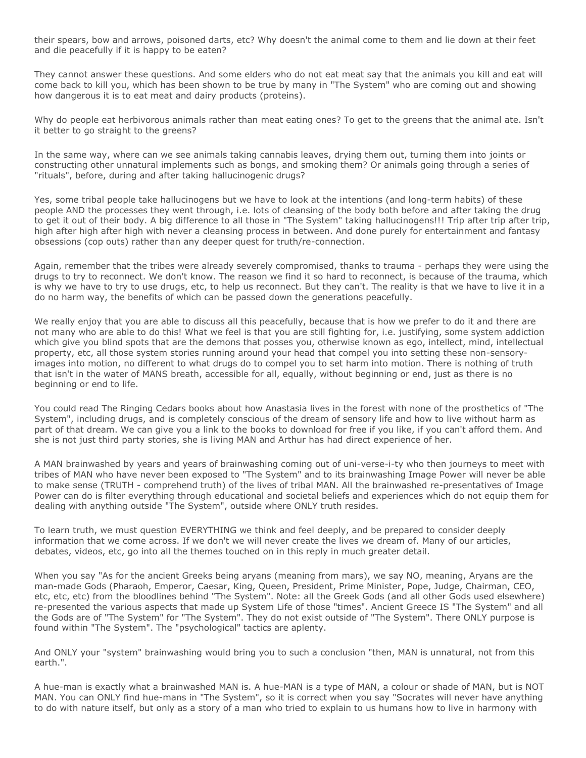their spears, bow and arrows, poisoned darts, etc? Why doesn't the animal come to them and lie down at their feet and die peacefully if it is happy to be eaten?

They cannot answer these questions. And some elders who do not eat meat say that the animals you kill and eat will come back to kill you, which has been shown to be true by many in "The System" who are coming out and showing how dangerous it is to eat meat and dairy products (proteins).

Why do people eat herbivorous animals rather than meat eating ones? To get to the greens that the animal ate. Isn't it better to go straight to the greens?

In the same way, where can we see animals taking cannabis leaves, drying them out, turning them into joints or constructing other unnatural implements such as bongs, and smoking them? Or animals going through a series of "rituals", before, during and after taking hallucinogenic drugs?

Yes, some tribal people take hallucinogens but we have to look at the intentions (and long-term habits) of these people AND the processes they went through, i.e. lots of cleansing of the body both before and after taking the drug to get it out of their body. A big difference to all those in "The System" taking hallucinogens!!! Trip after trip after trip, high after high after high with never a cleansing process in between. And done purely for entertainment and fantasy obsessions (cop outs) rather than any deeper quest for truth/re-connection.

Again, remember that the tribes were already severely compromised, thanks to trauma - perhaps they were using the drugs to try to reconnect. We don't know. The reason we find it so hard to reconnect, is because of the trauma, which is why we have to try to use drugs, etc, to help us reconnect. But they can't. The reality is that we have to live it in a do no harm way, the benefits of which can be passed down the generations peacefully.

We really enjoy that you are able to discuss all this peacefully, because that is how we prefer to do it and there are not many who are able to do this! What we feel is that you are still fighting for, i.e. justifying, some system addiction which give you blind spots that are the demons that posses you, otherwise known as ego, intellect, mind, intellectual property, etc, all those system stories running around your head that compel you into setting these non-sensoryimages into motion, no different to what drugs do to compel you to set harm into motion. There is nothing of truth that isn't in the water of MANS breath, accessible for all, equally, without beginning or end, just as there is no beginning or end to life.

You could read The Ringing Cedars books about how Anastasia lives in the forest with none of the prosthetics of "The System", including drugs, and is completely conscious of the dream of sensory life and how to live without harm as part of that dream. We can give you a link to the books to download for free if you like, if you can't afford them. And she is not just third party stories, she is living MAN and Arthur has had direct experience of her.

A MAN brainwashed by years and years of brainwashing coming out of uni-verse-i-ty who then journeys to meet with tribes of MAN who have never been exposed to "The System" and to its brainwashing Image Power will never be able to make sense (TRUTH - comprehend truth) of the lives of tribal MAN. All the brainwashed re-presentatives of Image Power can do is filter everything through educational and societal beliefs and experiences which do not equip them for dealing with anything outside "The System", outside where ONLY truth resides.

To learn truth, we must question EVERYTHING we think and feel deeply, and be prepared to consider deeply information that we come across. If we don't we will never create the lives we dream of. Many of our articles, debates, videos, etc, go into all the themes touched on in this reply in much greater detail.

When you say "As for the ancient Greeks being aryans (meaning from mars), we say NO, meaning, Aryans are the man-made Gods (Pharaoh, Emperor, Caesar, King, Queen, President, Prime Minister, Pope, Judge, Chairman, CEO, etc, etc, etc) from the bloodlines behind "The System". Note: all the Greek Gods (and all other Gods used elsewhere) re-presented the various aspects that made up System Life of those "times". Ancient Greece IS "The System" and all the Gods are of "The System" for "The System". They do not exist outside of "The System". There ONLY purpose is found within "The System". The "psychological" tactics are aplenty.

And ONLY your "system" brainwashing would bring you to such a conclusion "then, MAN is unnatural, not from this earth.".

A hue-man is exactly what a brainwashed MAN is. A hue-MAN is a type of MAN, a colour or shade of MAN, but is NOT MAN. You can ONLY find hue-mans in "The System", so it is correct when you say "Socrates will never have anything to do with nature itself, but only as a story of a man who tried to explain to us humans how to live in harmony with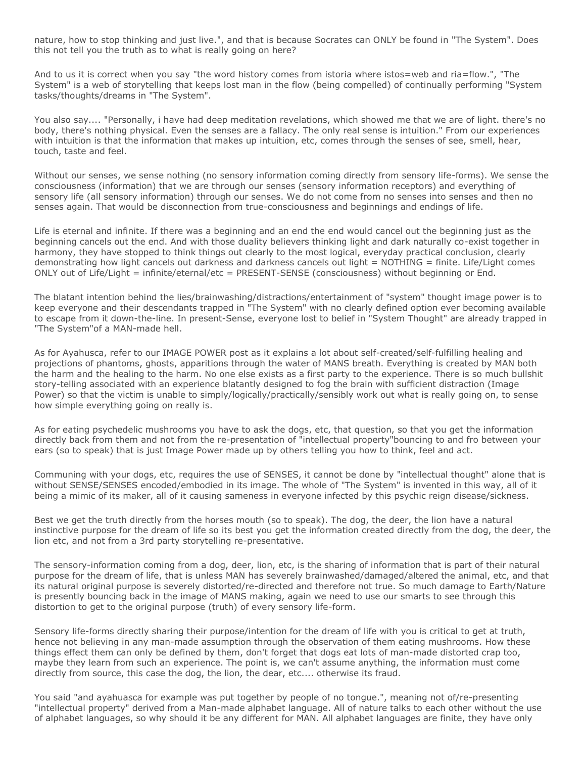nature, how to stop thinking and just live.", and that is because Socrates can ONLY be found in "The System". Does this not tell you the truth as to what is really going on here?

And to us it is correct when you say "the word history comes from istoria where istos=web and ria=flow.", "The System" is a web of storytelling that keeps lost man in the flow (being compelled) of continually performing "System tasks/thoughts/dreams in "The System".

You also say.... "Personally, i have had deep meditation revelations, which showed me that we are of light. there's no body, there's nothing physical. Even the senses are a fallacy. The only real sense is intuition." From our experiences with intuition is that the information that makes up intuition, etc, comes through the senses of see, smell, hear, touch, taste and feel.

Without our senses, we sense nothing (no sensory information coming directly from sensory life-forms). We sense the consciousness (information) that we are through our senses (sensory information receptors) and everything of sensory life (all sensory information) through our senses. We do not come from no senses into senses and then no senses again. That would be disconnection from true-consciousness and beginnings and endings of life.

Life is eternal and infinite. If there was a beginning and an end the end would cancel out the beginning just as the beginning cancels out the end. And with those duality believers thinking light and dark naturally co-exist together in harmony, they have stopped to think things out clearly to the most logical, everyday practical conclusion, clearly demonstrating how light cancels out darkness and darkness cancels out light = NOTHING = finite. Life/Light comes ONLY out of Life/Light = infinite/eternal/etc = PRESENT-SENSE (consciousness) without beginning or End.

The blatant intention behind the lies/brainwashing/distractions/entertainment of "system" thought image power is to keep everyone and their descendants trapped in "The System" with no clearly defined option ever becoming available to escape from it down-the-line. In present-Sense, everyone lost to belief in "System Thought" are already trapped in "The System"of a MAN-made hell.

As for Ayahusca, refer to our IMAGE POWER post as it explains a lot about self-created/self-fulfilling healing and projections of phantoms, ghosts, apparitions through the water of MANS breath. Everything is created by MAN both the harm and the healing to the harm. No one else exists as a first party to the experience. There is so much bullshit story-telling associated with an experience blatantly designed to fog the brain with sufficient distraction (Image Power) so that the victim is unable to simply/logically/practically/sensibly work out what is really going on, to sense how simple everything going on really is.

As for eating psychedelic mushrooms you have to ask the dogs, etc, that question, so that you get the information directly back from them and not from the re-presentation of "intellectual property"bouncing to and fro between your ears (so to speak) that is just Image Power made up by others telling you how to think, feel and act.

Communing with your dogs, etc, requires the use of SENSES, it cannot be done by "intellectual thought" alone that is without SENSE/SENSES encoded/embodied in its image. The whole of "The System" is invented in this way, all of it being a mimic of its maker, all of it causing sameness in everyone infected by this psychic reign disease/sickness.

Best we get the truth directly from the horses mouth (so to speak). The dog, the deer, the lion have a natural instinctive purpose for the dream of life so its best you get the information created directly from the dog, the deer, the lion etc, and not from a 3rd party storytelling re-presentative.

The sensory-information coming from a dog, deer, lion, etc, is the sharing of information that is part of their natural purpose for the dream of life, that is unless MAN has severely brainwashed/damaged/altered the animal, etc, and that its natural original purpose is severely distorted/re-directed and therefore not true. So much damage to Earth/Nature is presently bouncing back in the image of MANS making, again we need to use our smarts to see through this distortion to get to the original purpose (truth) of every sensory life-form.

Sensory life-forms directly sharing their purpose/intention for the dream of life with you is critical to get at truth, hence not believing in any man-made assumption through the observation of them eating mushrooms. How these things effect them can only be defined by them, don't forget that dogs eat lots of man-made distorted crap too, maybe they learn from such an experience. The point is, we can't assume anything, the information must come directly from source, this case the dog, the lion, the dear, etc.... otherwise its fraud.

You said "and ayahuasca for example was put together by people of no tongue.", meaning not of/re-presenting "intellectual property" derived from a Man-made alphabet language. All of nature talks to each other without the use of alphabet languages, so why should it be any different for MAN. All alphabet languages are finite, they have only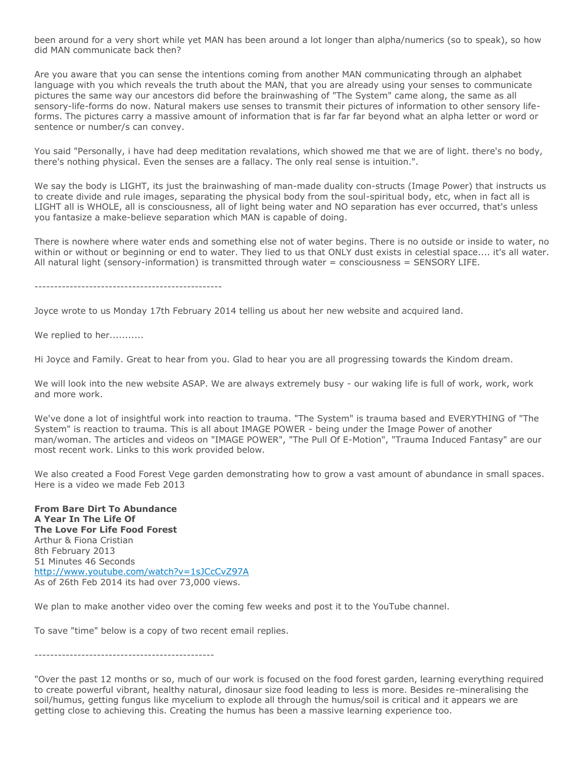been around for a very short while yet MAN has been around a lot longer than alpha/numerics (so to speak), so how did MAN communicate back then?

Are you aware that you can sense the intentions coming from another MAN communicating through an alphabet language with you which reveals the truth about the MAN, that you are already using your senses to communicate pictures the same way our ancestors did before the brainwashing of "The System" came along, the same as all sensory-life-forms do now. Natural makers use senses to transmit their pictures of information to other sensory lifeforms. The pictures carry a massive amount of information that is far far far beyond what an alpha letter or word or sentence or number/s can convey.

You said "Personally, i have had deep meditation revalations, which showed me that we are of light. there's no body, there's nothing physical. Even the senses are a fallacy. The only real sense is intuition.".

We say the body is LIGHT, its just the brainwashing of man-made duality con-structs (Image Power) that instructs us to create divide and rule images, separating the physical body from the soul-spiritual body, etc, when in fact all is LIGHT all is WHOLE, all is consciousness, all of light being water and NO separation has ever occurred, that's unless you fantasize a make-believe separation which MAN is capable of doing.

There is nowhere where water ends and something else not of water begins. There is no outside or inside to water, no within or without or beginning or end to water. They lied to us that ONLY dust exists in celestial space.... it's all water. All natural light (sensory-information) is transmitted through water = consciousness = SENSORY LIFE.

------------------------------------------------

Joyce wrote to us Monday 17th February 2014 telling us about her new website and acquired land.

We replied to her...........

Hi Joyce and Family. Great to hear from you. Glad to hear you are all progressing towards the Kindom dream.

We will look into the new website ASAP. We are always extremely busy - our waking life is full of work, work, work and more work.

We've done a lot of insightful work into reaction to trauma. "The System" is trauma based and EVERYTHING of "The System" is reaction to trauma. This is all about IMAGE POWER - being under the Image Power of another man/woman. The articles and videos on "IMAGE POWER", "The Pull Of E-Motion", "Trauma Induced Fantasy" are our most recent work. Links to this work provided below.

We also created a Food Forest Vege garden demonstrating how to grow a vast amount of abundance in small spaces. Here is a video we made Feb 2013

**From Bare Dirt To Abundance A Year In The Life Of The Love For Life Food Forest** Arthur & Fiona Cristian 8th February 2013 51 Minutes 46 Seconds <http://www.youtube.com/watch?v=1sJCcCvZ97A> As of 26th Feb 2014 its had over 73,000 views.

We plan to make another video over the coming few weeks and post it to the YouTube channel.

To save "time" below is a copy of two recent email replies.

----------------------------------------------

"Over the past 12 months or so, much of our work is focused on the food forest garden, learning everything required to create powerful vibrant, healthy natural, dinosaur size food leading to less is more. Besides re-mineralising the soil/humus, getting fungus like mycelium to explode all through the humus/soil is critical and it appears we are getting close to achieving this. Creating the humus has been a massive learning experience too.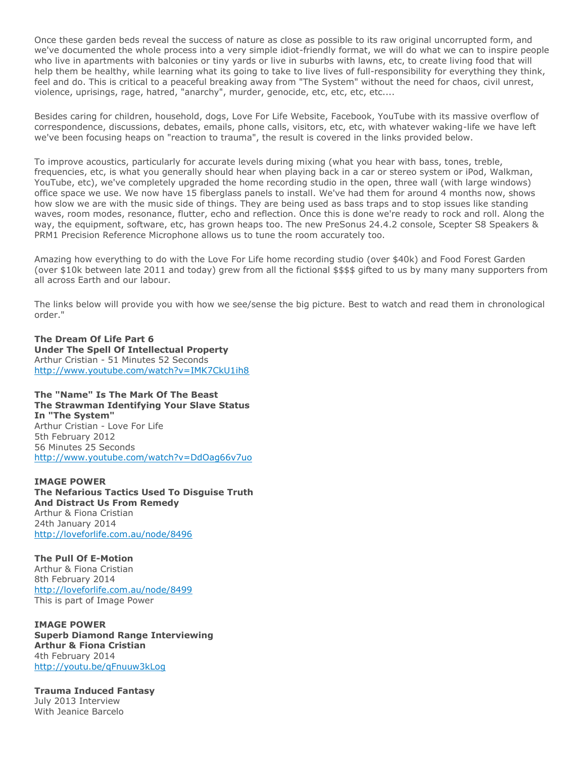Once these garden beds reveal the success of nature as close as possible to its raw original uncorrupted form, and we've documented the whole process into a very simple idiot-friendly format, we will do what we can to inspire people who live in apartments with balconies or tiny yards or live in suburbs with lawns, etc, to create living food that will help them be healthy, while learning what its going to take to live lives of full-responsibility for everything they think, feel and do. This is critical to a peaceful breaking away from "The System" without the need for chaos, civil unrest, violence, uprisings, rage, hatred, "anarchy", murder, genocide, etc, etc, etc, etc....

Besides caring for children, household, dogs, Love For Life Website, Facebook, YouTube with its massive overflow of correspondence, discussions, debates, emails, phone calls, visitors, etc, etc, with whatever waking-life we have left we've been focusing heaps on "reaction to trauma", the result is covered in the links provided below.

To improve acoustics, particularly for accurate levels during mixing (what you hear with bass, tones, treble, frequencies, etc, is what you generally should hear when playing back in a car or stereo system or iPod, Walkman, YouTube, etc), we've completely upgraded the home recording studio in the open, three wall (with large windows) office space we use. We now have 15 fiberglass panels to install. We've had them for around 4 months now, shows how slow we are with the music side of things. They are being used as bass traps and to stop issues like standing waves, room modes, resonance, flutter, echo and reflection. Once this is done we're ready to rock and roll. Along the way, the equipment, software, etc, has grown heaps too. The new PreSonus 24.4.2 console, Scepter S8 Speakers & PRM1 Precision Reference Microphone allows us to tune the room accurately too.

Amazing how everything to do with the Love For Life home recording studio (over \$40k) and Food Forest Garden (over \$10k between late 2011 and today) grew from all the fictional \$\$\$\$ gifted to us by many many supporters from all across Earth and our labour.

The links below will provide you with how we see/sense the big picture. Best to watch and read them in chronological order."

**The Dream Of Life Part 6 Under The Spell Of Intellectual Property** Arthur Cristian - 51 Minutes 52 Seconds <http://www.youtube.com/watch?v=IMK7CkU1ih8>

**The "Name" Is The Mark Of The Beast The Strawman Identifying Your Slave Status In "The System"** Arthur Cristian - Love For Life 5th February 2012 56 Minutes 25 Seconds <http://www.youtube.com/watch?v=DdOag66v7uo>

**IMAGE POWER The Nefarious Tactics Used To Disguise Truth And Distract Us From Remedy** Arthur & Fiona Cristian 24th January 2014 <http://loveforlife.com.au/node/8496>

**The Pull Of E-Motion** Arthur & Fiona Cristian 8th February 2014 <http://loveforlife.com.au/node/8499> This is part of Image Power

**IMAGE POWER Superb Diamond Range Interviewing Arthur & Fiona Cristian** 4th February 2014 <http://youtu.be/qFnuuw3kLog>

**Trauma Induced Fantasy** July 2013 Interview With Jeanice Barcelo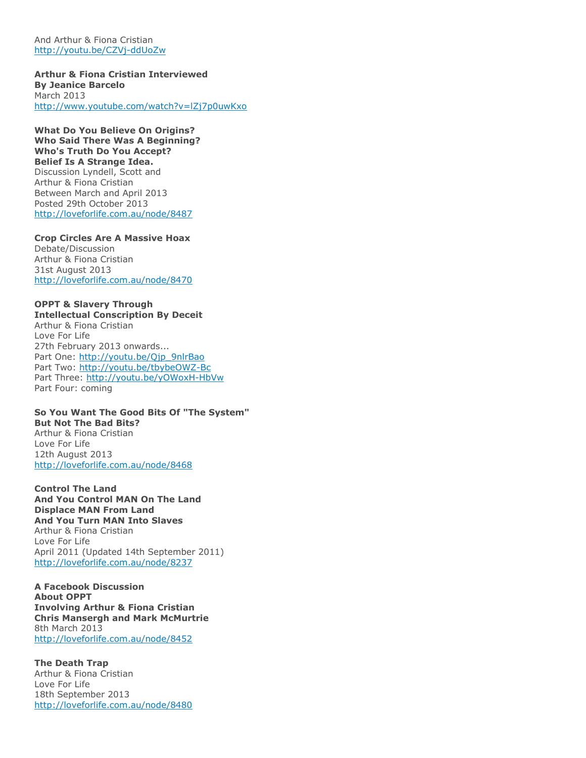And Arthur & Fiona Cristian <http://youtu.be/CZVj-ddUoZw>

**Arthur & Fiona Cristian Interviewed By Jeanice Barcelo** March 2013 <http://www.youtube.com/watch?v=lZj7p0uwKxo>

**What Do You Believe On Origins? Who Said There Was A Beginning? Who's Truth Do You Accept? Belief Is A Strange Idea.** Discussion Lyndell, Scott and Arthur & Fiona Cristian Between March and April 2013 Posted 29th October 2013 <http://loveforlife.com.au/node/8487>

**Crop Circles Are A Massive Hoax** Debate/Discussion Arthur & Fiona Cristian 31st August 2013 <http://loveforlife.com.au/node/8470>

### **OPPT & Slavery Through**

**Intellectual Conscription By Deceit** Arthur & Fiona Cristian Love For Life 27th February 2013 onwards... Part One: [http://youtu.be/Qjp\\_9nlrBao](http://youtu.be/Qjp_9nlrBao) Part Two: <http://youtu.be/tbybeOWZ-Bc> Part Three: <http://youtu.be/yOWoxH-HbVw> Part Four: coming

**So You Want The Good Bits Of "The System" But Not The Bad Bits?** Arthur & Fiona Cristian Love For Life 12th August 2013 <http://loveforlife.com.au/node/8468>

**Control The Land And You Control MAN On The Land Displace MAN From Land And You Turn MAN Into Slaves** Arthur & Fiona Cristian Love For Life April 2011 (Updated 14th September 2011) <http://loveforlife.com.au/node/8237>

**A Facebook Discussion About OPPT Involving Arthur & Fiona Cristian Chris Mansergh and Mark McMurtrie** 8th March 2013 <http://loveforlife.com.au/node/8452>

**The Death Trap** Arthur & Fiona Cristian Love For Life 18th September 2013 <http://loveforlife.com.au/node/8480>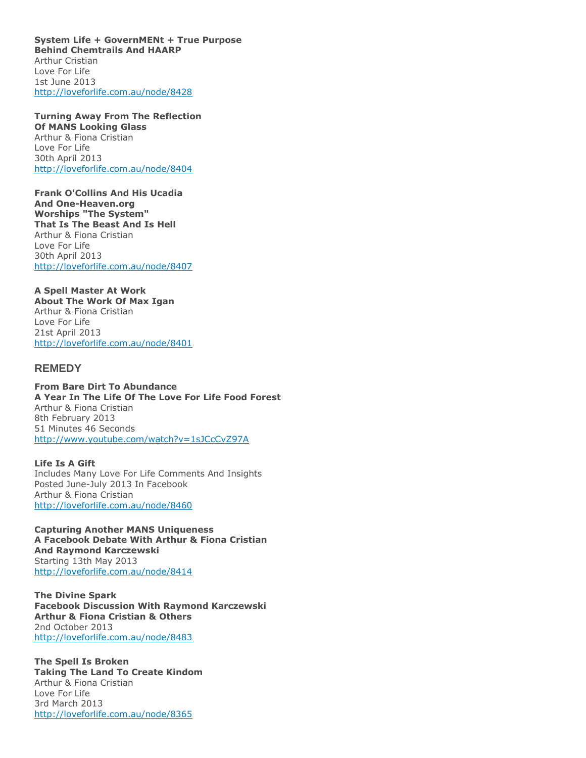**System Life + GovernMENt + True Purpose Behind Chemtrails And HAARP** Arthur Cristian Love For Life 1st June 2013 <http://loveforlife.com.au/node/8428>

**Turning Away From The Reflection Of MANS Looking Glass** Arthur & Fiona Cristian Love For Life 30th April 2013 <http://loveforlife.com.au/node/8404>

**Frank O'Collins And His Ucadia And One-Heaven.org Worships "The System" That Is The Beast And Is Hell** Arthur & Fiona Cristian Love For Life 30th April 2013 <http://loveforlife.com.au/node/8407>

### **A Spell Master At Work**

**About The Work Of Max Igan** Arthur & Fiona Cristian Love For Life 21st April 2013 <http://loveforlife.com.au/node/8401>

### **REMEDY**

**From Bare Dirt To Abundance A Year In The Life Of The Love For Life Food Forest** Arthur & Fiona Cristian 8th February 2013 51 Minutes 46 Seconds <http://www.youtube.com/watch?v=1sJCcCvZ97A>

**Life Is A Gift** Includes Many Love For Life Comments And Insights Posted June-July 2013 In Facebook Arthur & Fiona Cristian <http://loveforlife.com.au/node/8460>

**Capturing Another MANS Uniqueness A Facebook Debate With Arthur & Fiona Cristian And Raymond Karczewski** Starting 13th May 2013 <http://loveforlife.com.au/node/8414>

**The Divine Spark Facebook Discussion With Raymond Karczewski Arthur & Fiona Cristian & Others** 2nd October 2013 <http://loveforlife.com.au/node/8483>

**The Spell Is Broken Taking The Land To Create Kindom** Arthur & Fiona Cristian Love For Life 3rd March 2013 <http://loveforlife.com.au/node/8365>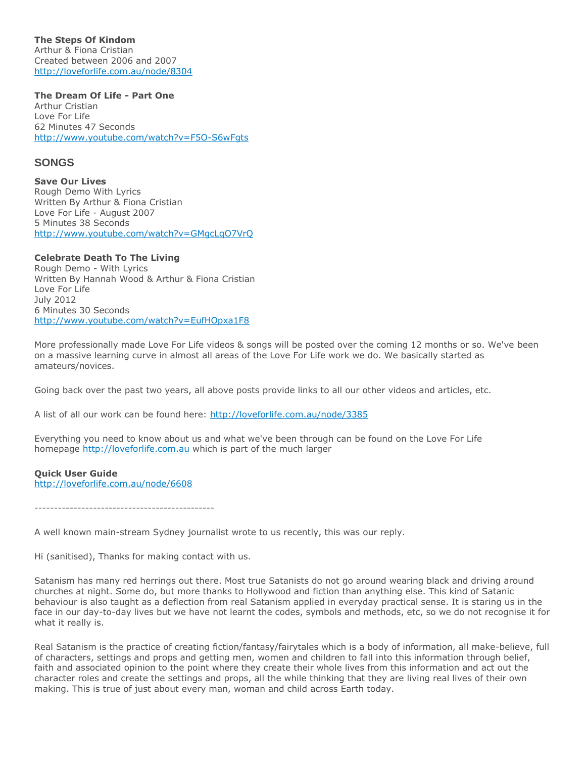**The Steps Of Kindom** Arthur & Fiona Cristian Created between 2006 and 2007 <http://loveforlife.com.au/node/8304>

**The Dream Of Life - Part One**

Arthur Cristian Love For Life 62 Minutes 47 Seconds <http://www.youtube.com/watch?v=F5O-S6wFgts>

### **SONGS**

**Save Our Lives** Rough Demo With Lyrics Written By Arthur & Fiona Cristian Love For Life - August 2007 5 Minutes 38 Seconds <http://www.youtube.com/watch?v=GMgcLqO7VrQ>

### **Celebrate Death To The Living**

Rough Demo - With Lyrics Written By Hannah Wood & Arthur & Fiona Cristian Love For Life July 2012 6 Minutes 30 Seconds <http://www.youtube.com/watch?v=EufHOpxa1F8>

More professionally made Love For Life videos & songs will be posted over the coming 12 months or so. We've been on a massive learning curve in almost all areas of the Love For Life work we do. We basically started as amateurs/novices.

Going back over the past two years, all above posts provide links to all our other videos and articles, etc.

A list of all our work can be found here: <http://loveforlife.com.au/node/3385>

Everything you need to know about us and what we've been through can be found on the Love For Life homepage [http://loveforlife.com.au](http://loveforlife.com.au/) which is part of the much larger

#### **Quick User Guide** <http://loveforlife.com.au/node/6608>

----------------------------------------------

A well known main-stream Sydney journalist wrote to us recently, this was our reply.

Hi (sanitised), Thanks for making contact with us.

Satanism has many red herrings out there. Most true Satanists do not go around wearing black and driving around churches at night. Some do, but more thanks to Hollywood and fiction than anything else. This kind of Satanic behaviour is also taught as a deflection from real Satanism applied in everyday practical sense. It is staring us in the face in our day-to-day lives but we have not learnt the codes, symbols and methods, etc, so we do not recognise it for what it really is.

Real Satanism is the practice of creating fiction/fantasy/fairytales which is a body of information, all make-believe, full of characters, settings and props and getting men, women and children to fall into this information through belief, faith and associated opinion to the point where they create their whole lives from this information and act out the character roles and create the settings and props, all the while thinking that they are living real lives of their own making. This is true of just about every man, woman and child across Earth today.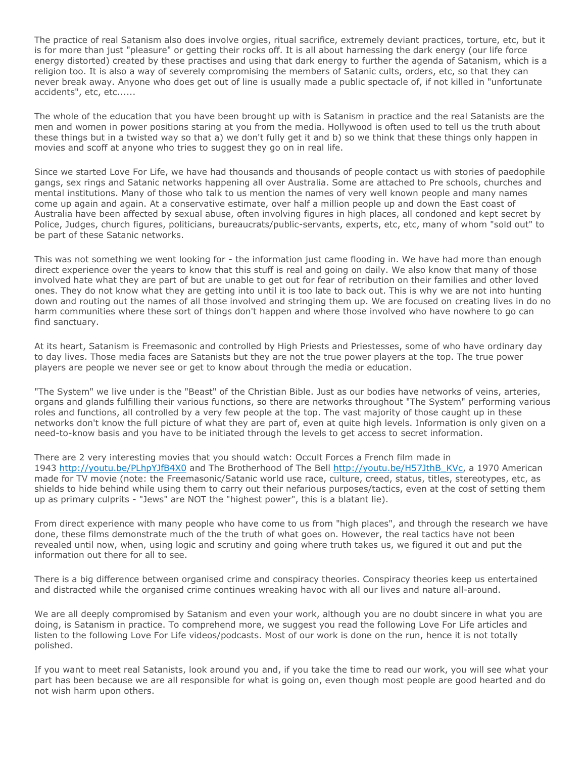The practice of real Satanism also does involve orgies, ritual sacrifice, extremely deviant practices, torture, etc, but it is for more than just "pleasure" or getting their rocks off. It is all about harnessing the dark energy (our life force energy distorted) created by these practises and using that dark energy to further the agenda of Satanism, which is a religion too. It is also a way of severely compromising the members of Satanic cults, orders, etc, so that they can never break away. Anyone who does get out of line is usually made a public spectacle of, if not killed in "unfortunate accidents", etc, etc......

The whole of the education that you have been brought up with is Satanism in practice and the real Satanists are the men and women in power positions staring at you from the media. Hollywood is often used to tell us the truth about these things but in a twisted way so that a) we don't fully get it and b) so we think that these things only happen in movies and scoff at anyone who tries to suggest they go on in real life.

Since we started Love For Life, we have had thousands and thousands of people contact us with stories of paedophile gangs, sex rings and Satanic networks happening all over Australia. Some are attached to Pre schools, churches and mental institutions. Many of those who talk to us mention the names of very well known people and many names come up again and again. At a conservative estimate, over half a million people up and down the East coast of Australia have been affected by sexual abuse, often involving figures in high places, all condoned and kept secret by Police, Judges, church figures, politicians, bureaucrats/public-servants, experts, etc, etc, many of whom "sold out" to be part of these Satanic networks.

This was not something we went looking for - the information just came flooding in. We have had more than enough direct experience over the years to know that this stuff is real and going on daily. We also know that many of those involved hate what they are part of but are unable to get out for fear of retribution on their families and other loved ones. They do not know what they are getting into until it is too late to back out. This is why we are not into hunting down and routing out the names of all those involved and stringing them up. We are focused on creating lives in do no harm communities where these sort of things don't happen and where those involved who have nowhere to go can find sanctuary.

At its heart, Satanism is Freemasonic and controlled by High Priests and Priestesses, some of who have ordinary day to day lives. Those media faces are Satanists but they are not the true power players at the top. The true power players are people we never see or get to know about through the media or education.

"The System" we live under is the "Beast" of the Christian Bible. Just as our bodies have networks of veins, arteries, organs and glands fulfilling their various functions, so there are networks throughout "The System" performing various roles and functions, all controlled by a very few people at the top. The vast majority of those caught up in these networks don't know the full picture of what they are part of, even at quite high levels. Information is only given on a need-to-know basis and you have to be initiated through the levels to get access to secret information.

There are 2 very interesting movies that you should watch: Occult Forces a French film made in 1943 <http://youtu.be/PLhpYJfB4X0> and The Brotherhood of The Bell [http://youtu.be/H57JthB\\_KVc,](http://youtu.be/H57JthB_KVc) a 1970 American made for TV movie (note: the Freemasonic/Satanic world use race, culture, creed, status, titles, stereotypes, etc, as shields to hide behind while using them to carry out their nefarious purposes/tactics, even at the cost of setting them up as primary culprits - "Jews" are NOT the "highest power", this is a blatant lie).

From direct experience with many people who have come to us from "high places", and through the research we have done, these films demonstrate much of the the truth of what goes on. However, the real tactics have not been revealed until now, when, using logic and scrutiny and going where truth takes us, we figured it out and put the information out there for all to see.

There is a big difference between organised crime and conspiracy theories. Conspiracy theories keep us entertained and distracted while the organised crime continues wreaking havoc with all our lives and nature all-around.

We are all deeply compromised by Satanism and even your work, although you are no doubt sincere in what you are doing, is Satanism in practice. To comprehend more, we suggest you read the following Love For Life articles and listen to the following Love For Life videos/podcasts. Most of our work is done on the run, hence it is not totally polished.

If you want to meet real Satanists, look around you and, if you take the time to read our work, you will see what your part has been because we are all responsible for what is going on, even though most people are good hearted and do not wish harm upon others.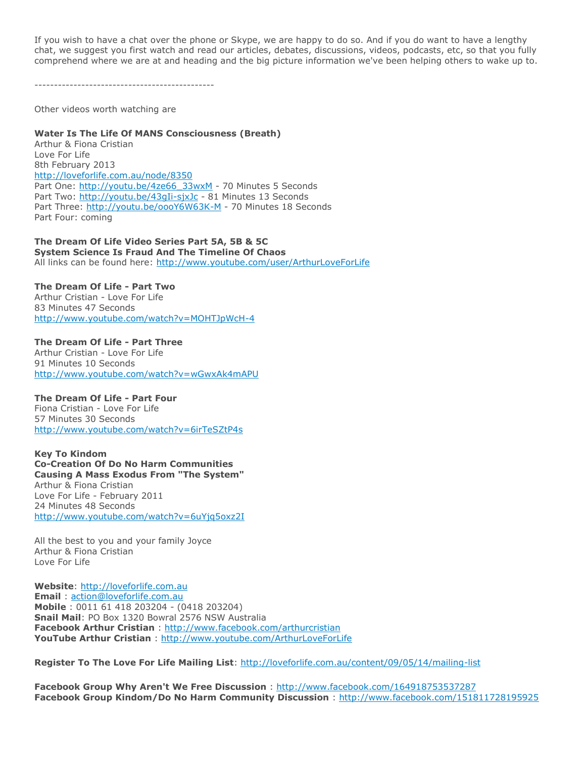If you wish to have a chat over the phone or Skype, we are happy to do so. And if you do want to have a lengthy chat, we suggest you first watch and read our articles, debates, discussions, videos, podcasts, etc, so that you fully comprehend where we are at and heading and the big picture information we've been helping others to wake up to.

----------------------------------------------

Other videos worth watching are

### **Water Is The Life Of MANS Consciousness (Breath)**

Arthur & Fiona Cristian Love For Life 8th February 2013 <http://loveforlife.com.au/node/8350> Part One: [http://youtu.be/4ze66\\_33wxM](http://youtu.be/4ze66_33wxM) - 70 Minutes 5 Seconds Part Two: <http://youtu.be/43gIi-sjxJc> - 81 Minutes 13 Seconds Part Three: <http://youtu.be/oooY6W63K-M> - 70 Minutes 18 Seconds Part Four: coming

### **The Dream Of Life Video Series Part 5A, 5B & 5C**

**System Science Is Fraud And The Timeline Of Chaos** All links can be found here: <http://www.youtube.com/user/ArthurLoveForLife>

### **The Dream Of Life - Part Two**

Arthur Cristian - Love For Life 83 Minutes 47 Seconds <http://www.youtube.com/watch?v=MOHTJpWcH-4>

**The Dream Of Life - Part Three** Arthur Cristian - Love For Life 91 Minutes 10 Seconds <http://www.youtube.com/watch?v=wGwxAk4mAPU>

### **The Dream Of Life - Part Four**

Fiona Cristian - Love For Life 57 Minutes 30 Seconds <http://www.youtube.com/watch?v=6irTeSZtP4s>

**Key To Kindom Co-Creation Of Do No Harm Communities Causing A Mass Exodus From "The System"** Arthur & Fiona Cristian Love For Life - February 2011 24 Minutes 48 Seconds <http://www.youtube.com/watch?v=6uYjq5oxz2I>

All the best to you and your family Joyce Arthur & Fiona Cristian Love For Life

**Website**: [http://loveforlife.com.au](http://loveforlife.com.au/) **Email** : [action@loveforlife.com.au](mailto:action@loveforlife.com.au) **Mobile** : 0011 61 418 203204 - (0418 203204) **Snail Mail**: PO Box 1320 Bowral 2576 NSW Australia **Facebook Arthur Cristian** : <http://www.facebook.com/arthurcristian> **YouTube Arthur Cristian** : <http://www.youtube.com/ArthurLoveForLife>

**Register To The Love For Life Mailing List**: <http://loveforlife.com.au/content/09/05/14/mailing-list>

**Facebook Group Why Aren't We Free Discussion** : <http://www.facebook.com/164918753537287> **Facebook Group Kindom/Do No Harm Community Discussion** : <http://www.facebook.com/151811728195925>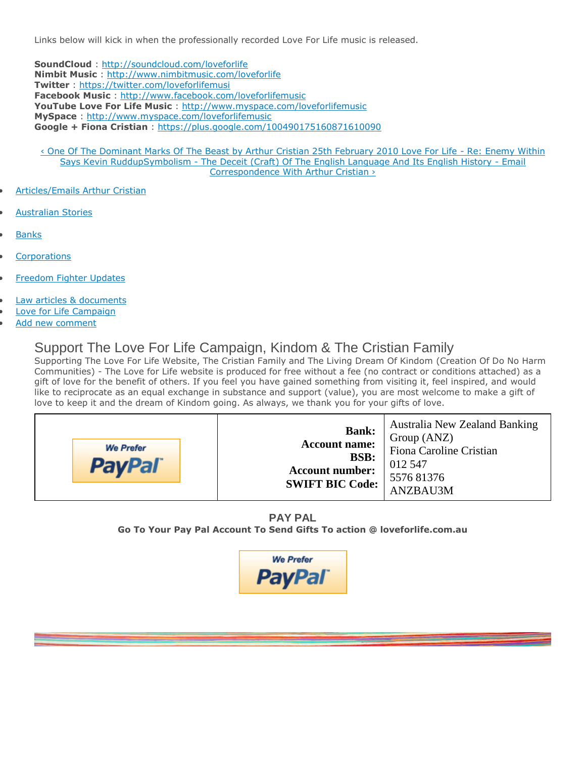Links below will kick in when the professionally recorded Love For Life music is released.

**SoundCloud** : <http://soundcloud.com/loveforlife> **Nimbit Music** : <http://www.nimbitmusic.com/loveforlife> **Twitter** : <https://twitter.com/loveforlifemusi> **Facebook Music** : <http://www.facebook.com/loveforlifemusic> **YouTube Love For Life Music** : <http://www.myspace.com/loveforlifemusic> **MySpace** : <http://www.myspace.com/loveforlifemusic> **Google + Fiona Cristian** : <https://plus.google.com/100490175160871610090>

- [‹ One Of The Dominant Marks Of The Beast by Arthur Cristian 25th February 2010 Love For Life](http://loveforlife.com.au/node/7219)  Re: Enemy Within [Says Kevin Rudd](http://loveforlife.com.au/node/7219)[upS](http://loveforlife.com.au/content/07/09/21/symbols-symbolism)ymbolism - [The Deceit \(Craft\) Of The English Language And Its English History -](http://loveforlife.com.au/content/08/02/23/symbolism-deceit-craft-english-language-and-its-english-history-email-correspondenc) Email [Correspondence With Arthur Cristian ›](http://loveforlife.com.au/content/08/02/23/symbolism-deceit-craft-english-language-and-its-english-history-email-correspondenc)
- [Articles/Emails Arthur Cristian](http://loveforlife.com.au/taxonomy/term/687)
- [Australian Stories](http://loveforlife.com.au/taxonomy/term/740)
- **[Banks](http://loveforlife.com.au/category/main/banks)**
- **[Corporations](http://loveforlife.com.au/taxonomy/term/6)**
- [Freedom Fighter Updates](http://loveforlife.com.au/taxonomy/term/765)
- [Law articles & documents](http://loveforlife.com.au/category/main/law-articles-documents)
- [Love for Life Campaign](http://loveforlife.com.au/category/main/love-life-campaign)
- [Add new comment](http://loveforlife.com.au/comment/reply/8505#comment-form)

# Support The Love For Life Campaign, Kindom & The Cristian Family

Supporting The Love For Life Website, The Cristian Family and The Living Dream Of Kindom (Creation Of Do No Harm Communities) - The Love for Life website is produced for free without a fee (no contract or conditions attached) as a gift of love for the benefit of others. If you feel you have gained something from visiting it, feel inspired, and would like to reciprocate as an equal exchange in substance and support (value), you are most welcome to make a gift of love to keep it and the dream of Kindom going. As always, we thank you for your gifts of love.

| <b>We Prefer</b><br><b>PayPal</b> | <b>Australia New Zealand Banking</b><br><b>Bank:</b><br>Group (ANZ)<br><b>Account name:</b><br>Fiona Caroline Cristian<br><b>BSB:</b><br>012 547<br><b>Account number:</b><br>557681376<br><b>SWIFT BIC Code:</b><br>ANZBAU3M |
|-----------------------------------|-------------------------------------------------------------------------------------------------------------------------------------------------------------------------------------------------------------------------------|
|-----------------------------------|-------------------------------------------------------------------------------------------------------------------------------------------------------------------------------------------------------------------------------|

**PAY PAL Go To Your Pay Pal Account To Send Gifts To action @ loveforlife.com.au**

$$
\mathsf{PayPar}
$$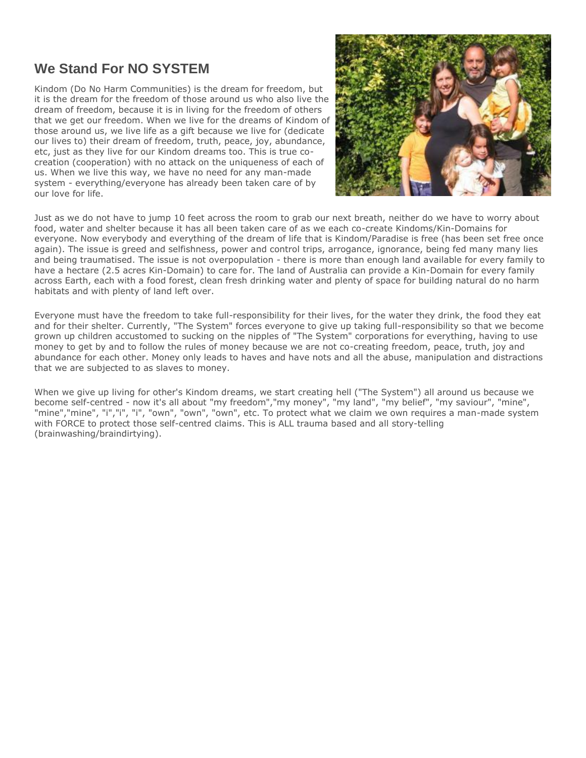# **We Stand For NO SYSTEM**

Kindom (Do No Harm Communities) is the dream for freedom, but it is the dream for the freedom of those around us who also live the dream of freedom, because it is in living for the freedom of others that we get our freedom. When we live for the dreams of Kindom of those around us, we live life as a gift because we live for (dedicate our lives to) their dream of freedom, truth, peace, joy, abundance, etc, just as they live for our Kindom dreams too. This is true cocreation (cooperation) with no attack on the uniqueness of each of us. When we live this way, we have no need for any man-made system - everything/everyone has already been taken care of by our love for life.



Just as we do not have to jump 10 feet across the room to grab our next breath, neither do we have to worry about food, water and shelter because it has all been taken care of as we each co-create Kindoms/Kin-Domains for everyone. Now everybody and everything of the dream of life that is Kindom/Paradise is free (has been set free once again). The issue is greed and selfishness, power and control trips, arrogance, ignorance, being fed many many lies and being traumatised. The issue is not overpopulation - there is more than enough land available for every family to have a hectare (2.5 acres Kin-Domain) to care for. The land of Australia can provide a Kin-Domain for every family across Earth, each with a food forest, clean fresh drinking water and plenty of space for building natural do no harm habitats and with plenty of land left over.

Everyone must have the freedom to take full-responsibility for their lives, for the water they drink, the food they eat and for their shelter. Currently, "The System" forces everyone to give up taking full-responsibility so that we become grown up children accustomed to sucking on the nipples of "The System" corporations for everything, having to use money to get by and to follow the rules of money because we are not co-creating freedom, peace, truth, joy and abundance for each other. Money only leads to haves and have nots and all the abuse, manipulation and distractions that we are subjected to as slaves to money.

When we give up living for other's Kindom dreams, we start creating hell ("The System") all around us because we become self-centred - now it's all about "my freedom","my money", "my land", "my belief", "my saviour", "mine", "mine","mine", "i","i", "i", "own", "own", "own", etc. To protect what we claim we own requires a man-made system with FORCE to protect those self-centred claims. This is ALL trauma based and all story-telling (brainwashing/braindirtying).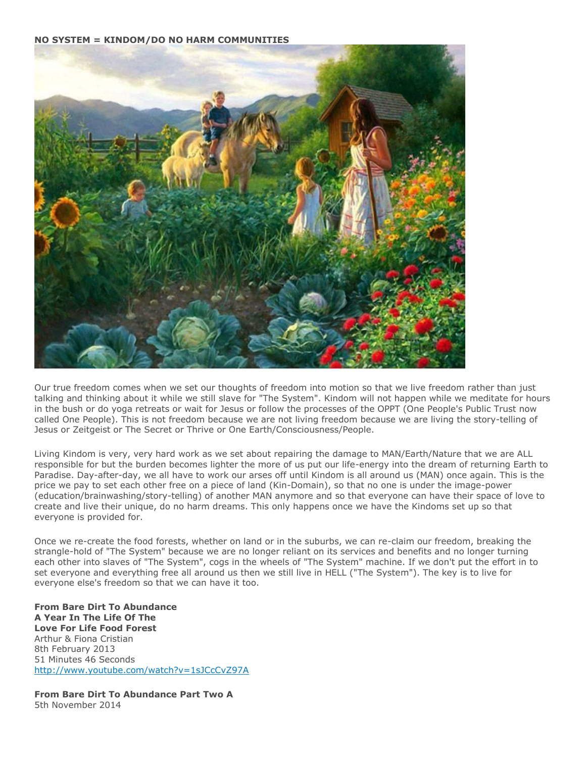**NO SYSTEM = KINDOM/DO NO HARM COMMUNITIES**



Our true freedom comes when we set our thoughts of freedom into motion so that we live freedom rather than just talking and thinking about it while we still slave for "The System". Kindom will not happen while we meditate for hours in the bush or do yoga retreats or wait for Jesus or follow the processes of the OPPT (One People's Public Trust now called One People). This is not freedom because we are not living freedom because we are living the story-telling of Jesus or Zeitgeist or The Secret or Thrive or One Earth/Consciousness/People.

Living Kindom is very, very hard work as we set about repairing the damage to MAN/Earth/Nature that we are ALL responsible for but the burden becomes lighter the more of us put our life-energy into the dream of returning Earth to Paradise. Day-after-day, we all have to work our arses off until Kindom is all around us (MAN) once again. This is the price we pay to set each other free on a piece of land (Kin-Domain), so that no one is under the image-power (education/brainwashing/story-telling) of another MAN anymore and so that everyone can have their space of love to create and live their unique, do no harm dreams. This only happens once we have the Kindoms set up so that everyone is provided for.

Once we re-create the food forests, whether on land or in the suburbs, we can re-claim our freedom, breaking the strangle-hold of "The System" because we are no longer reliant on its services and benefits and no longer turning each other into slaves of "The System", cogs in the wheels of "The System" machine. If we don't put the effort in to set everyone and everything free all around us then we still live in HELL ("The System"). The key is to live for everyone else's freedom so that we can have it too.

**From Bare Dirt To Abundance A Year In The Life Of The Love For Life Food Forest** Arthur & Fiona Cristian 8th February 2013 51 Minutes 46 Seconds <http://www.youtube.com/watch?v=1sJCcCvZ97A>

**From Bare Dirt To Abundance Part Two A** 5th November 2014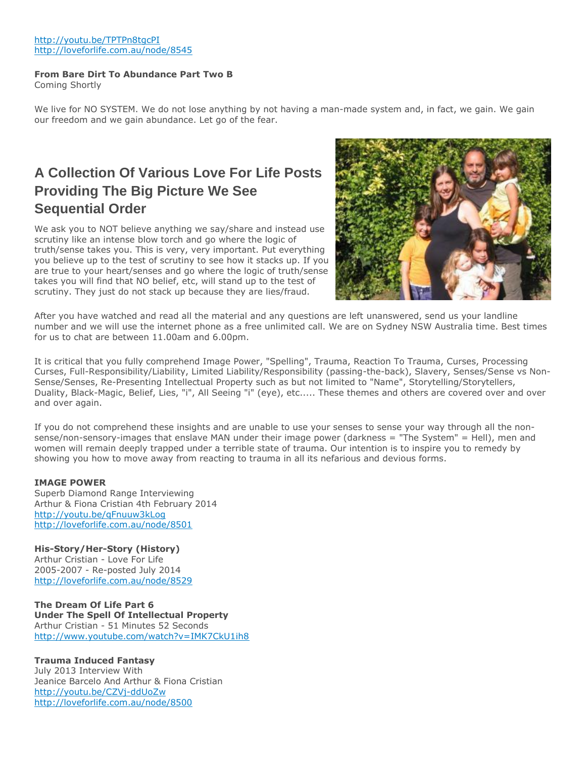### <http://youtu.be/TPTPn8tgcPI> <http://loveforlife.com.au/node/8545>

### **From Bare Dirt To Abundance Part Two B**

Coming Shortly

We live for NO SYSTEM. We do not lose anything by not having a man-made system and, in fact, we gain. We gain our freedom and we gain abundance. Let go of the fear.

# **A Collection Of Various Love For Life Posts Providing The Big Picture We See Sequential Order**

We ask you to NOT believe anything we say/share and instead use scrutiny like an intense blow torch and go where the logic of truth/sense takes you. This is very, very important. Put everything you believe up to the test of scrutiny to see how it stacks up. If you are true to your heart/senses and go where the logic of truth/sense takes you will find that NO belief, etc, will stand up to the test of scrutiny. They just do not stack up because they are lies/fraud.



After you have watched and read all the material and any questions are left unanswered, send us your landline number and we will use the internet phone as a free unlimited call. We are on Sydney NSW Australia time. Best times for us to chat are between 11.00am and 6.00pm.

It is critical that you fully comprehend Image Power, "Spelling", Trauma, Reaction To Trauma, Curses, Processing Curses, Full-Responsibility/Liability, Limited Liability/Responsibility (passing-the-back), Slavery, Senses/Sense vs Non-Sense/Senses, Re-Presenting Intellectual Property such as but not limited to "Name", Storytelling/Storytellers, Duality, Black-Magic, Belief, Lies, "i", All Seeing "i" (eye), etc..... These themes and others are covered over and over and over again.

If you do not comprehend these insights and are unable to use your senses to sense your way through all the nonsense/non-sensory-images that enslave MAN under their image power (darkness = "The System" = Hell), men and women will remain deeply trapped under a terrible state of trauma. Our intention is to inspire you to remedy by showing you how to move away from reacting to trauma in all its nefarious and devious forms.

### **IMAGE POWER**

Superb Diamond Range Interviewing Arthur & Fiona Cristian 4th February 2014 <http://youtu.be/qFnuuw3kLog> <http://loveforlife.com.au/node/8501>

### **His-Story/Her-Story (History)**

Arthur Cristian - Love For Life 2005-2007 - Re-posted July 2014 <http://loveforlife.com.au/node/8529>

**The Dream Of Life Part 6 Under The Spell Of Intellectual Property** Arthur Cristian - 51 Minutes 52 Seconds <http://www.youtube.com/watch?v=IMK7CkU1ih8>

### **Trauma Induced Fantasy**

July 2013 Interview With Jeanice Barcelo And Arthur & Fiona Cristian <http://youtu.be/CZVj-ddUoZw> <http://loveforlife.com.au/node/8500>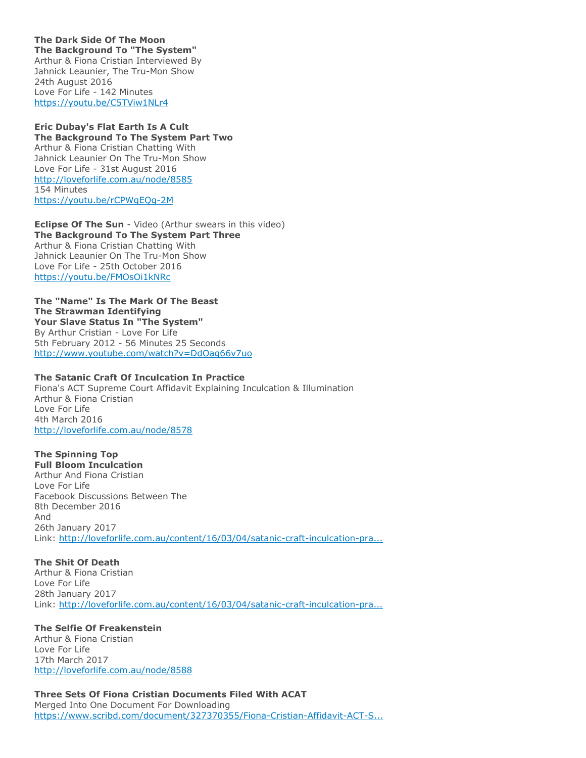**The Dark Side Of The Moon The Background To "The System"** Arthur & Fiona Cristian Interviewed By Jahnick Leaunier, The Tru-Mon Show 24th August 2016 Love For Life - 142 Minutes <https://youtu.be/C5TViw1NLr4>

### **Eric Dubay's Flat Earth Is A Cult The Background To The System Part Two** Arthur & Fiona Cristian Chatting With Jahnick Leaunier On The Tru-Mon Show Love For Life - 31st August 2016 <http://loveforlife.com.au/node/8585> 154 Minutes <https://youtu.be/rCPWgEQg-2M>

**Eclipse Of The Sun** - Video (Arthur swears in this video) **The Background To The System Part Three** Arthur & Fiona Cristian Chatting With Jahnick Leaunier On The Tru-Mon Show Love For Life - 25th October 2016 <https://youtu.be/FMOsOi1kNRc>

### **The "Name" Is The Mark Of The Beast The Strawman Identifying Your Slave Status In "The System"** By Arthur Cristian - Love For Life

5th February 2012 - 56 Minutes 25 Seconds <http://www.youtube.com/watch?v=DdOag66v7uo>

### **The Satanic Craft Of Inculcation In Practice**

Fiona's ACT Supreme Court Affidavit Explaining Inculcation & Illumination Arthur & Fiona Cristian Love For Life 4th March 2016 <http://loveforlife.com.au/node/8578>

# **The Spinning Top**

**Full Bloom Inculcation** Arthur And Fiona Cristian Love For Life Facebook Discussions Between The 8th December 2016 And 26th January 2017 Link: [http://loveforlife.com.au/content/16/03/04/satanic-craft-inculcation-pra...](http://loveforlife.com.au/content/16/03/04/satanic-craft-inculcation-practise-arthur-cristian-love-life-4th-march-2016#comment-9508)

### **The Shit Of Death**

Arthur & Fiona Cristian Love For Life 28th January 2017 Link: [http://loveforlife.com.au/content/16/03/04/satanic-craft-inculcation-pra...](http://loveforlife.com.au/content/16/03/04/satanic-craft-inculcation-practise-arthur-cristian-love-life-4th-march-2016#comment-9565)

### **The Selfie Of Freakenstein**

Arthur & Fiona Cristian Love For Life 17th March 2017 <http://loveforlife.com.au/node/8588>

**Three Sets Of Fiona Cristian Documents Filed With ACAT** Merged Into One Document For Downloading [https://www.scribd.com/document/327370355/Fiona-Cristian-Affidavit-ACT-S...](https://www.scribd.com/document/327370355/Fiona-Cristian-Affidavit-ACT-Supreme-Court-Court-Of-Appeal-l2th-October-2016#from_embed)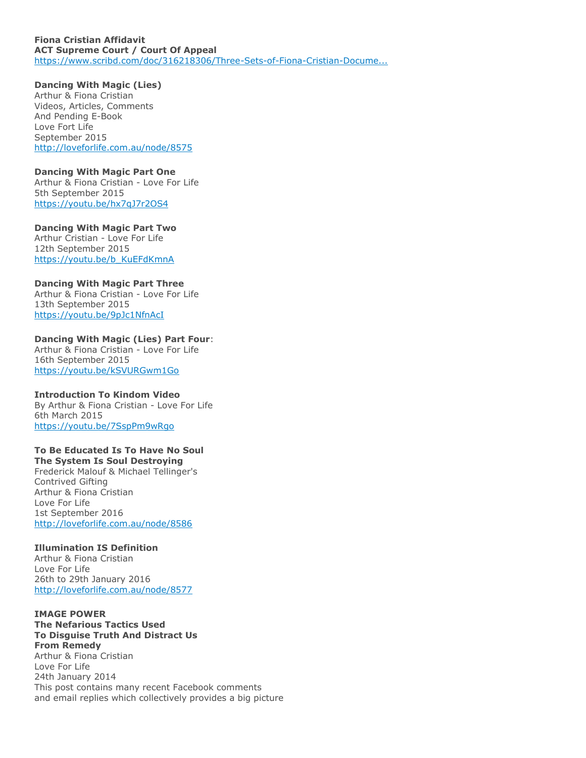#### **Fiona Cristian Affidavit ACT Supreme Court / Court Of Appeal** [https://www.scribd.com/doc/316218306/Three-Sets-of-Fiona-Cristian-Docume...](https://www.scribd.com/doc/316218306/Three-Sets-of-Fiona-Cristian-Documents-Filed-With-ACAT)

**Dancing With Magic (Lies)** Arthur & Fiona Cristian Videos, Articles, Comments And Pending E-Book Love Fort Life September 2015 <http://loveforlife.com.au/node/8575>

### **Dancing With Magic Part One**

Arthur & Fiona Cristian - Love For Life 5th September 2015 <https://youtu.be/hx7qJ7r2OS4>

### **Dancing With Magic Part Two**

Arthur Cristian - Love For Life 12th September 2015 [https://youtu.be/b\\_KuEFdKmnA](https://youtu.be/b_KuEFdKmnA)

### **Dancing With Magic Part Three**

Arthur & Fiona Cristian - Love For Life 13th September 2015 <https://youtu.be/9pJc1NfnAcI>

### **Dancing With Magic (Lies) Part Four**:

Arthur & Fiona Cristian - Love For Life 16th September 2015 <https://youtu.be/kSVURGwm1Go>

### **Introduction To Kindom Video**

By Arthur & Fiona Cristian - Love For Life 6th March 2015 <https://youtu.be/7SspPm9wRgo>

# **To Be Educated Is To Have No Soul**

**The System Is Soul Destroying** Frederick Malouf & Michael Tellinger's Contrived Gifting Arthur & Fiona Cristian Love For Life 1st September 2016 <http://loveforlife.com.au/node/8586>

### **Illumination IS Definition**

Arthur & Fiona Cristian Love For Life 26th to 29th January 2016 <http://loveforlife.com.au/node/8577>

### **IMAGE POWER**

**The Nefarious Tactics Used To Disguise Truth And Distract Us From Remedy** Arthur & Fiona Cristian Love For Life 24th January 2014 This post contains many recent Facebook comments and email replies which collectively provides a big picture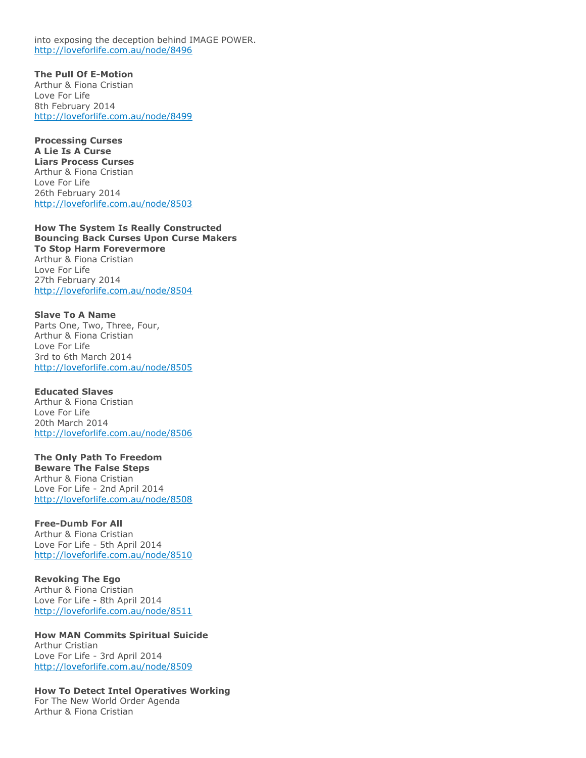into exposing the deception behind IMAGE POWER. <http://loveforlife.com.au/node/8496>

**The Pull Of E-Motion** Arthur & Fiona Cristian Love For Life 8th February 2014 <http://loveforlife.com.au/node/8499>

**Processing Curses A Lie Is A Curse Liars Process Curses** Arthur & Fiona Cristian Love For Life 26th February 2014 <http://loveforlife.com.au/node/8503>

**How The System Is Really Constructed Bouncing Back Curses Upon Curse Makers To Stop Harm Forevermore** Arthur & Fiona Cristian Love For Life 27th February 2014 <http://loveforlife.com.au/node/8504>

**Slave To A Name** Parts One, Two, Three, Four, Arthur & Fiona Cristian Love For Life 3rd to 6th March 2014 <http://loveforlife.com.au/node/8505>

**Educated Slaves** Arthur & Fiona Cristian Love For Life 20th March 2014 <http://loveforlife.com.au/node/8506>

**The Only Path To Freedom Beware The False Steps** Arthur & Fiona Cristian Love For Life - 2nd April 2014 <http://loveforlife.com.au/node/8508>

#### **Free-Dumb For All** Arthur & Fiona Cristian Love For Life - 5th April 2014 <http://loveforlife.com.au/node/8510>

**Revoking The Ego** Arthur & Fiona Cristian Love For Life - 8th April 2014 <http://loveforlife.com.au/node/8511>

**How MAN Commits Spiritual Suicide** Arthur Cristian Love For Life - 3rd April 2014 <http://loveforlife.com.au/node/8509>

**How To Detect Intel Operatives Working** For The New World Order Agenda Arthur & Fiona Cristian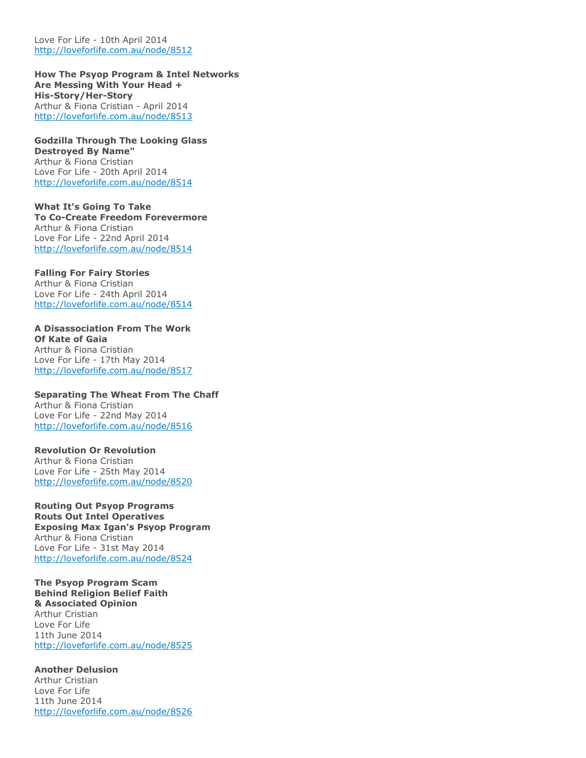Love For Life - 10th April 2014 <http://loveforlife.com.au/node/8512>

**How The Psyop Program & Intel Networks Are Messing With Your Head + His-Story/Her-Story** Arthur & Fiona Cristian - April 2014 <http://loveforlife.com.au/node/8513>

**Godzilla Through The Looking Glass Destroyed By Name"** Arthur & Fiona Cristian Love For Life - 20th April 2014 <http://loveforlife.com.au/node/8514>

**What It's Going To Take To Co-Create Freedom Forevermore** Arthur & Fiona Cristian Love For Life - 22nd April 2014 <http://loveforlife.com.au/node/8514>

**Falling For Fairy Stories** Arthur & Fiona Cristian Love For Life - 24th April 2014 <http://loveforlife.com.au/node/8514>

**A Disassociation From The Work Of Kate of Gaia** Arthur & Fiona Cristian Love For Life - 17th May 2014 <http://loveforlife.com.au/node/8517>

**Separating The Wheat From The Chaff** Arthur & Fiona Cristian Love For Life - 22nd May 2014 <http://loveforlife.com.au/node/8516>

**Revolution Or Revolution** Arthur & Fiona Cristian Love For Life - 25th May 2014 <http://loveforlife.com.au/node/8520>

**Routing Out Psyop Programs Routs Out Intel Operatives Exposing Max Igan's Psyop Program** Arthur & Fiona Cristian Love For Life - 31st May 2014 <http://loveforlife.com.au/node/8524>

**The Psyop Program Scam Behind Religion Belief Faith & Associated Opinion** Arthur Cristian Love For Life 11th June 2014 <http://loveforlife.com.au/node/8525>

**Another Delusion** Arthur Cristian Love For Life 11th June 2014 <http://loveforlife.com.au/node/8526>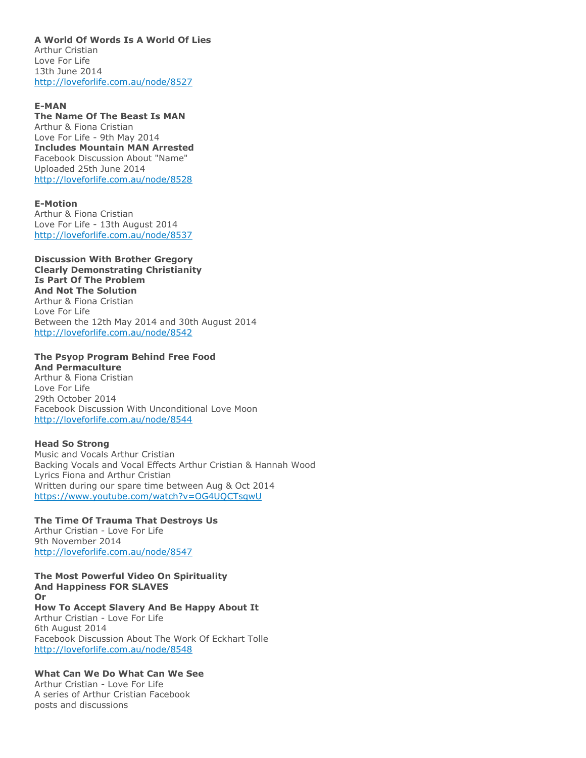#### **A World Of Words Is A World Of Lies** Arthur Cristian

Love For Life 13th June 2014 <http://loveforlife.com.au/node/8527>

### **E-MAN**

**The Name Of The Beast Is MAN** Arthur & Fiona Cristian Love For Life - 9th May 2014 **Includes Mountain MAN Arrested** Facebook Discussion About "Name" Uploaded 25th June 2014 <http://loveforlife.com.au/node/8528>

### **E-Motion**

Arthur & Fiona Cristian Love For Life - 13th August 2014 <http://loveforlife.com.au/node/8537>

### **Discussion With Brother Gregory Clearly Demonstrating Christianity Is Part Of The Problem And Not The Solution** Arthur & Fiona Cristian Love For Life Between the 12th May 2014 and 30th August 2014 <http://loveforlife.com.au/node/8542>

#### **The Psyop Program Behind Free Food And Permaculture**

Arthur & Fiona Cristian Love For Life 29th October 2014 Facebook Discussion With Unconditional Love Moon <http://loveforlife.com.au/node/8544>

### **Head So Strong**

Music and Vocals Arthur Cristian Backing Vocals and Vocal Effects Arthur Cristian & Hannah Wood Lyrics Fiona and Arthur Cristian Written during our spare time between Aug & Oct 2014 <https://www.youtube.com/watch?v=OG4UQCTsqwU>

### **The Time Of Trauma That Destroys Us**

Arthur Cristian - Love For Life 9th November 2014 <http://loveforlife.com.au/node/8547>

**The Most Powerful Video On Spirituality And Happiness FOR SLAVES Or How To Accept Slavery And Be Happy About It** Arthur Cristian - Love For Life 6th August 2014 Facebook Discussion About The Work Of Eckhart Tolle <http://loveforlife.com.au/node/8548>

### **What Can We Do What Can We See**

Arthur Cristian - Love For Life A series of Arthur Cristian Facebook posts and discussions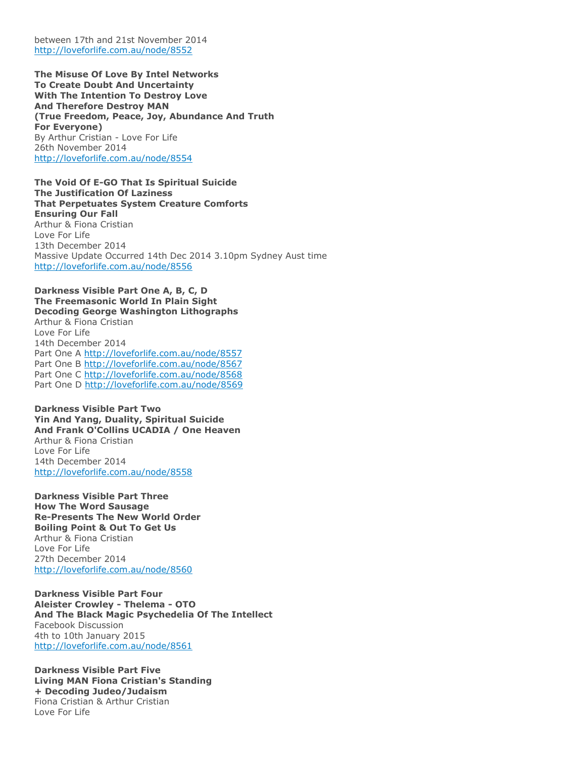between 17th and 21st November 2014 <http://loveforlife.com.au/node/8552>

**The Misuse Of Love By Intel Networks To Create Doubt And Uncertainty With The Intention To Destroy Love And Therefore Destroy MAN (True Freedom, Peace, Joy, Abundance And Truth For Everyone)** By Arthur Cristian - Love For Life 26th November 2014 <http://loveforlife.com.au/node/8554>

**The Void Of E-GO That Is Spiritual Suicide The Justification Of Laziness That Perpetuates System Creature Comforts Ensuring Our Fall** Arthur & Fiona Cristian Love For Life 13th December 2014 Massive Update Occurred 14th Dec 2014 3.10pm Sydney Aust time <http://loveforlife.com.au/node/8556>

#### **Darkness Visible Part One A, B, C, D The Freemasonic World In Plain Sight Decoding George Washington Lithographs**

Arthur & Fiona Cristian Love For Life 14th December 2014 Part One A <http://loveforlife.com.au/node/8557> Part One B <http://loveforlife.com.au/node/8567> Part One C <http://loveforlife.com.au/node/8568> Part One D <http://loveforlife.com.au/node/8569>

**Darkness Visible Part Two Yin And Yang, Duality, Spiritual Suicide And Frank O'Collins UCADIA / One Heaven** Arthur & Fiona Cristian Love For Life 14th December 2014 <http://loveforlife.com.au/node/8558>

**Darkness Visible Part Three How The Word Sausage Re-Presents The New World Order Boiling Point & Out To Get Us** Arthur & Fiona Cristian Love For Life 27th December 2014 <http://loveforlife.com.au/node/8560>

**Darkness Visible Part Four Aleister Crowley - Thelema - OTO And The Black Magic Psychedelia Of The Intellect** Facebook Discussion 4th to 10th January 2015 <http://loveforlife.com.au/node/8561>

**Darkness Visible Part Five Living MAN Fiona Cristian's Standing + Decoding Judeo/Judaism** Fiona Cristian & Arthur Cristian Love For Life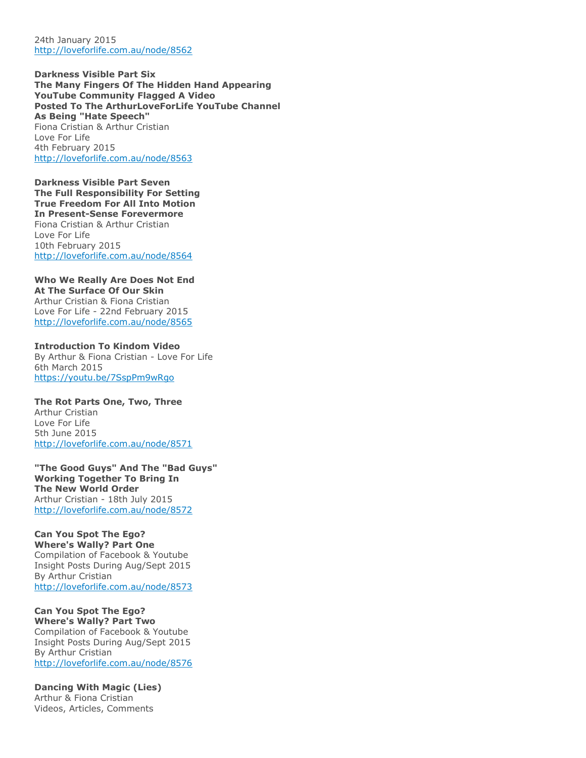24th January 2015 <http://loveforlife.com.au/node/8562>

**Darkness Visible Part Six The Many Fingers Of The Hidden Hand Appearing YouTube Community Flagged A Video Posted To The ArthurLoveForLife YouTube Channel As Being "Hate Speech"** Fiona Cristian & Arthur Cristian Love For Life 4th February 2015 <http://loveforlife.com.au/node/8563>

**Darkness Visible Part Seven The Full Responsibility For Setting True Freedom For All Into Motion In Present-Sense Forevermore** Fiona Cristian & Arthur Cristian Love For Life 10th February 2015 <http://loveforlife.com.au/node/8564>

#### **Who We Really Are Does Not End At The Surface Of Our Skin**

Arthur Cristian & Fiona Cristian Love For Life - 22nd February 2015 <http://loveforlife.com.au/node/8565>

### **Introduction To Kindom Video**

By Arthur & Fiona Cristian - Love For Life 6th March 2015 <https://youtu.be/7SspPm9wRgo>

### **The Rot Parts One, Two, Three** Arthur Cristian Love For Life 5th June 2015 <http://loveforlife.com.au/node/8571>

**"The Good Guys" And The "Bad Guys" Working Together To Bring In The New World Order** Arthur Cristian - 18th July 2015 <http://loveforlife.com.au/node/8572>

# **Can You Spot The Ego?**

**Where's Wally? Part One** Compilation of Facebook & Youtube Insight Posts During Aug/Sept 2015 By Arthur Cristian <http://loveforlife.com.au/node/8573>

# **Can You Spot The Ego?**

**Where's Wally? Part Two** Compilation of Facebook & Youtube Insight Posts During Aug/Sept 2015 By Arthur Cristian <http://loveforlife.com.au/node/8576>

### **Dancing With Magic (Lies)**

Arthur & Fiona Cristian Videos, Articles, Comments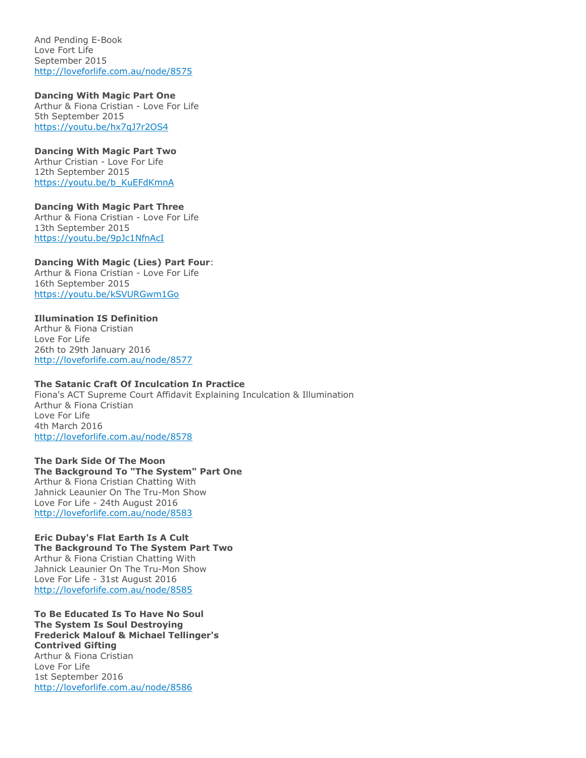And Pending E-Book Love Fort Life September 2015 <http://loveforlife.com.au/node/8575>

**Dancing With Magic Part One**

Arthur & Fiona Cristian - Love For Life 5th September 2015 <https://youtu.be/hx7qJ7r2OS4>

### **Dancing With Magic Part Two**

Arthur Cristian - Love For Life 12th September 2015 [https://youtu.be/b\\_KuEFdKmnA](https://youtu.be/b_KuEFdKmnA)

**Dancing With Magic Part Three** Arthur & Fiona Cristian - Love For Life 13th September 2015 <https://youtu.be/9pJc1NfnAcI>

## **Dancing With Magic (Lies) Part Four**:

Arthur & Fiona Cristian - Love For Life 16th September 2015 <https://youtu.be/kSVURGwm1Go>

## **Illumination IS Definition**

Arthur & Fiona Cristian Love For Life 26th to 29th January 2016 <http://loveforlife.com.au/node/8577>

### **The Satanic Craft Of Inculcation In Practice**

Fiona's ACT Supreme Court Affidavit Explaining Inculcation & Illumination Arthur & Fiona Cristian Love For Life 4th March 2016 <http://loveforlife.com.au/node/8578>

### **The Dark Side Of The Moon The Background To "The System" Part One** Arthur & Fiona Cristian Chatting With Jahnick Leaunier On The Tru-Mon Show Love For Life - 24th August 2016 <http://loveforlife.com.au/node/8583>

### **Eric Dubay's Flat Earth Is A Cult The Background To The System Part Two** Arthur & Fiona Cristian Chatting With Jahnick Leaunier On The Tru-Mon Show Love For Life - 31st August 2016 <http://loveforlife.com.au/node/8585>

**To Be Educated Is To Have No Soul The System Is Soul Destroying Frederick Malouf & Michael Tellinger's Contrived Gifting** Arthur & Fiona Cristian Love For Life 1st September 2016 <http://loveforlife.com.au/node/8586>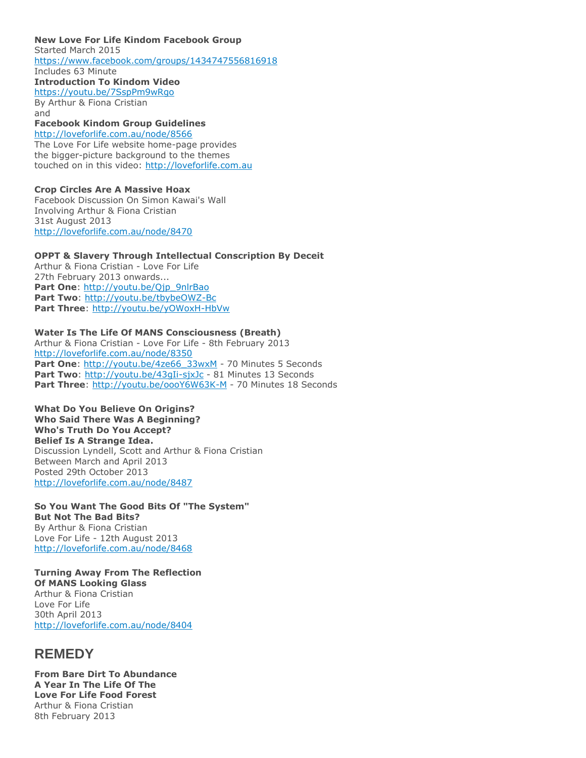**New Love For Life Kindom Facebook Group** Started March 2015 <https://www.facebook.com/groups/1434747556816918> Includes 63 Minute **Introduction To Kindom Video** <https://youtu.be/7SspPm9wRgo> By Arthur & Fiona Cristian and

## **Facebook Kindom Group Guidelines**

<http://loveforlife.com.au/node/8566> The Love For Life website home-page provides the bigger-picture background to the themes touched on in this video: [http://loveforlife.com.au](http://loveforlife.com.au/)

#### **Crop Circles Are A Massive Hoax** Facebook Discussion On Simon Kawai's Wall

Involving Arthur & Fiona Cristian 31st August 2013 <http://loveforlife.com.au/node/8470>

#### **OPPT & Slavery Through Intellectual Conscription By Deceit** Arthur & Fiona Cristian - Love For Life

27th February 2013 onwards... Part One: [http://youtu.be/Qjp\\_9nlrBao](http://youtu.be/Qjp_9nlrBao) **Part Two**: <http://youtu.be/tbybeOWZ-Bc> **Part Three**: <http://youtu.be/yOWoxH-HbVw>

## **Water Is The Life Of MANS Consciousness (Breath)**

Arthur & Fiona Cristian - Love For Life - 8th February 2013 <http://loveforlife.com.au/node/8350> Part One: [http://youtu.be/4ze66\\_33wxM](http://youtu.be/4ze66_33wxM) - 70 Minutes 5 Seconds Part Two: <http://youtu.be/43gIi-sjxJc> - 81 Minutes 13 Seconds Part Three: <http://youtu.be/oooY6W63K-M> - 70 Minutes 18 Seconds

### **What Do You Believe On Origins? Who Said There Was A Beginning? Who's Truth Do You Accept? Belief Is A Strange Idea.** Discussion Lyndell, Scott and Arthur & Fiona Cristian Between March and April 2013 Posted 29th October 2013

<http://loveforlife.com.au/node/8487>

### **So You Want The Good Bits Of "The System" But Not The Bad Bits?** By Arthur & Fiona Cristian Love For Life - 12th August 2013 <http://loveforlife.com.au/node/8468>

**Turning Away From The Reflection Of MANS Looking Glass** Arthur & Fiona Cristian Love For Life 30th April 2013 <http://loveforlife.com.au/node/8404>

# **REMEDY**

**From Bare Dirt To Abundance A Year In The Life Of The Love For Life Food Forest** Arthur & Fiona Cristian 8th February 2013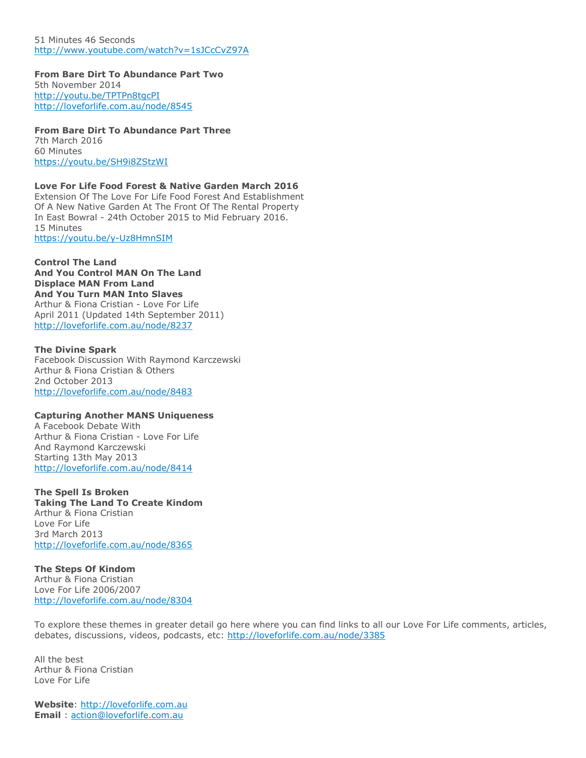51 Minutes 46 Seconds <http://www.youtube.com/watch?v=1sJCcCvZ97A>

**From Bare Dirt To Abundance Part Two** 5th November 2014 <http://youtu.be/TPTPn8tgcPI> <http://loveforlife.com.au/node/8545>

**From Bare Dirt To Abundance Part Three** 7th March 2016 60 Minutes <https://youtu.be/SH9i8ZStzWI>

**Love For Life Food Forest & Native Garden March 2016** Extension Of The Love For Life Food Forest And Establishment Of A New Native Garden At The Front Of The Rental Property In East Bowral - 24th October 2015 to Mid February 2016. 15 Minutes <https://youtu.be/y-Uz8HmnSIM>

**Control The Land And You Control MAN On The Land Displace MAN From Land And You Turn MAN Into Slaves** Arthur & Fiona Cristian - Love For Life April 2011 (Updated 14th September 2011) <http://loveforlife.com.au/node/8237>

**The Divine Spark** Facebook Discussion With Raymond Karczewski Arthur & Fiona Cristian & Others 2nd October 2013 <http://loveforlife.com.au/node/8483>

#### **Capturing Another MANS Uniqueness**

A Facebook Debate With Arthur & Fiona Cristian - Love For Life And Raymond Karczewski Starting 13th May 2013 <http://loveforlife.com.au/node/8414>

**The Spell Is Broken Taking The Land To Create Kindom** Arthur & Fiona Cristian Love For Life 3rd March 2013 <http://loveforlife.com.au/node/8365>

**The Steps Of Kindom** Arthur & Fiona Cristian Love For Life 2006/2007 <http://loveforlife.com.au/node/8304>

To explore these themes in greater detail go here where you can find links to all our Love For Life comments, articles, debates, discussions, videos, podcasts, etc: <http://loveforlife.com.au/node/3385>

All the best Arthur & Fiona Cristian Love For Life

**Website**: [http://loveforlife.com.au](http://loveforlife.com.au/) **Email** : [action@loveforlife.com.au](mailto:action@loveforlife.com.au)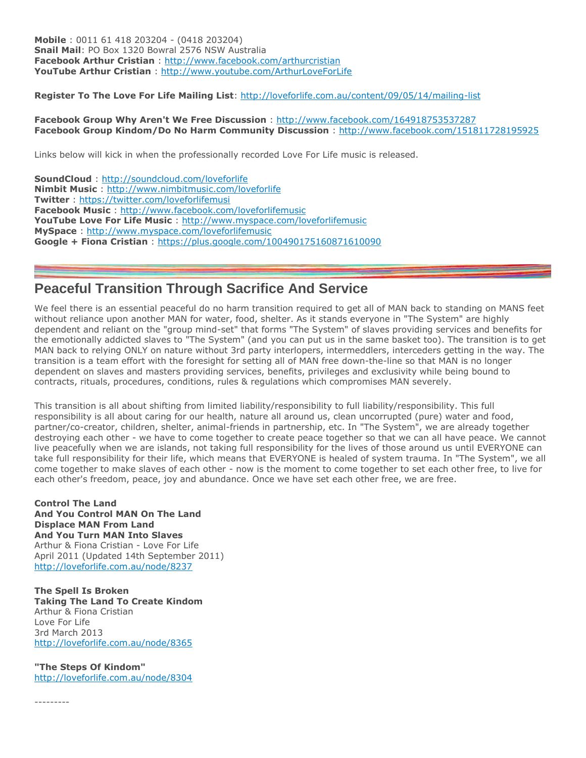**Mobile** : 0011 61 418 203204 - (0418 203204) **Snail Mail**: PO Box 1320 Bowral 2576 NSW Australia **Facebook Arthur Cristian** : <http://www.facebook.com/arthurcristian> **YouTube Arthur Cristian** : <http://www.youtube.com/ArthurLoveForLife>

**Register To The Love For Life Mailing List**: <http://loveforlife.com.au/content/09/05/14/mailing-list>

### **Facebook Group Why Aren't We Free Discussion** : <http://www.facebook.com/164918753537287> **Facebook Group Kindom/Do No Harm Community Discussion** : <http://www.facebook.com/151811728195925>

Links below will kick in when the professionally recorded Love For Life music is released.

**SoundCloud** : <http://soundcloud.com/loveforlife> **Nimbit Music** : <http://www.nimbitmusic.com/loveforlife> **Twitter** : <https://twitter.com/loveforlifemusi> **Facebook Music** : <http://www.facebook.com/loveforlifemusic> **YouTube Love For Life Music** : <http://www.myspace.com/loveforlifemusic> **MySpace** : <http://www.myspace.com/loveforlifemusic> **Google + Fiona Cristian** : <https://plus.google.com/100490175160871610090>

# **Peaceful Transition Through Sacrifice And Service**

We feel there is an essential peaceful do no harm transition required to get all of MAN back to standing on MANS feet without reliance upon another MAN for water, food, shelter. As it stands everyone in "The System" are highly dependent and reliant on the "group mind-set" that forms "The System" of slaves providing services and benefits for the emotionally addicted slaves to "The System" (and you can put us in the same basket too). The transition is to get MAN back to relying ONLY on nature without 3rd party interlopers, intermeddlers, interceders getting in the way. The transition is a team effort with the foresight for setting all of MAN free down-the-line so that MAN is no longer dependent on slaves and masters providing services, benefits, privileges and exclusivity while being bound to contracts, rituals, procedures, conditions, rules & regulations which compromises MAN severely.

This transition is all about shifting from limited liability/responsibility to full liability/responsibility. This full responsibility is all about caring for our health, nature all around us, clean uncorrupted (pure) water and food, partner/co-creator, children, shelter, animal-friends in partnership, etc. In "The System", we are already together destroying each other - we have to come together to create peace together so that we can all have peace. We cannot live peacefully when we are islands, not taking full responsibility for the lives of those around us until EVERYONE can take full responsibility for their life, which means that EVERYONE is healed of system trauma. In "The System", we all come together to make slaves of each other - now is the moment to come together to set each other free, to live for each other's freedom, peace, joy and abundance. Once we have set each other free, we are free.

**Control The Land And You Control MAN On The Land Displace MAN From Land And You Turn MAN Into Slaves** Arthur & Fiona Cristian - Love For Life April 2011 (Updated 14th September 2011) <http://loveforlife.com.au/node/8237>

**The Spell Is Broken Taking The Land To Create Kindom** Arthur & Fiona Cristian Love For Life 3rd March 2013 <http://loveforlife.com.au/node/8365>

**"The Steps Of Kindom"** <http://loveforlife.com.au/node/8304>

---------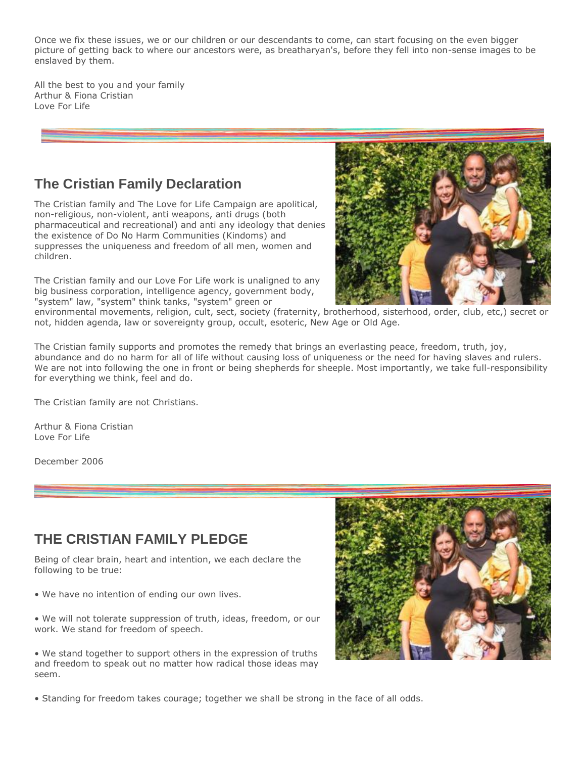Once we fix these issues, we or our children or our descendants to come, can start focusing on the even bigger picture of getting back to where our ancestors were, as breatharyan's, before they fell into non-sense images to be enslaved by them.

All the best to you and your family Arthur & Fiona Cristian Love For Life

# **The Cristian Family Declaration**

The Cristian family and The Love for Life Campaign are apolitical, non-religious, non-violent, anti weapons, anti drugs (both pharmaceutical and recreational) and anti any ideology that denies the existence of Do No Harm Communities (Kindoms) and suppresses the uniqueness and freedom of all men, women and children.

The Cristian family and our Love For Life work is unaligned to any big business corporation, intelligence agency, government body, "system" law, "system" think tanks, "system" green or



environmental movements, religion, cult, sect, society (fraternity, brotherhood, sisterhood, order, club, etc,) secret or not, hidden agenda, law or sovereignty group, occult, esoteric, New Age or Old Age.

The Cristian family supports and promotes the remedy that brings an everlasting peace, freedom, truth, joy, abundance and do no harm for all of life without causing loss of uniqueness or the need for having slaves and rulers. We are not into following the one in front or being shepherds for sheeple. Most importantly, we take full-responsibility for everything we think, feel and do.

The Cristian family are not Christians.

Arthur & Fiona Cristian Love For Life

December 2006

# **THE CRISTIAN FAMILY PLEDGE**

Being of clear brain, heart and intention, we each declare the following to be true:

• We have no intention of ending our own lives.

• We will not tolerate suppression of truth, ideas, freedom, or our work. We stand for freedom of speech.

• We stand together to support others in the expression of truths and freedom to speak out no matter how radical those ideas may seem.



• Standing for freedom takes courage; together we shall be strong in the face of all odds.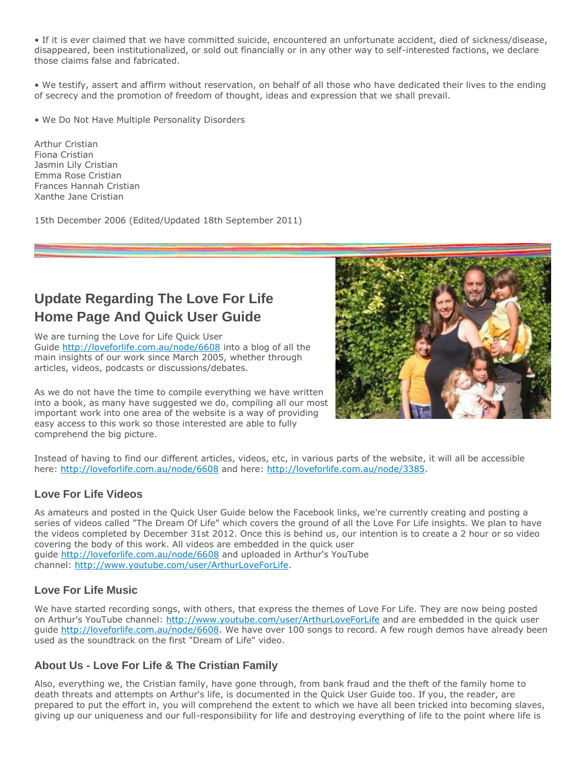• If it is ever claimed that we have committed suicide, encountered an unfortunate accident, died of sickness/disease, disappeared, been institutionalized, or sold out financially or in any other way to self-interested factions, we declare those claims false and fabricated.

• We testify, assert and affirm without reservation, on behalf of all those who have dedicated their lives to the ending of secrecy and the promotion of freedom of thought, ideas and expression that we shall prevail.

• We Do Not Have Multiple Personality Disorders

Arthur Cristian Fiona Cristian Jasmin Lily Cristian Emma Rose Cristian Frances Hannah Cristian Xanthe Jane Cristian

15th December 2006 (Edited/Updated 18th September 2011)

# **Update Regarding The Love For Life Home Page And Quick User Guide**

We are turning the Love for Life Quick User Guide <http://loveforlife.com.au/node/6608> into a blog of all the main insights of our work since March 2005, whether through articles, videos, podcasts or discussions/debates.

As we do not have the time to compile everything we have written into a book, as many have suggested we do, compiling all our most important work into one area of the website is a way of providing easy access to this work so those interested are able to fully comprehend the big picture.



Instead of having to find our different articles, videos, etc, in various parts of the website, it will all be accessible here: <http://loveforlife.com.au/node/6608> and here: [http://loveforlife.com.au/node/3385.](http://loveforlife.com.au/node/3385)

## **Love For Life Videos**

As amateurs and posted in the Quick User Guide below the Facebook links, we're currently creating and posting a series of videos called "The Dream Of Life" which covers the ground of all the Love For Life insights. We plan to have the videos completed by December 31st 2012. Once this is behind us, our intention is to create a 2 hour or so video covering the body of this work. All videos are embedded in the quick user guide <http://loveforlife.com.au/node/6608> and uploaded in Arthur's YouTube channel: [http://www.youtube.com/user/ArthurLoveForLife.](http://www.youtube.com/user/ArthurLoveForLife)

## **Love For Life Music**

We have started recording songs, with others, that express the themes of Love For Life. They are now being posted on Arthur's YouTube channel: <http://www.youtube.com/user/ArthurLoveForLife> and are embedded in the quick user guide [http://loveforlife.com.au/node/6608.](http://loveforlife.com.au/node/6608) We have over 100 songs to record. A few rough demos have already been used as the soundtrack on the first "Dream of Life" video.

## **About Us - Love For Life & The Cristian Family**

Also, everything we, the Cristian family, have gone through, from bank fraud and the theft of the family home to death threats and attempts on Arthur's life, is documented in the Quick User Guide too. If you, the reader, are prepared to put the effort in, you will comprehend the extent to which we have all been tricked into becoming slaves, giving up our uniqueness and our full-responsibility for life and destroying everything of life to the point where life is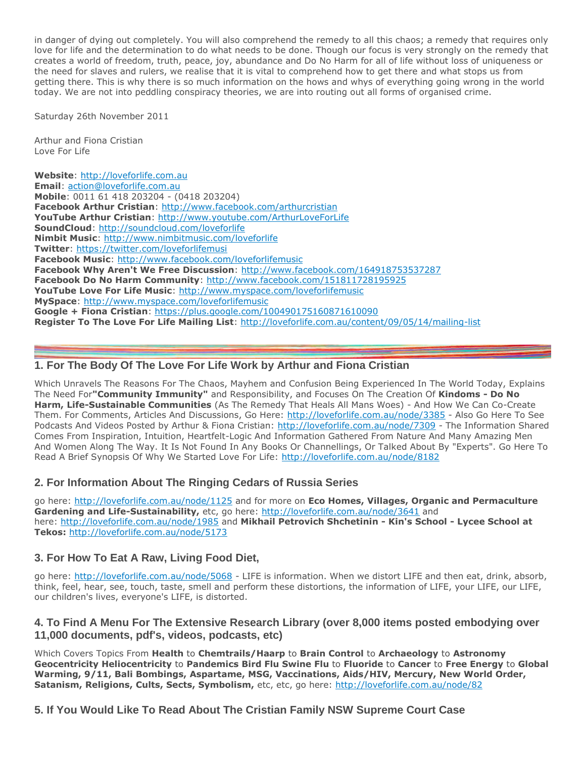in danger of dying out completely. You will also comprehend the remedy to all this chaos; a remedy that requires only love for life and the determination to do what needs to be done. Though our focus is very strongly on the remedy that creates a world of freedom, truth, peace, joy, abundance and Do No Harm for all of life without loss of uniqueness or the need for slaves and rulers, we realise that it is vital to comprehend how to get there and what stops us from getting there. This is why there is so much information on the hows and whys of everything going wrong in the world today. We are not into peddling conspiracy theories, we are into routing out all forms of organised crime.

Saturday 26th November 2011

Arthur and Fiona Cristian Love For Life

**Website**: [http://loveforlife.com.au](http://loveforlife.com.au/) **Email**: [action@loveforlife.com.au](mailto:action@loveforlife.com.au) **Mobile**: 0011 61 418 203204 - (0418 203204) **Facebook Arthur Cristian**: <http://www.facebook.com/arthurcristian> **YouTube Arthur Cristian**: <http://www.youtube.com/ArthurLoveForLife> **SoundCloud**: <http://soundcloud.com/loveforlife> **Nimbit Music**: <http://www.nimbitmusic.com/loveforlife> **Twitter**: <https://twitter.com/loveforlifemusi> **Facebook Music**: <http://www.facebook.com/loveforlifemusic> **Facebook Why Aren't We Free Discussion**: <http://www.facebook.com/164918753537287> **Facebook Do No Harm Community**: <http://www.facebook.com/151811728195925> **YouTube Love For Life Music**: <http://www.myspace.com/loveforlifemusic> **MySpace**: <http://www.myspace.com/loveforlifemusic> **Google + Fiona Cristian**: <https://plus.google.com/100490175160871610090> **Register To The Love For Life Mailing List**: <http://loveforlife.com.au/content/09/05/14/mailing-list>

## **1. For The Body Of The Love For Life Work by Arthur and Fiona Cristian**

Which Unravels The Reasons For The Chaos, Mayhem and Confusion Being Experienced In The World Today, Explains The Need For**"Community Immunity"** and Responsibility, and Focuses On The Creation Of **Kindoms - Do No Harm, Life-Sustainable Communities** (As The Remedy That Heals All Mans Woes) - And How We Can Co-Create Them. For Comments, Articles And Discussions, Go Here: <http://loveforlife.com.au/node/3385> - Also Go Here To See Podcasts And Videos Posted by Arthur & Fiona Cristian: <http://loveforlife.com.au/node/7309> - The Information Shared Comes From Inspiration, Intuition, Heartfelt-Logic And Information Gathered From Nature And Many Amazing Men And Women Along The Way. It Is Not Found In Any Books Or Channellings, Or Talked About By "Experts". Go Here To Read A Brief Synopsis Of Why We Started Love For Life: <http://loveforlife.com.au/node/8182>

## **2. For Information About The Ringing Cedars of Russia Series**

go here: <http://loveforlife.com.au/node/1125> and for more on **Eco Homes, Villages, Organic and Permaculture**  Gardening and Life-Sustainability, etc, go here: <http://loveforlife.com.au/node/3641> and here: <http://loveforlife.com.au/node/1985> and **Mikhail Petrovich Shchetinin - Kin's School - Lycee School at Tekos:** <http://loveforlife.com.au/node/5173>

## **3. For How To Eat A Raw, Living Food Diet,**

go here: <http://loveforlife.com.au/node/5068> - LIFE is information. When we distort LIFE and then eat, drink, absorb, think, feel, hear, see, touch, taste, smell and perform these distortions, the information of LIFE, your LIFE, our LIFE, our children's lives, everyone's LIFE, is distorted.

## **4. To Find A Menu For The Extensive Research Library (over 8,000 items posted embodying over 11,000 documents, pdf's, videos, podcasts, etc)**

Which Covers Topics From **Health** to **Chemtrails/Haarp** to **Brain Control** to **Archaeology** to **Astronomy Geocentricity Heliocentricity** to **Pandemics Bird Flu Swine Flu** to **Fluoride** to **Cancer** to **Free Energy** to **Global Warming, 9/11, Bali Bombings, Aspartame, MSG, Vaccinations, Aids/HIV, Mercury, New World Order,**  Satanism, Religions, Cults, Sects, Symbolism, etc, etc, go here: <http://loveforlife.com.au/node/82>

## **5. If You Would Like To Read About The Cristian Family NSW Supreme Court Case**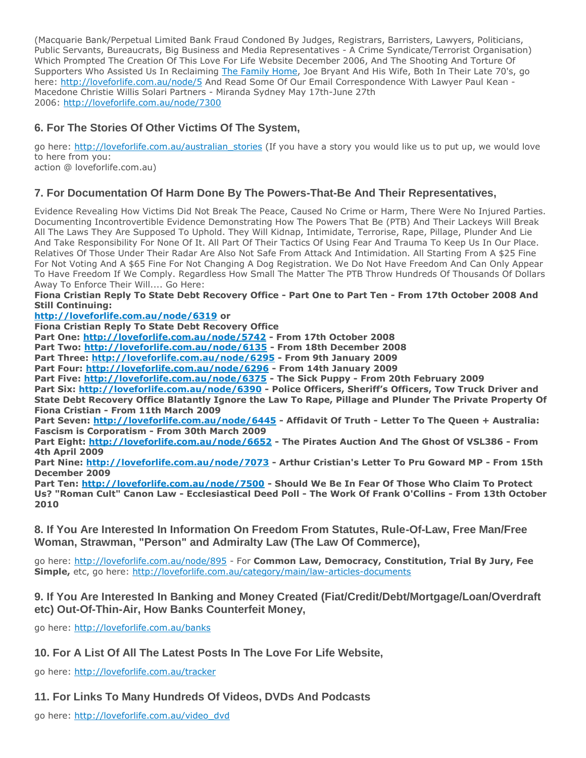(Macquarie Bank/Perpetual Limited Bank Fraud Condoned By Judges, Registrars, Barristers, Lawyers, Politicians, Public Servants, Bureaucrats, Big Business and Media Representatives - A Crime Syndicate/Terrorist Organisation) Which Prompted The Creation Of This Love For Life Website December 2006, And The Shooting And Torture Of Supporters Who Assisted Us In Reclaiming [The Family Home,](http://www.rent-a-home.com.au/home/property/gallery.aspx?propertyid=2710) Joe Bryant And His Wife, Both In Their Late 70's, go here: <http://loveforlife.com.au/node/5> And Read Some Of Our Email Correspondence With Lawyer Paul Kean -Macedone Christie Willis Solari Partners - Miranda Sydney May 17th-June 27th 2006: <http://loveforlife.com.au/node/7300>

# **6. For The Stories Of Other Victims Of The System,**

go here: [http://loveforlife.com.au/australian\\_stories](http://loveforlife.com.au/australian_stories) (If you have a story you would like us to put up, we would love to here from you:

action @ loveforlife.com.au)

# **7. For Documentation Of Harm Done By The Powers-That-Be And Their Representatives,**

Evidence Revealing How Victims Did Not Break The Peace, Caused No Crime or Harm, There Were No Injured Parties. Documenting Incontrovertible Evidence Demonstrating How The Powers That Be (PTB) And Their Lackeys Will Break All The Laws They Are Supposed To Uphold. They Will Kidnap, Intimidate, Terrorise, Rape, Pillage, Plunder And Lie And Take Responsibility For None Of It. All Part Of Their Tactics Of Using Fear And Trauma To Keep Us In Our Place. Relatives Of Those Under Their Radar Are Also Not Safe From Attack And Intimidation. All Starting From A \$25 Fine For Not Voting And A \$65 Fine For Not Changing A Dog Registration. We Do Not Have Freedom And Can Only Appear To Have Freedom If We Comply. Regardless How Small The Matter The PTB Throw Hundreds Of Thousands Of Dollars Away To Enforce Their Will.... Go Here:

### **Fiona Cristian Reply To State Debt Recovery Office - Part One to Part Ten - From 17th October 2008 And Still Continuing:**

### **<http://loveforlife.com.au/node/6319> or**

**Fiona Cristian Reply To State Debt Recovery Office**

**Part One: <http://loveforlife.com.au/node/5742> - From 17th October 2008**

**Part Two: <http://loveforlife.com.au/node/6135> - From 18th December 2008**

**Part Three: <http://loveforlife.com.au/node/6295> - From 9th January 2009**

**Part Four: <http://loveforlife.com.au/node/6296> - From 14th January 2009**

**Part Five: <http://loveforlife.com.au/node/6375> - The Sick Puppy - From 20th February 2009**

**Part Six: <http://loveforlife.com.au/node/6390> - Police Officers, Sheriff's Officers, Tow Truck Driver and State Debt Recovery Office Blatantly Ignore the Law To Rape, Pillage and Plunder The Private Property Of Fiona Cristian - From 11th March 2009**

**Part Seven: <http://loveforlife.com.au/node/6445> - Affidavit Of Truth - Letter To The Queen + Australia: Fascism is Corporatism - From 30th March 2009**

**Part Eight: <http://loveforlife.com.au/node/6652> - The Pirates Auction And The Ghost Of VSL386 - From 4th April 2009**

**Part Nine: <http://loveforlife.com.au/node/7073> - Arthur Cristian's Letter To Pru Goward MP - From 15th December 2009**

**Part Ten: <http://loveforlife.com.au/node/7500> - Should We Be In Fear Of Those Who Claim To Protect Us? "Roman Cult" Canon Law - Ecclesiastical Deed Poll - The Work Of Frank O'Collins - From 13th October 2010**

**8. If You Are Interested In Information On Freedom From Statutes, Rule-Of-Law, Free Man/Free Woman, Strawman, "Person" and Admiralty Law (The Law Of Commerce),**

go here: <http://loveforlife.com.au/node/895> - For **Common Law, Democracy, Constitution, Trial By Jury, Fee Simple,** etc, go here: <http://loveforlife.com.au/category/main/law-articles-documents>

## **9. If You Are Interested In Banking and Money Created (Fiat/Credit/Debt/Mortgage/Loan/Overdraft etc) Out-Of-Thin-Air, How Banks Counterfeit Money,**

go here: <http://loveforlife.com.au/banks>

# **10. For A List Of All The Latest Posts In The Love For Life Website,**

go here: <http://loveforlife.com.au/tracker>

**11. For Links To Many Hundreds Of Videos, DVDs And Podcasts**

go here: [http://loveforlife.com.au/video\\_dvd](http://loveforlife.com.au/video_dvd)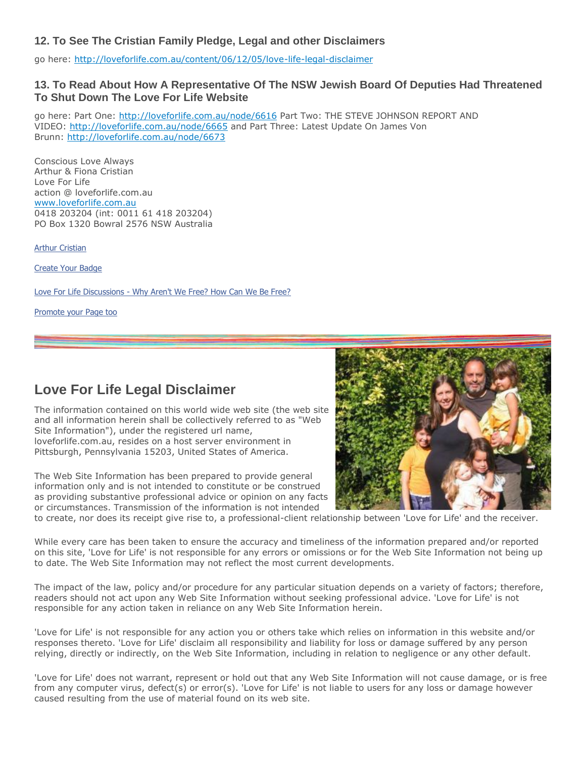## **12. To See The Cristian Family Pledge, Legal and other Disclaimers**

go here: <http://loveforlife.com.au/content/06/12/05/love-life-legal-disclaimer>

## **13. To Read About How A Representative Of The NSW Jewish Board Of Deputies Had Threatened To Shut Down The Love For Life Website**

go here: Part One: <http://loveforlife.com.au/node/6616> Part Two: THE STEVE JOHNSON REPORT AND VIDEO: <http://loveforlife.com.au/node/6665> and Part Three: Latest Update On James Von Brunn: <http://loveforlife.com.au/node/6673>

Conscious Love Always Arthur & Fiona Cristian Love For Life action @ loveforlife.com.au [www.loveforlife.com.au](http://www.loveforlife.com.au/) 0418 203204 (int: 0011 61 418 203204) PO Box 1320 Bowral 2576 NSW Australia

[Arthur Cristian](http://www.facebook.com/arthurcristian)

[Create Your Badge](http://www.facebook.com/facebook-widgets/)

Love For Life Discussions - [Why Aren't We Free? How Can We Be Free?](http://www.facebook.com/pages/Love-For-Life-Discussions-Why-Arent-We-Free-How-Can-We-Be-Free/164918753537287)

[Promote your Page too](http://www.facebook.com/business/dashboard/)

# **Love For Life Legal Disclaimer**

The information contained on this world wide web site (the web site and all information herein shall be collectively referred to as "Web Site Information"), under the registered url name, loveforlife.com.au, resides on a host server environment in Pittsburgh, Pennsylvania 15203, United States of America.

The Web Site Information has been prepared to provide general information only and is not intended to constitute or be construed as providing substantive professional advice or opinion on any facts or circumstances. Transmission of the information is not intended



to create, nor does its receipt give rise to, a professional-client relationship between 'Love for Life' and the receiver.

While every care has been taken to ensure the accuracy and timeliness of the information prepared and/or reported on this site, 'Love for Life' is not responsible for any errors or omissions or for the Web Site Information not being up to date. The Web Site Information may not reflect the most current developments.

The impact of the law, policy and/or procedure for any particular situation depends on a variety of factors; therefore, readers should not act upon any Web Site Information without seeking professional advice. 'Love for Life' is not responsible for any action taken in reliance on any Web Site Information herein.

'Love for Life' is not responsible for any action you or others take which relies on information in this website and/or responses thereto. 'Love for Life' disclaim all responsibility and liability for loss or damage suffered by any person relying, directly or indirectly, on the Web Site Information, including in relation to negligence or any other default.

'Love for Life' does not warrant, represent or hold out that any Web Site Information will not cause damage, or is free from any computer virus, defect(s) or error(s). 'Love for Life' is not liable to users for any loss or damage however caused resulting from the use of material found on its web site.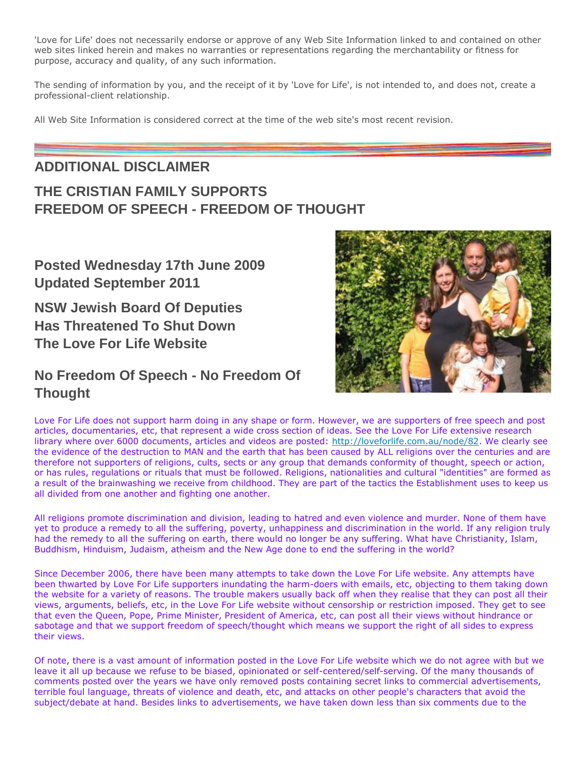'Love for Life' does not necessarily endorse or approve of any Web Site Information linked to and contained on other web sites linked herein and makes no warranties or representations regarding the merchantability or fitness for purpose, accuracy and quality, of any such information.

The sending of information by you, and the receipt of it by 'Love for Life', is not intended to, and does not, create a professional-client relationship.

All Web Site Information is considered correct at the time of the web site's most recent revision.

# **ADDITIONAL DISCLAIMER**

# **THE CRISTIAN FAMILY SUPPORTS FREEDOM OF SPEECH - FREEDOM OF THOUGHT**

**Posted Wednesday 17th June 2009 Updated September 2011**

**NSW Jewish Board Of Deputies Has Threatened To Shut Down The Love For Life Website**

# **No Freedom Of Speech - No Freedom Of Thought**



Love For Life does not support harm doing in any shape or form. However, we are supporters of free speech and post articles, documentaries, etc, that represent a wide cross section of ideas. See the Love For Life extensive research library where over 6000 documents, articles and videos are posted: [http://loveforlife.com.au/node/82.](http://loveforlife.com.au/node/82) We clearly see the evidence of the destruction to MAN and the earth that has been caused by ALL religions over the centuries and are therefore not supporters of religions, cults, sects or any group that demands conformity of thought, speech or action, or has rules, regulations or rituals that must be followed. Religions, nationalities and cultural "identities" are formed as a result of the brainwashing we receive from childhood. They are part of the tactics the Establishment uses to keep us all divided from one another and fighting one another.

All religions promote discrimination and division, leading to hatred and even violence and murder. None of them have yet to produce a remedy to all the suffering, poverty, unhappiness and discrimination in the world. If any religion truly had the remedy to all the suffering on earth, there would no longer be any suffering. What have Christianity, Islam, Buddhism, Hinduism, Judaism, atheism and the New Age done to end the suffering in the world?

Since December 2006, there have been many attempts to take down the Love For Life website. Any attempts have been thwarted by Love For Life supporters inundating the harm-doers with emails, etc, objecting to them taking down the website for a variety of reasons. The trouble makers usually back off when they realise that they can post all their views, arguments, beliefs, etc, in the Love For Life website without censorship or restriction imposed. They get to see that even the Queen, Pope, Prime Minister, President of America, etc, can post all their views without hindrance or sabotage and that we support freedom of speech/thought which means we support the right of all sides to express their views.

Of note, there is a vast amount of information posted in the Love For Life website which we do not agree with but we leave it all up because we refuse to be biased, opinionated or self-centered/self-serving. Of the many thousands of comments posted over the years we have only removed posts containing secret links to commercial advertisements, terrible foul language, threats of violence and death, etc, and attacks on other people's characters that avoid the subject/debate at hand. Besides links to advertisements, we have taken down less than six comments due to the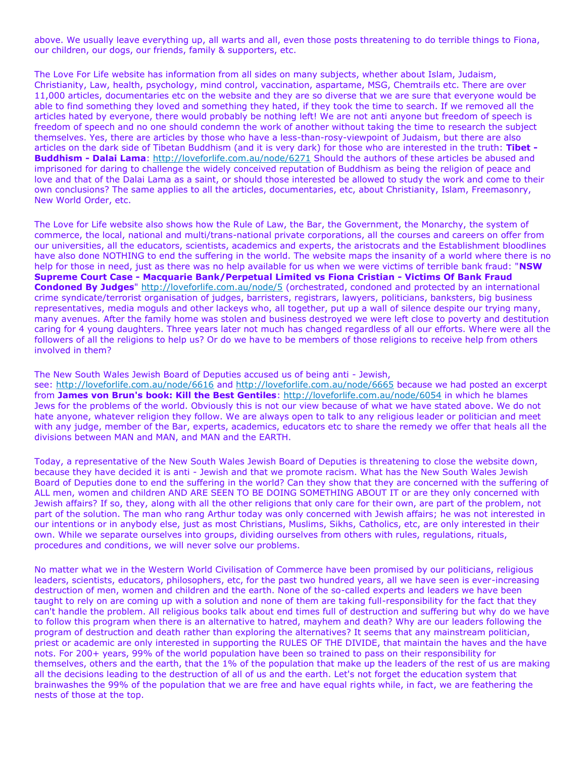above. We usually leave everything up, all warts and all, even those posts threatening to do terrible things to Fiona, our children, our dogs, our friends, family & supporters, etc.

The Love For Life website has information from all sides on many subjects, whether about Islam, Judaism, Christianity, Law, health, psychology, mind control, vaccination, aspartame, MSG, Chemtrails etc. There are over 11,000 articles, documentaries etc on the website and they are so diverse that we are sure that everyone would be able to find something they loved and something they hated, if they took the time to search. If we removed all the articles hated by everyone, there would probably be nothing left! We are not anti anyone but freedom of speech is freedom of speech and no one should condemn the work of another without taking the time to research the subject themselves. Yes, there are articles by those who have a less-than-rosy-viewpoint of Judaism, but there are also articles on the dark side of Tibetan Buddhism (and it is very dark) for those who are interested in the truth: **Tibet - Buddhism - Dalai Lama**: <http://loveforlife.com.au/node/6271> Should the authors of these articles be abused and imprisoned for daring to challenge the widely conceived reputation of Buddhism as being the religion of peace and love and that of the Dalai Lama as a saint, or should those interested be allowed to study the work and come to their own conclusions? The same applies to all the articles, documentaries, etc, about Christianity, Islam, Freemasonry, New World Order, etc.

The Love for Life website also shows how the Rule of Law, the Bar, the Government, the Monarchy, the system of commerce, the local, national and multi/trans-national private corporations, all the courses and careers on offer from our universities, all the educators, scientists, academics and experts, the aristocrats and the Establishment bloodlines have also done NOTHING to end the suffering in the world. The website maps the insanity of a world where there is no help for those in need, just as there was no help available for us when we were victims of terrible bank fraud: "**NSW Supreme Court Case - Macquarie Bank/Perpetual Limited vs Fiona Cristian - Victims Of Bank Fraud Condoned By Judges**" <http://loveforlife.com.au/node/5> (orchestrated, condoned and protected by an international crime syndicate/terrorist organisation of judges, barristers, registrars, lawyers, politicians, banksters, big business representatives, media moguls and other lackeys who, all together, put up a wall of silence despite our trying many, many avenues. After the family home was stolen and business destroyed we were left close to poverty and destitution caring for 4 young daughters. Three years later not much has changed regardless of all our efforts. Where were all the followers of all the religions to help us? Or do we have to be members of those religions to receive help from others involved in them?

## The New South Wales Jewish Board of Deputies accused us of being anti - Jewish,

see: <http://loveforlife.com.au/node/6616> and <http://loveforlife.com.au/node/6665> because we had posted an excerpt from **James von Brun's book: Kill the Best Gentiles**: <http://loveforlife.com.au/node/6054> in which he blames Jews for the problems of the world. Obviously this is not our view because of what we have stated above. We do not hate anyone, whatever religion they follow. We are always open to talk to any religious leader or politician and meet with any judge, member of the Bar, experts, academics, educators etc to share the remedy we offer that heals all the divisions between MAN and MAN, and MAN and the EARTH.

Today, a representative of the New South Wales Jewish Board of Deputies is threatening to close the website down, because they have decided it is anti - Jewish and that we promote racism. What has the New South Wales Jewish Board of Deputies done to end the suffering in the world? Can they show that they are concerned with the suffering of ALL men, women and children AND ARE SEEN TO BE DOING SOMETHING ABOUT IT or are they only concerned with Jewish affairs? If so, they, along with all the other religions that only care for their own, are part of the problem, not part of the solution. The man who rang Arthur today was only concerned with Jewish affairs; he was not interested in our intentions or in anybody else, just as most Christians, Muslims, Sikhs, Catholics, etc, are only interested in their own. While we separate ourselves into groups, dividing ourselves from others with rules, regulations, rituals, procedures and conditions, we will never solve our problems.

No matter what we in the Western World Civilisation of Commerce have been promised by our politicians, religious leaders, scientists, educators, philosophers, etc, for the past two hundred years, all we have seen is ever-increasing destruction of men, women and children and the earth. None of the so-called experts and leaders we have been taught to rely on are coming up with a solution and none of them are taking full-responsibility for the fact that they can't handle the problem. All religious books talk about end times full of destruction and suffering but why do we have to follow this program when there is an alternative to hatred, mayhem and death? Why are our leaders following the program of destruction and death rather than exploring the alternatives? It seems that any mainstream politician, priest or academic are only interested in supporting the RULES OF THE DIVIDE, that maintain the haves and the have nots. For 200+ years, 99% of the world population have been so trained to pass on their responsibility for themselves, others and the earth, that the 1% of the population that make up the leaders of the rest of us are making all the decisions leading to the destruction of all of us and the earth. Let's not forget the education system that brainwashes the 99% of the population that we are free and have equal rights while, in fact, we are feathering the nests of those at the top.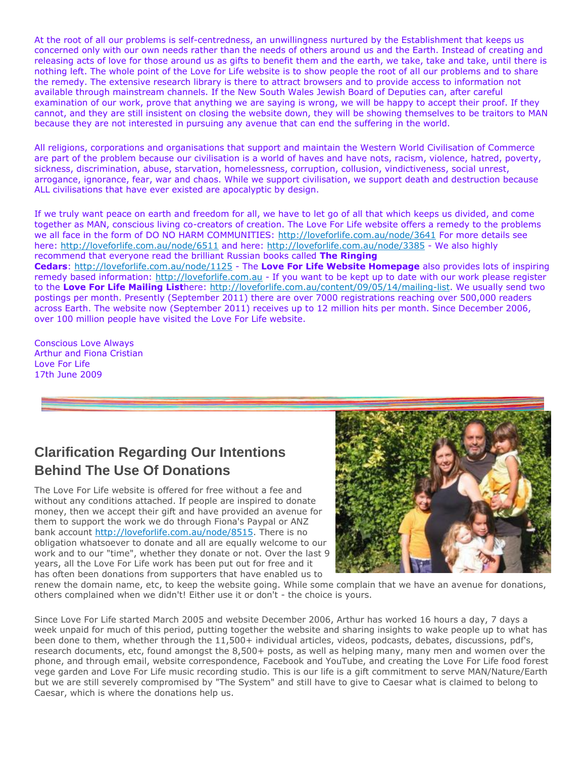At the root of all our problems is self-centredness, an unwillingness nurtured by the Establishment that keeps us concerned only with our own needs rather than the needs of others around us and the Earth. Instead of creating and releasing acts of love for those around us as gifts to benefit them and the earth, we take, take and take, until there is nothing left. The whole point of the Love for Life website is to show people the root of all our problems and to share the remedy. The extensive research library is there to attract browsers and to provide access to information not available through mainstream channels. If the New South Wales Jewish Board of Deputies can, after careful examination of our work, prove that anything we are saying is wrong, we will be happy to accept their proof. If they cannot, and they are still insistent on closing the website down, they will be showing themselves to be traitors to MAN because they are not interested in pursuing any avenue that can end the suffering in the world.

All religions, corporations and organisations that support and maintain the Western World Civilisation of Commerce are part of the problem because our civilisation is a world of haves and have nots, racism, violence, hatred, poverty, sickness, discrimination, abuse, starvation, homelessness, corruption, collusion, vindictiveness, social unrest, arrogance, ignorance, fear, war and chaos. While we support civilisation, we support death and destruction because ALL civilisations that have ever existed are apocalyptic by design.

If we truly want peace on earth and freedom for all, we have to let go of all that which keeps us divided, and come together as MAN, conscious living co-creators of creation. The Love For Life website offers a remedy to the problems we all face in the form of DO NO HARM COMMUNITIES: <http://loveforlife.com.au/node/3641> For more details see here: <http://loveforlife.com.au/node/6511> and here: <http://loveforlife.com.au/node/3385> - We also highly recommend that everyone read the brilliant Russian books called **The Ringing** 

**Cedars**: <http://loveforlife.com.au/node/1125> - The **Love For Life Website Homepage** also provides lots of inspiring remedy based information: [http://loveforlife.com.au](http://loveforlife.com.au/) - If you want to be kept up to date with our work please register to the **Love For Life Mailing List**here: [http://loveforlife.com.au/content/09/05/14/mailing-list.](http://loveforlife.com.au/content/09/05/14/mailing-list) We usually send two postings per month. Presently (September 2011) there are over 7000 registrations reaching over 500,000 readers across Earth. The website now (September 2011) receives up to 12 million hits per month. Since December 2006, over 100 million people have visited the Love For Life website.

Conscious Love Always Arthur and Fiona Cristian Love For Life 17th June 2009

## **Clarification Regarding Our Intentions Behind The Use Of Donations**

The Love For Life website is offered for free without a fee and without any conditions attached. If people are inspired to donate money, then we accept their gift and have provided an avenue for them to support the work we do through Fiona's Paypal or ANZ bank account [http://loveforlife.com.au/node/8515.](http://loveforlife.com.au/node/8515) There is no obligation whatsoever to donate and all are equally welcome to our work and to our "time", whether they donate or not. Over the last 9 years, all the Love For Life work has been put out for free and it has often been donations from supporters that have enabled us to



renew the domain name, etc, to keep the website going. While some complain that we have an avenue for donations, others complained when we didn't! Either use it or don't - the choice is yours.

Since Love For Life started March 2005 and website December 2006, Arthur has worked 16 hours a day, 7 days a week unpaid for much of this period, putting together the website and sharing insights to wake people up to what has been done to them, whether through the 11,500+ individual articles, videos, podcasts, debates, discussions, pdf's, research documents, etc, found amongst the 8,500+ posts, as well as helping many, many men and women over the phone, and through email, website correspondence, Facebook and YouTube, and creating the Love For Life food forest vege garden and Love For Life music recording studio. This is our life is a gift commitment to serve MAN/Nature/Earth but we are still severely compromised by "The System" and still have to give to Caesar what is claimed to belong to Caesar, which is where the donations help us.